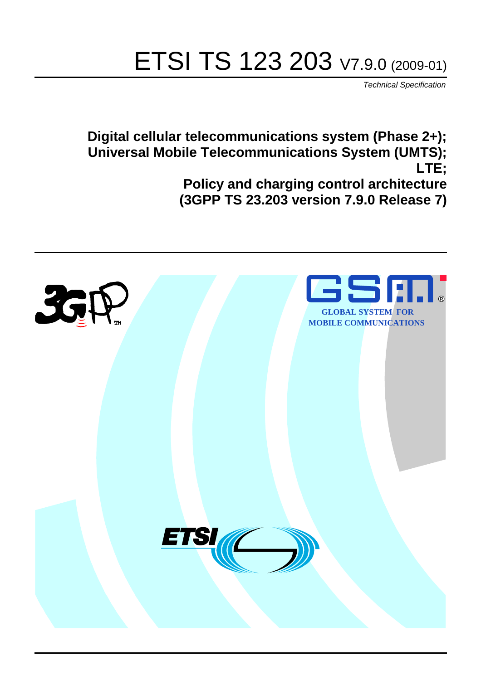# ETSI TS 123 203 V7.9.0 (2009-01)

*Technical Specification*

**Digital cellular telecommunications system (Phase 2+); Universal Mobile Telecommunications System (UMTS); LTE; Policy and charging control architecture (3GPP TS 23.203 version 7.9.0 Release 7)**

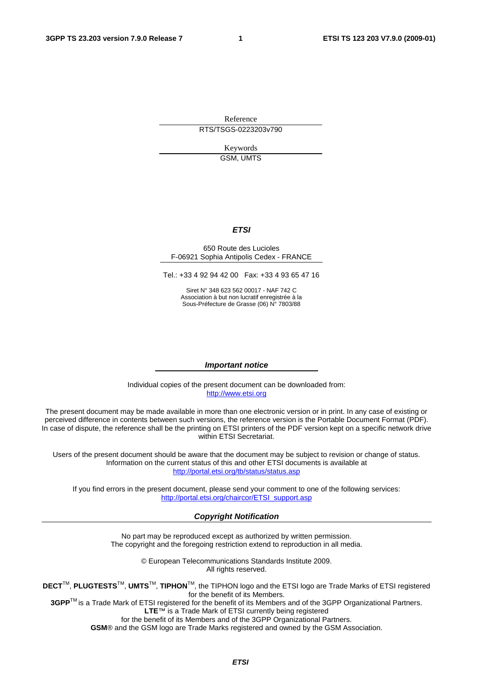Reference RTS/TSGS-0223203v790

> Keywords GSM, UMTS

#### *ETSI*

#### 650 Route des Lucioles F-06921 Sophia Antipolis Cedex - FRANCE

Tel.: +33 4 92 94 42 00 Fax: +33 4 93 65 47 16

Siret N° 348 623 562 00017 - NAF 742 C Association à but non lucratif enregistrée à la Sous-Préfecture de Grasse (06) N° 7803/88

#### *Important notice*

Individual copies of the present document can be downloaded from: [http://www.etsi.org](http://www.etsi.org/)

The present document may be made available in more than one electronic version or in print. In any case of existing or perceived difference in contents between such versions, the reference version is the Portable Document Format (PDF). In case of dispute, the reference shall be the printing on ETSI printers of the PDF version kept on a specific network drive within ETSI Secretariat.

Users of the present document should be aware that the document may be subject to revision or change of status. Information on the current status of this and other ETSI documents is available at <http://portal.etsi.org/tb/status/status.asp>

If you find errors in the present document, please send your comment to one of the following services: [http://portal.etsi.org/chaircor/ETSI\\_support.asp](http://portal.etsi.org/chaircor/ETSI_support.asp)

#### *Copyright Notification*

No part may be reproduced except as authorized by written permission. The copyright and the foregoing restriction extend to reproduction in all media.

> © European Telecommunications Standards Institute 2009. All rights reserved.

**DECT**TM, **PLUGTESTS**TM, **UMTS**TM, **TIPHON**TM, the TIPHON logo and the ETSI logo are Trade Marks of ETSI registered for the benefit of its Members.

**3GPP**TM is a Trade Mark of ETSI registered for the benefit of its Members and of the 3GPP Organizational Partners. **LTE**™ is a Trade Mark of ETSI currently being registered

for the benefit of its Members and of the 3GPP Organizational Partners.

**GSM**® and the GSM logo are Trade Marks registered and owned by the GSM Association.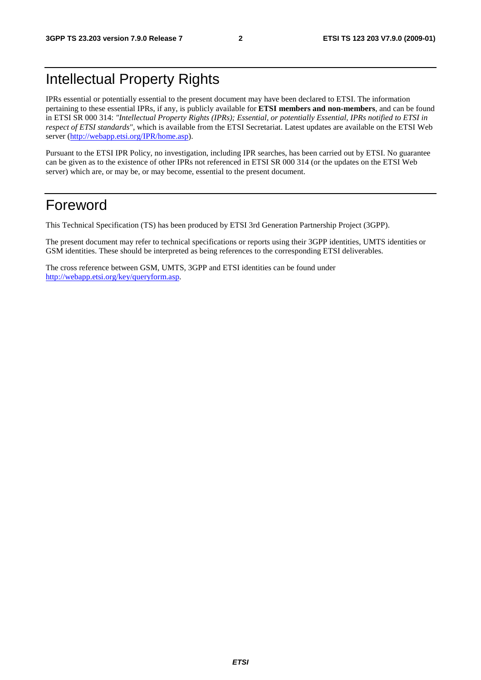# Intellectual Property Rights

IPRs essential or potentially essential to the present document may have been declared to ETSI. The information pertaining to these essential IPRs, if any, is publicly available for **ETSI members and non-members**, and can be found in ETSI SR 000 314: *"Intellectual Property Rights (IPRs); Essential, or potentially Essential, IPRs notified to ETSI in respect of ETSI standards"*, which is available from the ETSI Secretariat. Latest updates are available on the ETSI Web server ([http://webapp.etsi.org/IPR/home.asp\)](http://webapp.etsi.org/IPR/home.asp).

Pursuant to the ETSI IPR Policy, no investigation, including IPR searches, has been carried out by ETSI. No guarantee can be given as to the existence of other IPRs not referenced in ETSI SR 000 314 (or the updates on the ETSI Web server) which are, or may be, or may become, essential to the present document.

# Foreword

This Technical Specification (TS) has been produced by ETSI 3rd Generation Partnership Project (3GPP).

The present document may refer to technical specifications or reports using their 3GPP identities, UMTS identities or GSM identities. These should be interpreted as being references to the corresponding ETSI deliverables.

The cross reference between GSM, UMTS, 3GPP and ETSI identities can be found under [http://webapp.etsi.org/key/queryform.asp.](http://webapp.etsi.org/key/queryform.asp)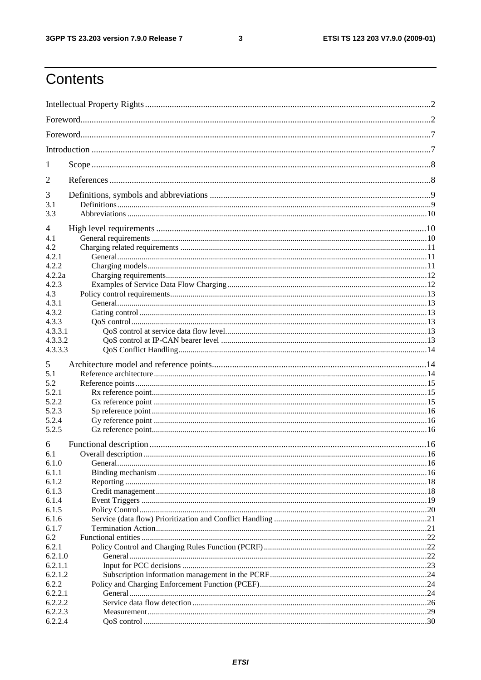#### $\mathbf{3}$

# Contents

| 1       |  |  |  |
|---------|--|--|--|
| 2       |  |  |  |
| 3       |  |  |  |
| 3.1     |  |  |  |
| 3.3     |  |  |  |
| 4       |  |  |  |
| 4.1     |  |  |  |
| 4.2     |  |  |  |
| 4.2.1   |  |  |  |
| 4.2.2   |  |  |  |
| 4.2.2a  |  |  |  |
| 4.2.3   |  |  |  |
| 4.3     |  |  |  |
| 4.3.1   |  |  |  |
| 4.3.2   |  |  |  |
| 4.3.3   |  |  |  |
| 4.3.3.1 |  |  |  |
| 4.3.3.2 |  |  |  |
| 4.3.3.3 |  |  |  |
| 5       |  |  |  |
| 5.1     |  |  |  |
| 5.2     |  |  |  |
| 5.2.1   |  |  |  |
| 5.2.2   |  |  |  |
| 5.2.3   |  |  |  |
| 5.2.4   |  |  |  |
| 5.2.5   |  |  |  |
| 6       |  |  |  |
| 6.1     |  |  |  |
| 6.1.0   |  |  |  |
| 6.1.1   |  |  |  |
| 6.1.2   |  |  |  |
| 6.1.3   |  |  |  |
| 6.1.4   |  |  |  |
| 6.1.5   |  |  |  |
| 6.1.6   |  |  |  |
| 6.1.7   |  |  |  |
| 6.2     |  |  |  |
| 6.2.1   |  |  |  |
| 6.2.1.0 |  |  |  |
| 6.2.1.1 |  |  |  |
| 6.2.1.2 |  |  |  |
| 6.2.2   |  |  |  |
| 6.2.2.1 |  |  |  |
| 6.2.2.2 |  |  |  |
| 6.2.2.3 |  |  |  |
| 6.2.2.4 |  |  |  |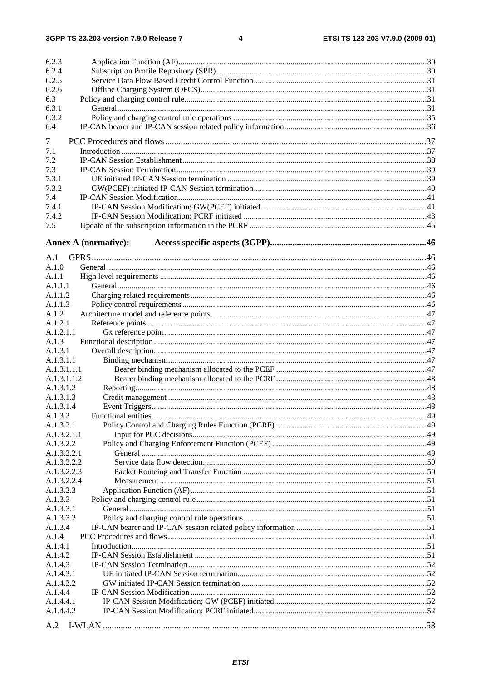$\overline{\mathbf{4}}$ 

| 6.2.3       |                             |     |
|-------------|-----------------------------|-----|
| 6.2.4       |                             |     |
| 6.2.5       |                             |     |
| 6.2.6       |                             |     |
| 6.3         |                             |     |
| 6.3.1       |                             |     |
| 6.3.2       |                             |     |
| 6.4         |                             |     |
|             |                             |     |
| 7           |                             |     |
| 7.1         |                             |     |
| 7.2         |                             |     |
| 7.3         |                             |     |
| 7.3.1       |                             |     |
| 7.3.2       |                             |     |
| 7.4         |                             |     |
| 7.4.1       |                             |     |
| 7.4.2       |                             |     |
| 7.5         |                             |     |
|             | <b>Annex A (normative):</b> |     |
|             |                             |     |
| A.1         |                             |     |
| A.1.0       |                             |     |
| A.1.1       |                             |     |
| A.1.1.1     |                             |     |
| A.1.1.2     |                             |     |
| A.1.1.3     |                             |     |
| A.1.2       |                             |     |
| A.1.2.1     |                             |     |
| A.1.2.1.1   |                             |     |
| A.1.3       |                             |     |
| A.1.3.1     |                             |     |
| A.1.3.1.1   |                             |     |
| A.1.3.1.1.1 |                             |     |
| A.1.3.1.1.2 |                             |     |
| A.1.3.1.2   |                             |     |
| A.1.3.1.3   |                             |     |
| A.1.3.1.4   |                             |     |
| A.1.3.2     |                             |     |
| A.1.3.2.1   |                             |     |
| A.1.3.2.1.1 |                             |     |
| A.1.3.2.2   |                             |     |
| A.1.3.2.2.1 |                             |     |
| A.1.3.2.2.2 |                             |     |
| A.1.3.2.2.3 |                             |     |
| A.1.3.2.2.4 |                             |     |
| A.1.3.2.3   |                             |     |
| A.1.3.3     |                             |     |
| A.1.3.3.1   |                             |     |
|             |                             |     |
| A.1.3.3.2   |                             |     |
| A.1.3.4     |                             |     |
| A.1.4       |                             |     |
| A.1.4.1     |                             |     |
| A.1.4.2     |                             |     |
| A.1.4.3     |                             |     |
| A.1.4.3.1   |                             |     |
| A.1.4.3.2   |                             |     |
| A.1.4.4     |                             |     |
| A.1.4.4.1   |                             |     |
| A.1.4.4.2   |                             |     |
|             |                             | .53 |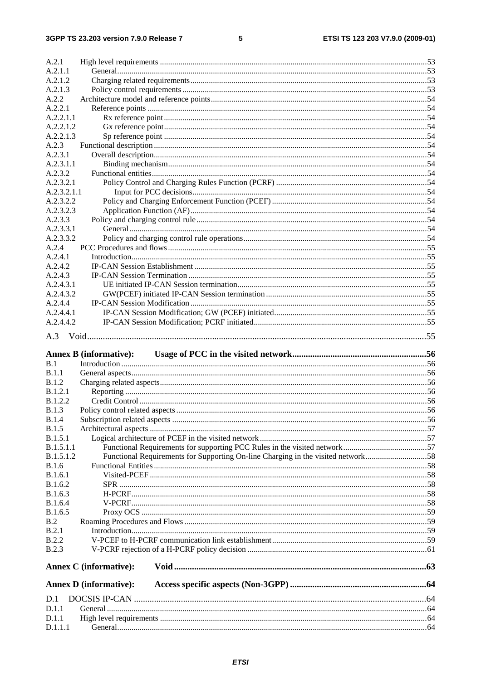#### $5\phantom{a}$

| A.2.1            |                                                                                  |  |
|------------------|----------------------------------------------------------------------------------|--|
| A.2.1.1          |                                                                                  |  |
| A.2.1.2          |                                                                                  |  |
| A.2.1.3          |                                                                                  |  |
| A.2.2            |                                                                                  |  |
| A.2.2.1          |                                                                                  |  |
| A.2.2.1.1        |                                                                                  |  |
| A.2.2.1.2        |                                                                                  |  |
| A.2.2.1.3        |                                                                                  |  |
| A.2.3            |                                                                                  |  |
| A.2.3.1          |                                                                                  |  |
| A.2.3.1.1        |                                                                                  |  |
| A.2.3.2          |                                                                                  |  |
| A.2.3.2.1        |                                                                                  |  |
| A.2.3.2.1.1      |                                                                                  |  |
| A.2.3.2.2        |                                                                                  |  |
| A.2.3.2.3        |                                                                                  |  |
| A.2.3.3          |                                                                                  |  |
| A.2.3.3.1        |                                                                                  |  |
| A.2.3.3.2        |                                                                                  |  |
| A.2.4            |                                                                                  |  |
| A.2.4.1          |                                                                                  |  |
| A.2.4.2          |                                                                                  |  |
| A.2.4.3          |                                                                                  |  |
| A.2.4.3.1        |                                                                                  |  |
| A.2.4.3.2        |                                                                                  |  |
| A.2.4.4          |                                                                                  |  |
| A.2.4.4.1        |                                                                                  |  |
| A.2.4.4.2        |                                                                                  |  |
| A.3              |                                                                                  |  |
|                  |                                                                                  |  |
|                  |                                                                                  |  |
|                  | <b>Annex B</b> (informative):                                                    |  |
| B.1              |                                                                                  |  |
| B.1.1            |                                                                                  |  |
| B.1.2            |                                                                                  |  |
| B.1.2.1          |                                                                                  |  |
| <b>B.1.2.2</b>   |                                                                                  |  |
| <b>B.1.3</b>     |                                                                                  |  |
| <b>B.1.4</b>     |                                                                                  |  |
| B.1.5            |                                                                                  |  |
| B.1.5.1          |                                                                                  |  |
| <b>B.1.5.1.1</b> |                                                                                  |  |
| B.1.5.1.2        | Functional Requirements for Supporting On-line Charging in the visited network58 |  |
| <b>B.1.6</b>     |                                                                                  |  |
| B.1.6.1          |                                                                                  |  |
| B.1.6.2          |                                                                                  |  |
| B.1.6.3          |                                                                                  |  |
| B.1.6.4          |                                                                                  |  |
| B.1.6.5          |                                                                                  |  |
| B.2              |                                                                                  |  |
| B.2.1            |                                                                                  |  |
| B.2.2            |                                                                                  |  |
| <b>B.2.3</b>     |                                                                                  |  |
|                  |                                                                                  |  |
|                  | <b>Annex C</b> (informative):                                                    |  |
|                  | <b>Annex D</b> (informative):                                                    |  |
| D.1              |                                                                                  |  |
| D.1.1            |                                                                                  |  |
| D.1.1            |                                                                                  |  |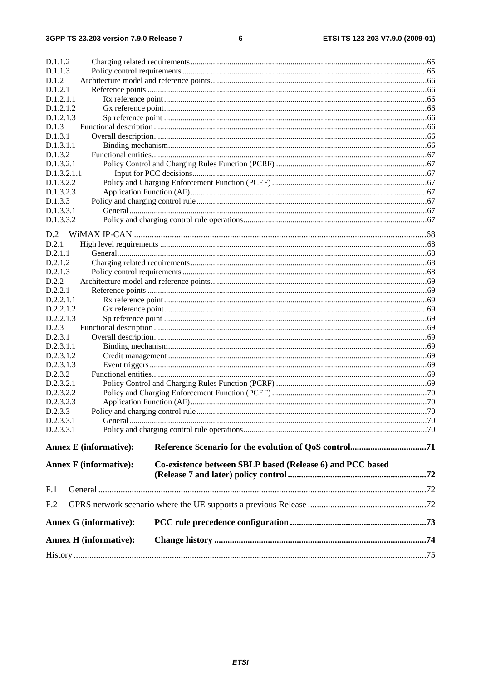#### $\bf 6$

| D.1.1.2         |                               |                                                           |  |
|-----------------|-------------------------------|-----------------------------------------------------------|--|
| D.1.1.3         |                               |                                                           |  |
| D.1.2           |                               |                                                           |  |
| D.1.2.1         |                               |                                                           |  |
| D.1.2.1.1       |                               |                                                           |  |
| D.1.2.1.2       |                               |                                                           |  |
| D.1.2.1.3       |                               |                                                           |  |
| D.1.3           |                               |                                                           |  |
| D.1.3.1         |                               |                                                           |  |
| D.1.3.1.1       |                               |                                                           |  |
| D.1.3.2         |                               |                                                           |  |
| D.1.3.2.1       |                               |                                                           |  |
| D.1.3.2.1.1     |                               |                                                           |  |
| D.1.3.2.2       |                               |                                                           |  |
| D.1.3.2.3       |                               |                                                           |  |
| D.1.3.3         |                               |                                                           |  |
| D.1.3.3.1       |                               |                                                           |  |
| D.1.3.3.2       |                               |                                                           |  |
|                 |                               |                                                           |  |
| D.2             |                               |                                                           |  |
| D.2.1           |                               |                                                           |  |
| D.2.1.1         |                               |                                                           |  |
| D.2.1.2         |                               |                                                           |  |
| D.2.1.3         |                               |                                                           |  |
| D.2.2           |                               |                                                           |  |
| D.2.2.1         |                               |                                                           |  |
| D.2.2.1.1       |                               |                                                           |  |
| D.2.2.1.2       |                               |                                                           |  |
| D.2.2.1.3       |                               |                                                           |  |
| D.2.3           |                               |                                                           |  |
| D.2.3.1         |                               |                                                           |  |
| D.2.3.1.1       |                               |                                                           |  |
| D.2.3.1.2       |                               |                                                           |  |
| D.2.3.1.3       |                               |                                                           |  |
| D.2.3.2         |                               |                                                           |  |
| D.2.3.2.1       |                               |                                                           |  |
| D.2.3.2.2       |                               |                                                           |  |
| D.2.3.2.3       |                               |                                                           |  |
| D.2.3.3         |                               |                                                           |  |
| D.2.3.3.1       |                               |                                                           |  |
| D.2.3.3.1       |                               |                                                           |  |
|                 | <b>Annex E</b> (informative): |                                                           |  |
|                 |                               |                                                           |  |
|                 | <b>Annex F</b> (informative): | Co-existence between SBLP based (Release 6) and PCC based |  |
|                 |                               |                                                           |  |
| F.1             |                               |                                                           |  |
| F <sub>.2</sub> |                               |                                                           |  |
|                 |                               |                                                           |  |
|                 | <b>Annex G (informative):</b> |                                                           |  |
|                 | <b>Annex H</b> (informative): |                                                           |  |
|                 |                               |                                                           |  |
|                 |                               |                                                           |  |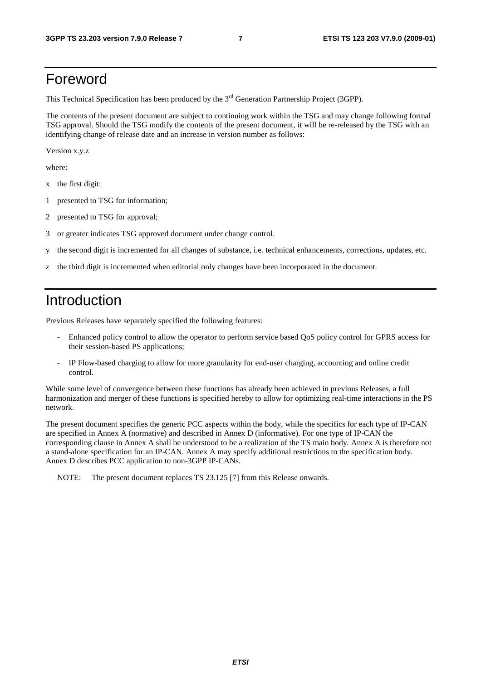# Foreword

This Technical Specification has been produced by the 3<sup>rd</sup> Generation Partnership Project (3GPP).

The contents of the present document are subject to continuing work within the TSG and may change following formal TSG approval. Should the TSG modify the contents of the present document, it will be re-released by the TSG with an identifying change of release date and an increase in version number as follows:

Version x.y.z

where:

- x the first digit:
- 1 presented to TSG for information;
- 2 presented to TSG for approval;
- 3 or greater indicates TSG approved document under change control.
- y the second digit is incremented for all changes of substance, i.e. technical enhancements, corrections, updates, etc.
- z the third digit is incremented when editorial only changes have been incorporated in the document.

# Introduction

Previous Releases have separately specified the following features:

- Enhanced policy control to allow the operator to perform service based QoS policy control for GPRS access for their session-based PS applications;
- IP Flow-based charging to allow for more granularity for end-user charging, accounting and online credit control.

While some level of convergence between these functions has already been achieved in previous Releases, a full harmonization and merger of these functions is specified hereby to allow for optimizing real-time interactions in the PS network.

The present document specifies the generic PCC aspects within the body, while the specifics for each type of IP-CAN are specified in Annex A (normative) and described in Annex D (informative). For one type of IP-CAN the corresponding clause in Annex A shall be understood to be a realization of the TS main body. Annex A is therefore not a stand-alone specification for an IP-CAN. Annex A may specify additional restrictions to the specification body. Annex D describes PCC application to non-3GPP IP-CANs.

NOTE: The present document replaces TS 23.125 [7] from this Release onwards.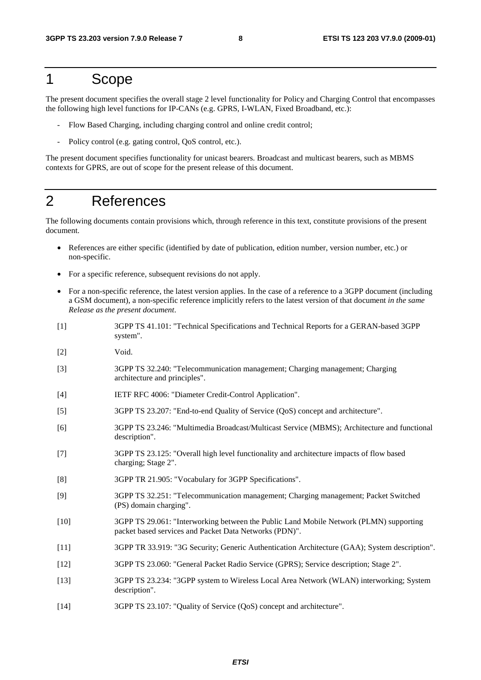# 1 Scope

The present document specifies the overall stage 2 level functionality for Policy and Charging Control that encompasses the following high level functions for IP-CANs (e.g. GPRS, I-WLAN, Fixed Broadband, etc.):

- Flow Based Charging, including charging control and online credit control;
- Policy control (e.g. gating control, QoS control, etc.).

The present document specifies functionality for unicast bearers. Broadcast and multicast bearers, such as MBMS contexts for GPRS, are out of scope for the present release of this document.

# 2 References

The following documents contain provisions which, through reference in this text, constitute provisions of the present document.

- References are either specific (identified by date of publication, edition number, version number, etc.) or non-specific.
- For a specific reference, subsequent revisions do not apply.
- For a non-specific reference, the latest version applies. In the case of a reference to a 3GPP document (including a GSM document), a non-specific reference implicitly refers to the latest version of that document *in the same Release as the present document*.
- [1] 3GPP TS 41.101: "Technical Specifications and Technical Reports for a GERAN-based 3GPP system".
- [2] Void.
- [3] 3GPP TS 32.240: "Telecommunication management; Charging management; Charging architecture and principles".
- [4] IETF RFC 4006: "Diameter Credit-Control Application".
- [5] 3GPP TS 23.207: "End-to-end Quality of Service (QoS) concept and architecture".
- [6] 3GPP TS 23.246: "Multimedia Broadcast/Multicast Service (MBMS); Architecture and functional description".
- [7] 3GPP TS 23.125: "Overall high level functionality and architecture impacts of flow based charging; Stage 2".
- [8] 3GPP TR 21.905: "Vocabulary for 3GPP Specifications".
- [9] 3GPP TS 32.251: "Telecommunication management; Charging management; Packet Switched (PS) domain charging".
- [10] 3GPP TS 29.061: "Interworking between the Public Land Mobile Network (PLMN) supporting packet based services and Packet Data Networks (PDN)".
- [11] 3GPP TR 33.919: "3G Security; Generic Authentication Architecture (GAA); System description".
- [12] 3GPP TS 23.060: "General Packet Radio Service (GPRS); Service description; Stage 2".
- [13] 3GPP TS 23.234: "3GPP system to Wireless Local Area Network (WLAN) interworking; System description".
- [14] 3GPP TS 23.107: "Quality of Service (QoS) concept and architecture".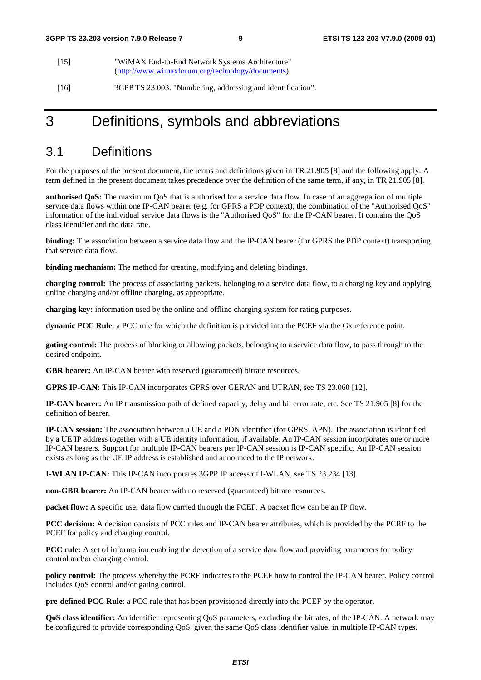- [15] "WiMAX End-to-End Network Systems Architecture" [\(http://www.wimaxforum.org/technology/documents\)](http://www.wimaxforum.org/technology/documents).
- [16] 3GPP TS 23.003: "Numbering, addressing and identification".

# 3 Definitions, symbols and abbreviations

# 3.1 Definitions

For the purposes of the present document, the terms and definitions given in TR 21.905 [8] and the following apply. A term defined in the present document takes precedence over the definition of the same term, if any, in TR 21.905 [8].

**authorised QoS:** The maximum QoS that is authorised for a service data flow. In case of an aggregation of multiple service data flows within one IP-CAN bearer (e.g. for GPRS a PDP context), the combination of the "Authorised QoS" information of the individual service data flows is the "Authorised QoS" for the IP-CAN bearer. It contains the QoS class identifier and the data rate.

**binding:** The association between a service data flow and the IP-CAN bearer (for GPRS the PDP context) transporting that service data flow.

**binding mechanism:** The method for creating, modifying and deleting bindings.

**charging control:** The process of associating packets, belonging to a service data flow, to a charging key and applying online charging and/or offline charging, as appropriate.

**charging key:** information used by the online and offline charging system for rating purposes.

**dynamic PCC Rule**: a PCC rule for which the definition is provided into the PCEF via the Gx reference point.

**gating control:** The process of blocking or allowing packets, belonging to a service data flow, to pass through to the desired endpoint.

**GBR bearer:** An IP-CAN bearer with reserved (guaranteed) bitrate resources.

**GPRS IP-CAN:** This IP-CAN incorporates GPRS over GERAN and UTRAN, see TS 23.060 [12].

**IP-CAN bearer:** An IP transmission path of defined capacity, delay and bit error rate, etc. See TS 21.905 [8] for the definition of bearer.

**IP-CAN session:** The association between a UE and a PDN identifier (for GPRS, APN). The association is identified by a UE IP address together with a UE identity information, if available. An IP-CAN session incorporates one or more IP-CAN bearers. Support for multiple IP-CAN bearers per IP-CAN session is IP-CAN specific. An IP-CAN session exists as long as the UE IP address is established and announced to the IP network.

**I-WLAN IP-CAN:** This IP-CAN incorporates 3GPP IP access of I-WLAN, see TS 23.234 [13].

**non-GBR bearer:** An IP-CAN bearer with no reserved (guaranteed) bitrate resources.

**packet flow:** A specific user data flow carried through the PCEF. A packet flow can be an IP flow.

**PCC decision:** A decision consists of PCC rules and IP-CAN bearer attributes, which is provided by the PCRF to the PCEF for policy and charging control.

**PCC rule:** A set of information enabling the detection of a service data flow and providing parameters for policy control and/or charging control.

**policy control:** The process whereby the PCRF indicates to the PCEF how to control the IP-CAN bearer. Policy control includes QoS control and/or gating control.

**pre-defined PCC Rule**: a PCC rule that has been provisioned directly into the PCEF by the operator.

**QoS class identifier:** An identifier representing QoS parameters, excluding the bitrates, of the IP-CAN. A network may be configured to provide corresponding QoS, given the same QoS class identifier value, in multiple IP-CAN types.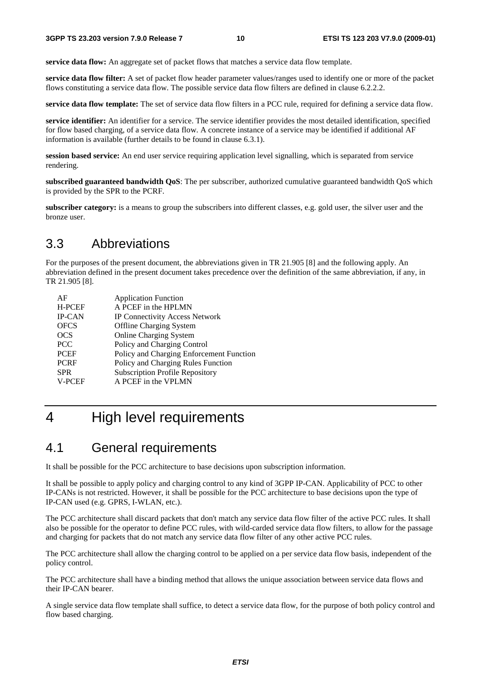**service data flow:** An aggregate set of packet flows that matches a service data flow template.

**service data flow filter:** A set of packet flow header parameter values/ranges used to identify one or more of the packet flows constituting a service data flow. The possible service data flow filters are defined in clause 6.2.2.2.

**service data flow template:** The set of service data flow filters in a PCC rule, required for defining a service data flow.

**service identifier:** An identifier for a service. The service identifier provides the most detailed identification, specified for flow based charging, of a service data flow. A concrete instance of a service may be identified if additional AF information is available (further details to be found in clause 6.3.1).

**session based service:** An end user service requiring application level signalling, which is separated from service rendering.

**subscribed guaranteed bandwidth QoS**: The per subscriber, authorized cumulative guaranteed bandwidth QoS which is provided by the SPR to the PCRF.

**subscriber category:** is a means to group the subscribers into different classes, e.g. gold user, the silver user and the bronze user.

# 3.3 Abbreviations

For the purposes of the present document, the abbreviations given in TR 21.905 [8] and the following apply. An abbreviation defined in the present document takes precedence over the definition of the same abbreviation, if any, in TR 21.905 [8].

| <b>Application Function</b>              |
|------------------------------------------|
| A PCEF in the HPLMN                      |
| IP Connectivity Access Network           |
| <b>Offline Charging System</b>           |
| <b>Online Charging System</b>            |
| Policy and Charging Control              |
| Policy and Charging Enforcement Function |
| Policy and Charging Rules Function       |
| <b>Subscription Profile Repository</b>   |
| A PCEF in the VPLMN                      |
|                                          |

# 4 High level requirements

# 4.1 General requirements

It shall be possible for the PCC architecture to base decisions upon subscription information.

It shall be possible to apply policy and charging control to any kind of 3GPP IP-CAN. Applicability of PCC to other IP-CANs is not restricted. However, it shall be possible for the PCC architecture to base decisions upon the type of IP-CAN used (e.g. GPRS, I-WLAN, etc.).

The PCC architecture shall discard packets that don't match any service data flow filter of the active PCC rules. It shall also be possible for the operator to define PCC rules, with wild-carded service data flow filters, to allow for the passage and charging for packets that do not match any service data flow filter of any other active PCC rules.

The PCC architecture shall allow the charging control to be applied on a per service data flow basis, independent of the policy control.

The PCC architecture shall have a binding method that allows the unique association between service data flows and their IP-CAN bearer.

A single service data flow template shall suffice, to detect a service data flow, for the purpose of both policy control and flow based charging.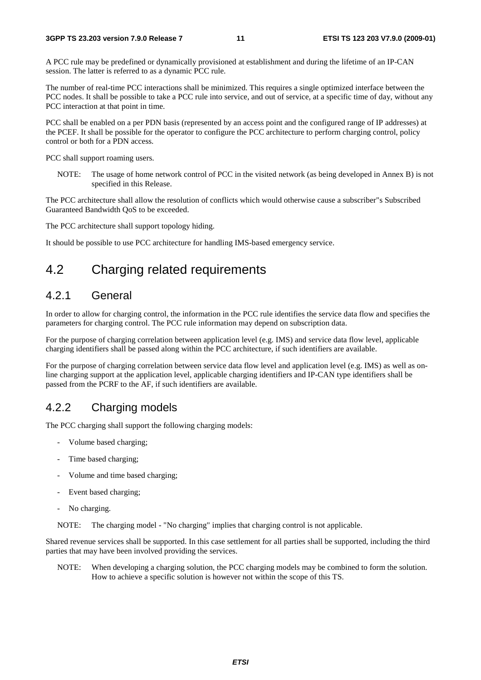A PCC rule may be predefined or dynamically provisioned at establishment and during the lifetime of an IP-CAN session. The latter is referred to as a dynamic PCC rule.

The number of real-time PCC interactions shall be minimized. This requires a single optimized interface between the PCC nodes. It shall be possible to take a PCC rule into service, and out of service, at a specific time of day, without any PCC interaction at that point in time.

PCC shall be enabled on a per PDN basis (represented by an access point and the configured range of IP addresses) at the PCEF. It shall be possible for the operator to configure the PCC architecture to perform charging control, policy control or both for a PDN access.

PCC shall support roaming users.

NOTE: The usage of home network control of PCC in the visited network (as being developed in Annex B) is not specified in this Release.

The PCC architecture shall allow the resolution of conflicts which would otherwise cause a subscriber"s Subscribed Guaranteed Bandwidth QoS to be exceeded.

The PCC architecture shall support topology hiding.

It should be possible to use PCC architecture for handling IMS-based emergency service.

# 4.2 Charging related requirements

### 4.2.1 General

In order to allow for charging control, the information in the PCC rule identifies the service data flow and specifies the parameters for charging control. The PCC rule information may depend on subscription data.

For the purpose of charging correlation between application level (e.g. IMS) and service data flow level, applicable charging identifiers shall be passed along within the PCC architecture, if such identifiers are available.

For the purpose of charging correlation between service data flow level and application level (e.g. IMS) as well as online charging support at the application level, applicable charging identifiers and IP-CAN type identifiers shall be passed from the PCRF to the AF, if such identifiers are available.

### 4.2.2 Charging models

The PCC charging shall support the following charging models:

- Volume based charging;
- Time based charging;
- Volume and time based charging;
- Event based charging;
- No charging.

NOTE: The charging model - "No charging" implies that charging control is not applicable.

Shared revenue services shall be supported. In this case settlement for all parties shall be supported, including the third parties that may have been involved providing the services.

NOTE: When developing a charging solution, the PCC charging models may be combined to form the solution. How to achieve a specific solution is however not within the scope of this TS.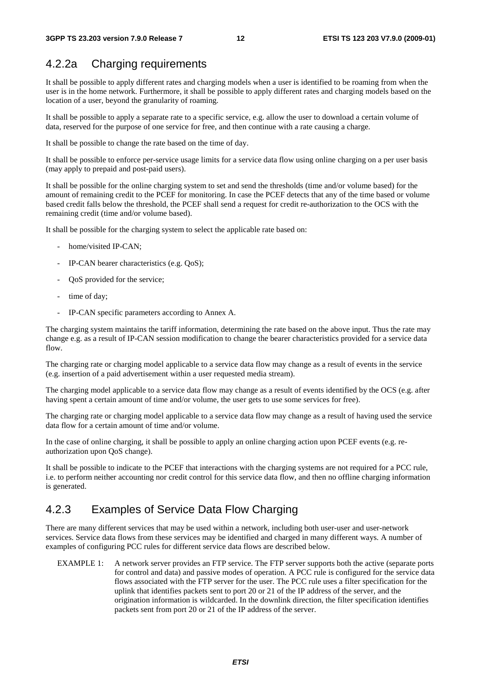### 4.2.2a Charging requirements

It shall be possible to apply different rates and charging models when a user is identified to be roaming from when the user is in the home network. Furthermore, it shall be possible to apply different rates and charging models based on the location of a user, beyond the granularity of roaming.

It shall be possible to apply a separate rate to a specific service, e.g. allow the user to download a certain volume of data, reserved for the purpose of one service for free, and then continue with a rate causing a charge.

It shall be possible to change the rate based on the time of day.

It shall be possible to enforce per-service usage limits for a service data flow using online charging on a per user basis (may apply to prepaid and post-paid users).

It shall be possible for the online charging system to set and send the thresholds (time and/or volume based) for the amount of remaining credit to the PCEF for monitoring. In case the PCEF detects that any of the time based or volume based credit falls below the threshold, the PCEF shall send a request for credit re-authorization to the OCS with the remaining credit (time and/or volume based).

It shall be possible for the charging system to select the applicable rate based on:

- home/visited IP-CAN:
- IP-CAN bearer characteristics (e.g. QoS);
- OoS provided for the service;
- time of day;
- IP-CAN specific parameters according to Annex A.

The charging system maintains the tariff information, determining the rate based on the above input. Thus the rate may change e.g. as a result of IP-CAN session modification to change the bearer characteristics provided for a service data flow.

The charging rate or charging model applicable to a service data flow may change as a result of events in the service (e.g. insertion of a paid advertisement within a user requested media stream).

The charging model applicable to a service data flow may change as a result of events identified by the OCS (e.g. after having spent a certain amount of time and/or volume, the user gets to use some services for free).

The charging rate or charging model applicable to a service data flow may change as a result of having used the service data flow for a certain amount of time and/or volume.

In the case of online charging, it shall be possible to apply an online charging action upon PCEF events (e.g. reauthorization upon QoS change).

It shall be possible to indicate to the PCEF that interactions with the charging systems are not required for a PCC rule, i.e. to perform neither accounting nor credit control for this service data flow, and then no offline charging information is generated.

## 4.2.3 Examples of Service Data Flow Charging

There are many different services that may be used within a network, including both user-user and user-network services. Service data flows from these services may be identified and charged in many different ways. A number of examples of configuring PCC rules for different service data flows are described below.

EXAMPLE 1: A network server provides an FTP service. The FTP server supports both the active (separate ports for control and data) and passive modes of operation. A PCC rule is configured for the service data flows associated with the FTP server for the user. The PCC rule uses a filter specification for the uplink that identifies packets sent to port 20 or 21 of the IP address of the server, and the origination information is wildcarded. In the downlink direction, the filter specification identifies packets sent from port 20 or 21 of the IP address of the server.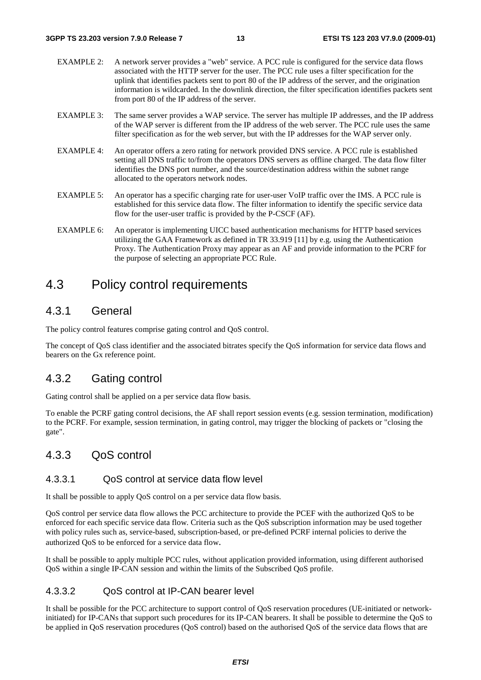- EXAMPLE 2: A network server provides a "web" service. A PCC rule is configured for the service data flows associated with the HTTP server for the user. The PCC rule uses a filter specification for the uplink that identifies packets sent to port 80 of the IP address of the server, and the origination information is wildcarded. In the downlink direction, the filter specification identifies packets sent from port 80 of the IP address of the server.
- EXAMPLE 3: The same server provides a WAP service. The server has multiple IP addresses, and the IP address of the WAP server is different from the IP address of the web server. The PCC rule uses the same filter specification as for the web server, but with the IP addresses for the WAP server only.
- EXAMPLE 4: An operator offers a zero rating for network provided DNS service. A PCC rule is established setting all DNS traffic to/from the operators DNS servers as offline charged. The data flow filter identifies the DNS port number, and the source/destination address within the subnet range allocated to the operators network nodes.
- EXAMPLE 5: An operator has a specific charging rate for user-user VoIP traffic over the IMS. A PCC rule is established for this service data flow. The filter information to identify the specific service data flow for the user-user traffic is provided by the P-CSCF (AF).
- EXAMPLE 6: An operator is implementing UICC based authentication mechanisms for HTTP based services utilizing the GAA Framework as defined in TR 33.919 [11] by e.g. using the Authentication Proxy. The Authentication Proxy may appear as an AF and provide information to the PCRF for the purpose of selecting an appropriate PCC Rule.

## 4.3 Policy control requirements

### 4.3.1 General

The policy control features comprise gating control and QoS control.

The concept of QoS class identifier and the associated bitrates specify the QoS information for service data flows and bearers on the Gx reference point.

### 4.3.2 Gating control

Gating control shall be applied on a per service data flow basis.

To enable the PCRF gating control decisions, the AF shall report session events (e.g. session termination, modification) to the PCRF. For example, session termination, in gating control, may trigger the blocking of packets or "closing the gate".

### 4.3.3 QoS control

#### 4.3.3.1 QoS control at service data flow level

It shall be possible to apply QoS control on a per service data flow basis.

QoS control per service data flow allows the PCC architecture to provide the PCEF with the authorized QoS to be enforced for each specific service data flow. Criteria such as the QoS subscription information may be used together with policy rules such as, service-based, subscription-based, or pre-defined PCRF internal policies to derive the authorized QoS to be enforced for a service data flow.

It shall be possible to apply multiple PCC rules, without application provided information, using different authorised QoS within a single IP-CAN session and within the limits of the Subscribed QoS profile.

### 4.3.3.2 QoS control at IP-CAN bearer level

It shall be possible for the PCC architecture to support control of QoS reservation procedures (UE-initiated or networkinitiated) for IP-CANs that support such procedures for its IP-CAN bearers. It shall be possible to determine the QoS to be applied in QoS reservation procedures (QoS control) based on the authorised QoS of the service data flows that are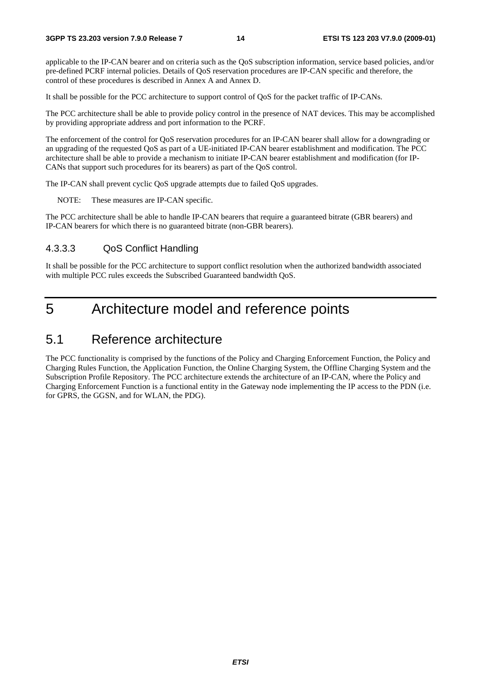applicable to the IP-CAN bearer and on criteria such as the QoS subscription information, service based policies, and/or pre-defined PCRF internal policies. Details of QoS reservation procedures are IP-CAN specific and therefore, the control of these procedures is described in Annex A and Annex D.

It shall be possible for the PCC architecture to support control of QoS for the packet traffic of IP-CANs.

The PCC architecture shall be able to provide policy control in the presence of NAT devices. This may be accomplished by providing appropriate address and port information to the PCRF.

The enforcement of the control for QoS reservation procedures for an IP-CAN bearer shall allow for a downgrading or an upgrading of the requested QoS as part of a UE-initiated IP-CAN bearer establishment and modification. The PCC architecture shall be able to provide a mechanism to initiate IP-CAN bearer establishment and modification (for IP-CANs that support such procedures for its bearers) as part of the QoS control.

The IP-CAN shall prevent cyclic QoS upgrade attempts due to failed QoS upgrades.

NOTE: These measures are IP-CAN specific.

The PCC architecture shall be able to handle IP-CAN bearers that require a guaranteed bitrate (GBR bearers) and IP-CAN bearers for which there is no guaranteed bitrate (non-GBR bearers).

### 4.3.3.3 QoS Conflict Handling

It shall be possible for the PCC architecture to support conflict resolution when the authorized bandwidth associated with multiple PCC rules exceeds the Subscribed Guaranteed bandwidth QoS.

# 5 Architecture model and reference points

## 5.1 Reference architecture

The PCC functionality is comprised by the functions of the Policy and Charging Enforcement Function, the Policy and Charging Rules Function, the Application Function, the Online Charging System, the Offline Charging System and the Subscription Profile Repository. The PCC architecture extends the architecture of an IP-CAN, where the Policy and Charging Enforcement Function is a functional entity in the Gateway node implementing the IP access to the PDN (i.e. for GPRS, the GGSN, and for WLAN, the PDG).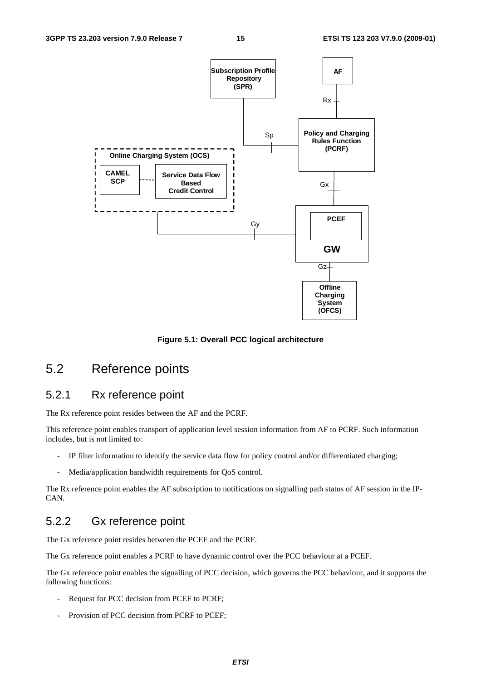

**Figure 5.1: Overall PCC logical architecture** 

# 5.2 Reference points

### 5.2.1 Rx reference point

The Rx reference point resides between the AF and the PCRF.

This reference point enables transport of application level session information from AF to PCRF. Such information includes, but is not limited to:

- IP filter information to identify the service data flow for policy control and/or differentiated charging;
- Media/application bandwidth requirements for QoS control.

The Rx reference point enables the AF subscription to notifications on signalling path status of AF session in the IP-CAN.

### 5.2.2 Gx reference point

The Gx reference point resides between the PCEF and the PCRF.

The Gx reference point enables a PCRF to have dynamic control over the PCC behaviour at a PCEF.

The Gx reference point enables the signalling of PCC decision, which governs the PCC behaviour, and it supports the following functions:

- Request for PCC decision from PCEF to PCRF;
- Provision of PCC decision from PCRF to PCEF;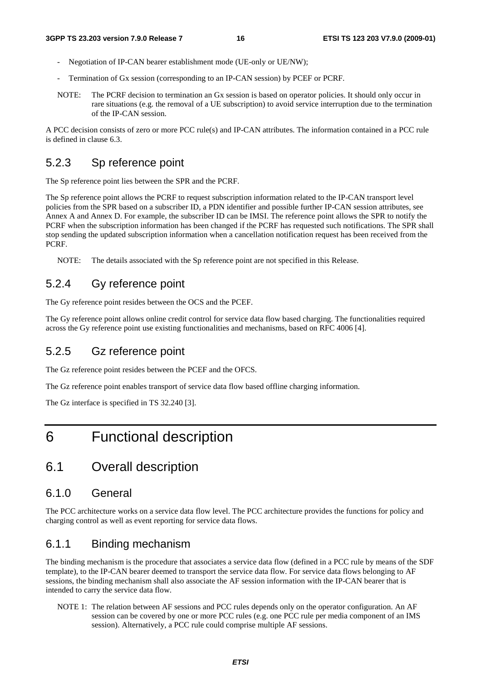- Negotiation of IP-CAN bearer establishment mode (UE-only or UE/NW);
- Termination of Gx session (corresponding to an IP-CAN session) by PCEF or PCRF.
- NOTE: The PCRF decision to termination an Gx session is based on operator policies. It should only occur in rare situations (e.g. the removal of a UE subscription) to avoid service interruption due to the termination of the IP-CAN session.

A PCC decision consists of zero or more PCC rule(s) and IP-CAN attributes. The information contained in a PCC rule is defined in clause 6.3.

### 5.2.3 Sp reference point

The Sp reference point lies between the SPR and the PCRF.

The Sp reference point allows the PCRF to request subscription information related to the IP-CAN transport level policies from the SPR based on a subscriber ID, a PDN identifier and possible further IP-CAN session attributes, see Annex A and Annex D. For example, the subscriber ID can be IMSI. The reference point allows the SPR to notify the PCRF when the subscription information has been changed if the PCRF has requested such notifications. The SPR shall stop sending the updated subscription information when a cancellation notification request has been received from the PCRF.

NOTE: The details associated with the Sp reference point are not specified in this Release.

### 5.2.4 Gy reference point

The Gy reference point resides between the OCS and the PCEF.

The Gy reference point allows online credit control for service data flow based charging. The functionalities required across the Gy reference point use existing functionalities and mechanisms, based on RFC 4006 [4].

### 5.2.5 Gz reference point

The Gz reference point resides between the PCEF and the OFCS.

The Gz reference point enables transport of service data flow based offline charging information.

The Gz interface is specified in TS 32.240 [3].

# 6 Functional description

## 6.1 Overall description

### 6.1.0 General

The PCC architecture works on a service data flow level. The PCC architecture provides the functions for policy and charging control as well as event reporting for service data flows.

### 6.1.1 Binding mechanism

The binding mechanism is the procedure that associates a service data flow (defined in a PCC rule by means of the SDF template), to the IP-CAN bearer deemed to transport the service data flow. For service data flows belonging to AF sessions, the binding mechanism shall also associate the AF session information with the IP-CAN bearer that is intended to carry the service data flow.

NOTE 1: The relation between AF sessions and PCC rules depends only on the operator configuration. An AF session can be covered by one or more PCC rules (e.g. one PCC rule per media component of an IMS session). Alternatively, a PCC rule could comprise multiple AF sessions.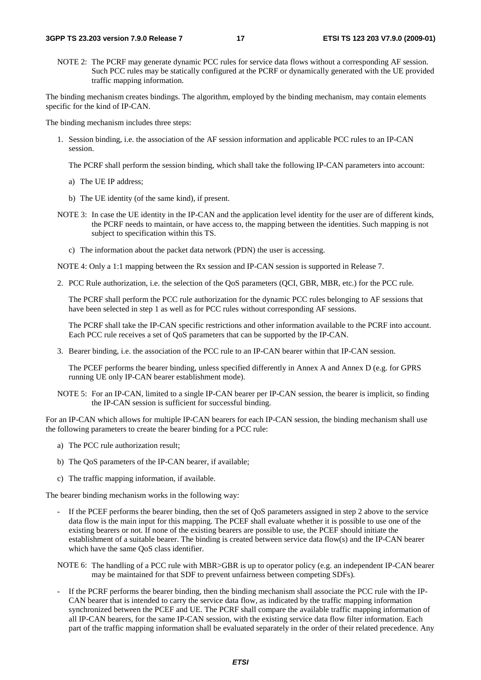NOTE 2: The PCRF may generate dynamic PCC rules for service data flows without a corresponding AF session. Such PCC rules may be statically configured at the PCRF or dynamically generated with the UE provided traffic mapping information.

The binding mechanism creates bindings. The algorithm, employed by the binding mechanism, may contain elements specific for the kind of IP-CAN.

The binding mechanism includes three steps:

1. Session binding, i.e. the association of the AF session information and applicable PCC rules to an IP-CAN session.

The PCRF shall perform the session binding, which shall take the following IP-CAN parameters into account:

- a) The UE IP address;
- b) The UE identity (of the same kind), if present.
- NOTE 3: In case the UE identity in the IP-CAN and the application level identity for the user are of different kinds, the PCRF needs to maintain, or have access to, the mapping between the identities. Such mapping is not subject to specification within this TS.
	- c) The information about the packet data network (PDN) the user is accessing.

NOTE 4: Only a 1:1 mapping between the Rx session and IP-CAN session is supported in Release 7.

2. PCC Rule authorization, i.e. the selection of the QoS parameters (QCI, GBR, MBR, etc.) for the PCC rule.

 The PCRF shall perform the PCC rule authorization for the dynamic PCC rules belonging to AF sessions that have been selected in step 1 as well as for PCC rules without corresponding AF sessions.

 The PCRF shall take the IP-CAN specific restrictions and other information available to the PCRF into account. Each PCC rule receives a set of QoS parameters that can be supported by the IP-CAN.

3. Bearer binding, i.e. the association of the PCC rule to an IP-CAN bearer within that IP-CAN session.

 The PCEF performs the bearer binding, unless specified differently in Annex A and Annex D (e.g. for GPRS running UE only IP-CAN bearer establishment mode).

NOTE 5: For an IP-CAN, limited to a single IP-CAN bearer per IP-CAN session, the bearer is implicit, so finding the IP-CAN session is sufficient for successful binding.

For an IP-CAN which allows for multiple IP-CAN bearers for each IP-CAN session, the binding mechanism shall use the following parameters to create the bearer binding for a PCC rule:

- a) The PCC rule authorization result;
- b) The QoS parameters of the IP-CAN bearer, if available;
- c) The traffic mapping information, if available.

The bearer binding mechanism works in the following way:

- If the PCEF performs the bearer binding, then the set of QoS parameters assigned in step 2 above to the service data flow is the main input for this mapping. The PCEF shall evaluate whether it is possible to use one of the existing bearers or not. If none of the existing bearers are possible to use, the PCEF should initiate the establishment of a suitable bearer. The binding is created between service data flow(s) and the IP-CAN bearer which have the same QoS class identifier.
- NOTE 6: The handling of a PCC rule with MBR>GBR is up to operator policy (e.g. an independent IP-CAN bearer may be maintained for that SDF to prevent unfairness between competing SDFs).
- If the PCRF performs the bearer binding, then the binding mechanism shall associate the PCC rule with the IP-CAN bearer that is intended to carry the service data flow, as indicated by the traffic mapping information synchronized between the PCEF and UE. The PCRF shall compare the available traffic mapping information of all IP-CAN bearers, for the same IP-CAN session, with the existing service data flow filter information. Each part of the traffic mapping information shall be evaluated separately in the order of their related precedence. Any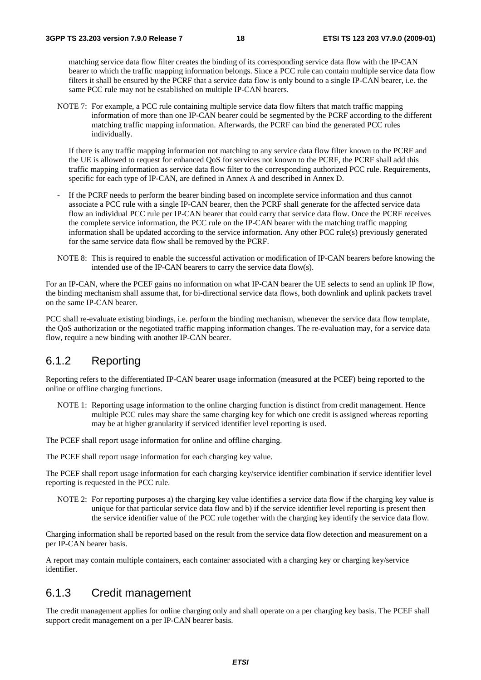matching service data flow filter creates the binding of its corresponding service data flow with the IP-CAN bearer to which the traffic mapping information belongs. Since a PCC rule can contain multiple service data flow filters it shall be ensured by the PCRF that a service data flow is only bound to a single IP-CAN bearer, i.e. the same PCC rule may not be established on multiple IP-CAN bearers.

NOTE 7: For example, a PCC rule containing multiple service data flow filters that match traffic mapping information of more than one IP-CAN bearer could be segmented by the PCRF according to the different matching traffic mapping information. Afterwards, the PCRF can bind the generated PCC rules individually.

 If there is any traffic mapping information not matching to any service data flow filter known to the PCRF and the UE is allowed to request for enhanced QoS for services not known to the PCRF, the PCRF shall add this traffic mapping information as service data flow filter to the corresponding authorized PCC rule. Requirements, specific for each type of IP-CAN, are defined in Annex A and described in Annex D.

- If the PCRF needs to perform the bearer binding based on incomplete service information and thus cannot associate a PCC rule with a single IP-CAN bearer, then the PCRF shall generate for the affected service data flow an individual PCC rule per IP-CAN bearer that could carry that service data flow. Once the PCRF receives the complete service information, the PCC rule on the IP-CAN bearer with the matching traffic mapping information shall be updated according to the service information. Any other PCC rule(s) previously generated for the same service data flow shall be removed by the PCRF.
- NOTE 8: This is required to enable the successful activation or modification of IP-CAN bearers before knowing the intended use of the IP-CAN bearers to carry the service data flow(s).

For an IP-CAN, where the PCEF gains no information on what IP-CAN bearer the UE selects to send an uplink IP flow, the binding mechanism shall assume that, for bi-directional service data flows, both downlink and uplink packets travel on the same IP-CAN bearer.

PCC shall re-evaluate existing bindings, i.e. perform the binding mechanism, whenever the service data flow template, the QoS authorization or the negotiated traffic mapping information changes. The re-evaluation may, for a service data flow, require a new binding with another IP-CAN bearer.

### 6.1.2 Reporting

Reporting refers to the differentiated IP-CAN bearer usage information (measured at the PCEF) being reported to the online or offline charging functions.

NOTE 1: Reporting usage information to the online charging function is distinct from credit management. Hence multiple PCC rules may share the same charging key for which one credit is assigned whereas reporting may be at higher granularity if serviced identifier level reporting is used.

The PCEF shall report usage information for online and offline charging.

The PCEF shall report usage information for each charging key value.

The PCEF shall report usage information for each charging key/service identifier combination if service identifier level reporting is requested in the PCC rule.

NOTE 2: For reporting purposes a) the charging key value identifies a service data flow if the charging key value is unique for that particular service data flow and b) if the service identifier level reporting is present then the service identifier value of the PCC rule together with the charging key identify the service data flow.

Charging information shall be reported based on the result from the service data flow detection and measurement on a per IP-CAN bearer basis.

A report may contain multiple containers, each container associated with a charging key or charging key/service identifier.

### 6.1.3 Credit management

The credit management applies for online charging only and shall operate on a per charging key basis. The PCEF shall support credit management on a per IP-CAN bearer basis.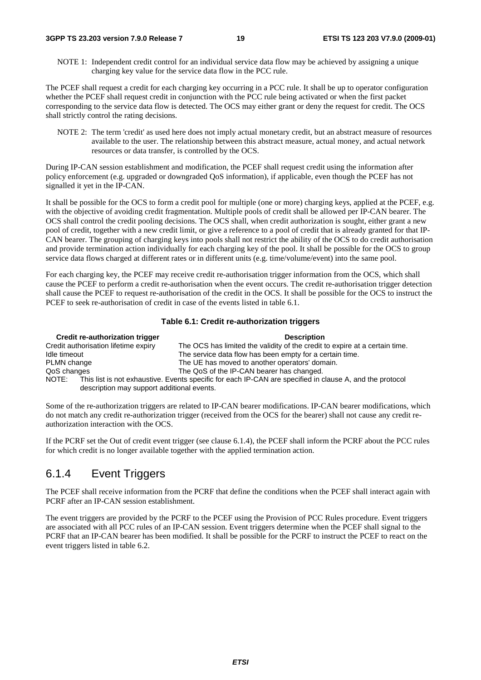NOTE 1: Independent credit control for an individual service data flow may be achieved by assigning a unique charging key value for the service data flow in the PCC rule.

The PCEF shall request a credit for each charging key occurring in a PCC rule. It shall be up to operator configuration whether the PCEF shall request credit in conjunction with the PCC rule being activated or when the first packet corresponding to the service data flow is detected. The OCS may either grant or deny the request for credit. The OCS shall strictly control the rating decisions.

NOTE 2: The term 'credit' as used here does not imply actual monetary credit, but an abstract measure of resources available to the user. The relationship between this abstract measure, actual money, and actual network resources or data transfer, is controlled by the OCS.

During IP-CAN session establishment and modification, the PCEF shall request credit using the information after policy enforcement (e.g. upgraded or downgraded QoS information), if applicable, even though the PCEF has not signalled it yet in the IP-CAN.

It shall be possible for the OCS to form a credit pool for multiple (one or more) charging keys, applied at the PCEF, e.g. with the objective of avoiding credit fragmentation. Multiple pools of credit shall be allowed per IP-CAN bearer. The OCS shall control the credit pooling decisions. The OCS shall, when credit authorization is sought, either grant a new pool of credit, together with a new credit limit, or give a reference to a pool of credit that is already granted for that IP-CAN bearer. The grouping of charging keys into pools shall not restrict the ability of the OCS to do credit authorisation and provide termination action individually for each charging key of the pool. It shall be possible for the OCS to group service data flows charged at different rates or in different units (e.g. time/volume/event) into the same pool.

For each charging key, the PCEF may receive credit re-authorisation trigger information from the OCS, which shall cause the PCEF to perform a credit re-authorisation when the event occurs. The credit re-authorisation trigger detection shall cause the PCEF to request re-authorisation of the credit in the OCS. It shall be possible for the OCS to instruct the PCEF to seek re-authorisation of credit in case of the events listed in table 6.1.

#### **Table 6.1: Credit re-authorization triggers**

| Credit re-authorization trigger                                                                                                                                 | <b>Description</b>                                                          |
|-----------------------------------------------------------------------------------------------------------------------------------------------------------------|-----------------------------------------------------------------------------|
| Credit authorisation lifetime expiry                                                                                                                            | The OCS has limited the validity of the credit to expire at a certain time. |
| Idle timeout                                                                                                                                                    | The service data flow has been empty for a certain time.                    |
| PLMN change                                                                                                                                                     | The UE has moved to another operators' domain.                              |
| QoS changes                                                                                                                                                     | The QoS of the IP-CAN bearer has changed.                                   |
| NOTE:<br>This list is not exhaustive. Events specific for each IP-CAN are specified in clause A, and the protocol<br>description may support additional events. |                                                                             |

Some of the re-authorization triggers are related to IP-CAN bearer modifications. IP-CAN bearer modifications, which do not match any credit re-authorization trigger (received from the OCS for the bearer) shall not cause any credit reauthorization interaction with the OCS.

If the PCRF set the Out of credit event trigger (see clause 6.1.4), the PCEF shall inform the PCRF about the PCC rules for which credit is no longer available together with the applied termination action.

### 6.1.4 Event Triggers

The PCEF shall receive information from the PCRF that define the conditions when the PCEF shall interact again with PCRF after an IP-CAN session establishment.

The event triggers are provided by the PCRF to the PCEF using the Provision of PCC Rules procedure. Event triggers are associated with all PCC rules of an IP-CAN session. Event triggers determine when the PCEF shall signal to the PCRF that an IP-CAN bearer has been modified. It shall be possible for the PCRF to instruct the PCEF to react on the event triggers listed in table 6.2.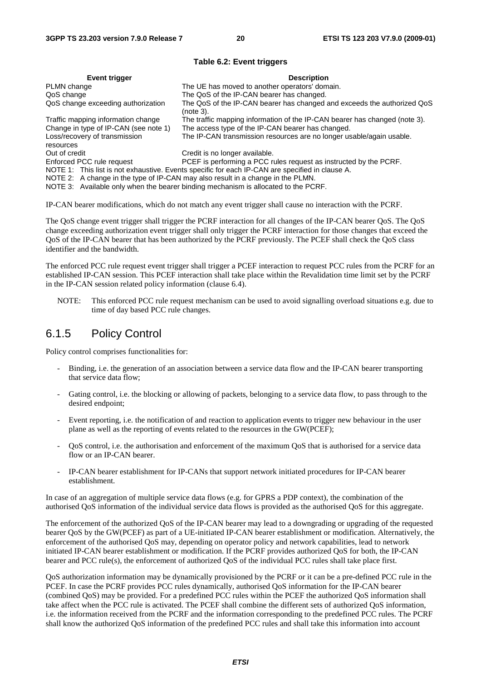#### **Table 6.2: Event triggers**

| Event trigger                                                                                                                                                                                                                                                            | <b>Description</b>                                                                   |  |  |
|--------------------------------------------------------------------------------------------------------------------------------------------------------------------------------------------------------------------------------------------------------------------------|--------------------------------------------------------------------------------------|--|--|
| PLMN change                                                                                                                                                                                                                                                              | The UE has moved to another operators' domain.                                       |  |  |
| QoS change                                                                                                                                                                                                                                                               | The QoS of the IP-CAN bearer has changed.                                            |  |  |
| QoS change exceeding authorization                                                                                                                                                                                                                                       | The QoS of the IP-CAN bearer has changed and exceeds the authorized QoS<br>(note 3). |  |  |
| Traffic mapping information change                                                                                                                                                                                                                                       | The traffic mapping information of the IP-CAN bearer has changed (note 3).           |  |  |
| Change in type of IP-CAN (see note 1)                                                                                                                                                                                                                                    | The access type of the IP-CAN bearer has changed.                                    |  |  |
| Loss/recovery of transmission<br>resources                                                                                                                                                                                                                               | The IP-CAN transmission resources are no longer usable/again usable.                 |  |  |
| Out of credit                                                                                                                                                                                                                                                            | Credit is no longer available.                                                       |  |  |
| Enforced PCC rule request                                                                                                                                                                                                                                                | PCEF is performing a PCC rules request as instructed by the PCRF.                    |  |  |
| NOTE 1: This list is not exhaustive. Events specific for each IP-CAN are specified in clause A.<br>NOTE 2: A change in the type of IP-CAN may also result in a change in the PLMN.<br>NOTE 3: Available only when the bearer binding mechanism is allocated to the PCRF. |                                                                                      |  |  |

IP-CAN bearer modifications, which do not match any event trigger shall cause no interaction with the PCRF.

The QoS change event trigger shall trigger the PCRF interaction for all changes of the IP-CAN bearer QoS. The QoS change exceeding authorization event trigger shall only trigger the PCRF interaction for those changes that exceed the QoS of the IP-CAN bearer that has been authorized by the PCRF previously. The PCEF shall check the QoS class identifier and the bandwidth.

The enforced PCC rule request event trigger shall trigger a PCEF interaction to request PCC rules from the PCRF for an established IP-CAN session. This PCEF interaction shall take place within the Revalidation time limit set by the PCRF in the IP-CAN session related policy information (clause 6.4).

NOTE: This enforced PCC rule request mechanism can be used to avoid signalling overload situations e.g. due to time of day based PCC rule changes.

### 6.1.5 Policy Control

Policy control comprises functionalities for:

- Binding, i.e. the generation of an association between a service data flow and the IP-CAN bearer transporting that service data flow;
- Gating control, i.e. the blocking or allowing of packets, belonging to a service data flow, to pass through to the desired endpoint;
- Event reporting, i.e. the notification of and reaction to application events to trigger new behaviour in the user plane as well as the reporting of events related to the resources in the GW(PCEF);
- QoS control, i.e. the authorisation and enforcement of the maximum QoS that is authorised for a service data flow or an IP-CAN bearer.
- IP-CAN bearer establishment for IP-CANs that support network initiated procedures for IP-CAN bearer establishment.

In case of an aggregation of multiple service data flows (e.g. for GPRS a PDP context), the combination of the authorised QoS information of the individual service data flows is provided as the authorised QoS for this aggregate.

The enforcement of the authorized QoS of the IP-CAN bearer may lead to a downgrading or upgrading of the requested bearer QoS by the GW(PCEF) as part of a UE-initiated IP-CAN bearer establishment or modification. Alternatively, the enforcement of the authorised QoS may, depending on operator policy and network capabilities, lead to network initiated IP-CAN bearer establishment or modification. If the PCRF provides authorized QoS for both, the IP-CAN bearer and PCC rule(s), the enforcement of authorized QoS of the individual PCC rules shall take place first.

QoS authorization information may be dynamically provisioned by the PCRF or it can be a pre-defined PCC rule in the PCEF. In case the PCRF provides PCC rules dynamically, authorised QoS information for the IP-CAN bearer (combined QoS) may be provided. For a predefined PCC rules within the PCEF the authorized QoS information shall take affect when the PCC rule is activated. The PCEF shall combine the different sets of authorized QoS information, i.e. the information received from the PCRF and the information corresponding to the predefined PCC rules. The PCRF shall know the authorized QoS information of the predefined PCC rules and shall take this information into account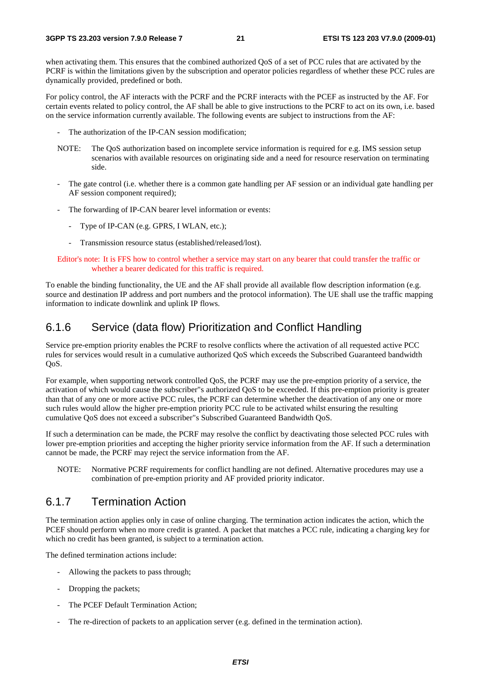when activating them. This ensures that the combined authorized QoS of a set of PCC rules that are activated by the PCRF is within the limitations given by the subscription and operator policies regardless of whether these PCC rules are dynamically provided, predefined or both.

For policy control, the AF interacts with the PCRF and the PCRF interacts with the PCEF as instructed by the AF. For certain events related to policy control, the AF shall be able to give instructions to the PCRF to act on its own, i.e. based on the service information currently available. The following events are subject to instructions from the AF:

- The authorization of the IP-CAN session modification;
- NOTE: The QoS authorization based on incomplete service information is required for e.g. IMS session setup scenarios with available resources on originating side and a need for resource reservation on terminating side.
- The gate control (i.e. whether there is a common gate handling per AF session or an individual gate handling per AF session component required);
- The forwarding of IP-CAN bearer level information or events:
	- Type of IP-CAN (e.g. GPRS, I WLAN, etc.);
	- Transmission resource status (established/released/lost).

Editor's note: It is FFS how to control whether a service may start on any bearer that could transfer the traffic or whether a bearer dedicated for this traffic is required.

To enable the binding functionality, the UE and the AF shall provide all available flow description information (e.g. source and destination IP address and port numbers and the protocol information). The UE shall use the traffic mapping information to indicate downlink and uplink IP flows.

### 6.1.6 Service (data flow) Prioritization and Conflict Handling

Service pre-emption priority enables the PCRF to resolve conflicts where the activation of all requested active PCC rules for services would result in a cumulative authorized QoS which exceeds the Subscribed Guaranteed bandwidth QoS.

For example, when supporting network controlled QoS, the PCRF may use the pre-emption priority of a service, the activation of which would cause the subscriber"s authorized QoS to be exceeded. If this pre-emption priority is greater than that of any one or more active PCC rules, the PCRF can determine whether the deactivation of any one or more such rules would allow the higher pre-emption priority PCC rule to be activated whilst ensuring the resulting cumulative QoS does not exceed a subscriber"s Subscribed Guaranteed Bandwidth QoS.

If such a determination can be made, the PCRF may resolve the conflict by deactivating those selected PCC rules with lower pre-emption priorities and accepting the higher priority service information from the AF. If such a determination cannot be made, the PCRF may reject the service information from the AF.

NOTE: Normative PCRF requirements for conflict handling are not defined. Alternative procedures may use a combination of pre-emption priority and AF provided priority indicator.

### 6.1.7 Termination Action

The termination action applies only in case of online charging. The termination action indicates the action, which the PCEF should perform when no more credit is granted. A packet that matches a PCC rule, indicating a charging key for which no credit has been granted, is subject to a termination action.

The defined termination actions include:

- Allowing the packets to pass through;
- Dropping the packets:
- The PCEF Default Termination Action;
- The re-direction of packets to an application server (e.g. defined in the termination action).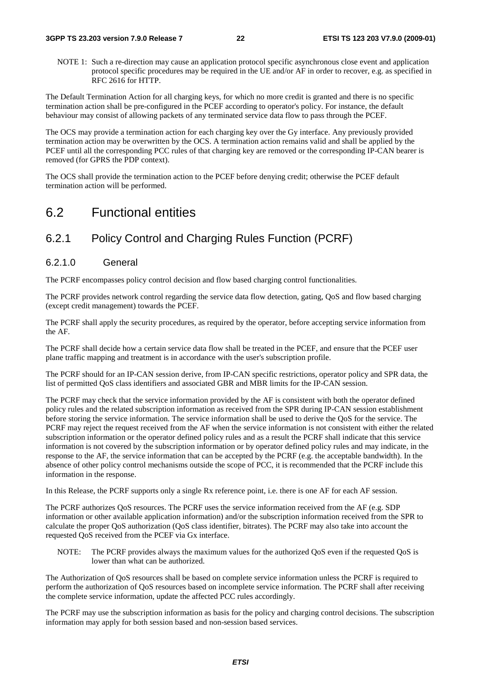NOTE 1: Such a re-direction may cause an application protocol specific asynchronous close event and application protocol specific procedures may be required in the UE and/or AF in order to recover, e.g. as specified in RFC 2616 for HTTP.

The Default Termination Action for all charging keys, for which no more credit is granted and there is no specific termination action shall be pre-configured in the PCEF according to operator's policy. For instance, the default behaviour may consist of allowing packets of any terminated service data flow to pass through the PCEF.

The OCS may provide a termination action for each charging key over the Gy interface. Any previously provided termination action may be overwritten by the OCS. A termination action remains valid and shall be applied by the PCEF until all the corresponding PCC rules of that charging key are removed or the corresponding IP-CAN bearer is removed (for GPRS the PDP context).

The OCS shall provide the termination action to the PCEF before denying credit; otherwise the PCEF default termination action will be performed.

# 6.2 Functional entities

# 6.2.1 Policy Control and Charging Rules Function (PCRF)

### 6.2.1.0 General

The PCRF encompasses policy control decision and flow based charging control functionalities.

The PCRF provides network control regarding the service data flow detection, gating, QoS and flow based charging (except credit management) towards the PCEF.

The PCRF shall apply the security procedures, as required by the operator, before accepting service information from the AF.

The PCRF shall decide how a certain service data flow shall be treated in the PCEF, and ensure that the PCEF user plane traffic mapping and treatment is in accordance with the user's subscription profile.

The PCRF should for an IP-CAN session derive, from IP-CAN specific restrictions, operator policy and SPR data, the list of permitted QoS class identifiers and associated GBR and MBR limits for the IP-CAN session.

The PCRF may check that the service information provided by the AF is consistent with both the operator defined policy rules and the related subscription information as received from the SPR during IP-CAN session establishment before storing the service information. The service information shall be used to derive the QoS for the service. The PCRF may reject the request received from the AF when the service information is not consistent with either the related subscription information or the operator defined policy rules and as a result the PCRF shall indicate that this service information is not covered by the subscription information or by operator defined policy rules and may indicate, in the response to the AF, the service information that can be accepted by the PCRF (e.g. the acceptable bandwidth). In the absence of other policy control mechanisms outside the scope of PCC, it is recommended that the PCRF include this information in the response.

In this Release, the PCRF supports only a single Rx reference point, i.e. there is one AF for each AF session.

The PCRF authorizes QoS resources. The PCRF uses the service information received from the AF (e.g. SDP information or other available application information) and/or the subscription information received from the SPR to calculate the proper QoS authorization (QoS class identifier, bitrates). The PCRF may also take into account the requested QoS received from the PCEF via Gx interface.

NOTE: The PCRF provides always the maximum values for the authorized QoS even if the requested QoS is lower than what can be authorized.

The Authorization of QoS resources shall be based on complete service information unless the PCRF is required to perform the authorization of QoS resources based on incomplete service information. The PCRF shall after receiving the complete service information, update the affected PCC rules accordingly.

The PCRF may use the subscription information as basis for the policy and charging control decisions. The subscription information may apply for both session based and non-session based services.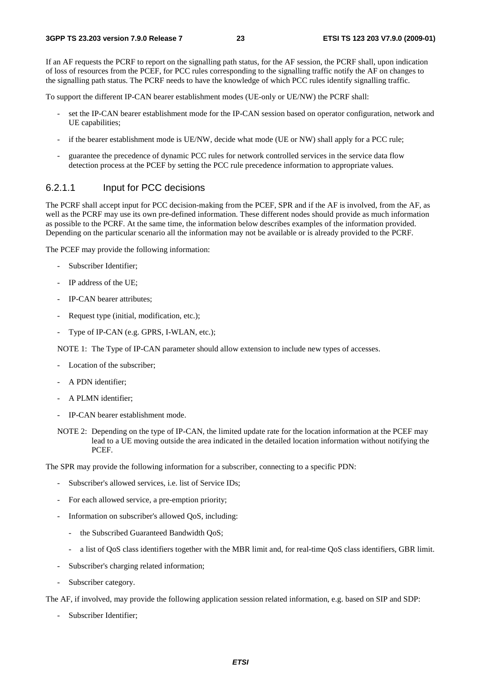If an AF requests the PCRF to report on the signalling path status, for the AF session, the PCRF shall, upon indication of loss of resources from the PCEF, for PCC rules corresponding to the signalling traffic notify the AF on changes to the signalling path status. The PCRF needs to have the knowledge of which PCC rules identify signalling traffic.

To support the different IP-CAN bearer establishment modes (UE-only or UE/NW) the PCRF shall:

- set the IP-CAN bearer establishment mode for the IP-CAN session based on operator configuration, network and UE capabilities;
- if the bearer establishment mode is UE/NW, decide what mode (UE or NW) shall apply for a PCC rule;
- guarantee the precedence of dynamic PCC rules for network controlled services in the service data flow detection process at the PCEF by setting the PCC rule precedence information to appropriate values.

### 6.2.1.1 Input for PCC decisions

The PCRF shall accept input for PCC decision-making from the PCEF, SPR and if the AF is involved, from the AF, as well as the PCRF may use its own pre-defined information. These different nodes should provide as much information as possible to the PCRF. At the same time, the information below describes examples of the information provided. Depending on the particular scenario all the information may not be available or is already provided to the PCRF.

The PCEF may provide the following information:

- Subscriber Identifier:
- IP address of the UE;
- IP-CAN bearer attributes;
- Request type (initial, modification, etc.);
- Type of IP-CAN (e.g. GPRS, I-WLAN, etc.);

NOTE 1: The Type of IP-CAN parameter should allow extension to include new types of accesses.

- Location of the subscriber;
- A PDN identifier;
- A PLMN identifier:
- IP-CAN bearer establishment mode.
- NOTE 2: Depending on the type of IP-CAN, the limited update rate for the location information at the PCEF may lead to a UE moving outside the area indicated in the detailed location information without notifying the PCEF.

The SPR may provide the following information for a subscriber, connecting to a specific PDN:

- Subscriber's allowed services, i.e. list of Service IDs;
- For each allowed service, a pre-emption priority;
- Information on subscriber's allowed QoS, including:
	- the Subscribed Guaranteed Bandwidth QoS;
	- a list of QoS class identifiers together with the MBR limit and, for real-time QoS class identifiers, GBR limit.
- Subscriber's charging related information;
- Subscriber category.

The AF, if involved, may provide the following application session related information, e.g. based on SIP and SDP:

- Subscriber Identifier;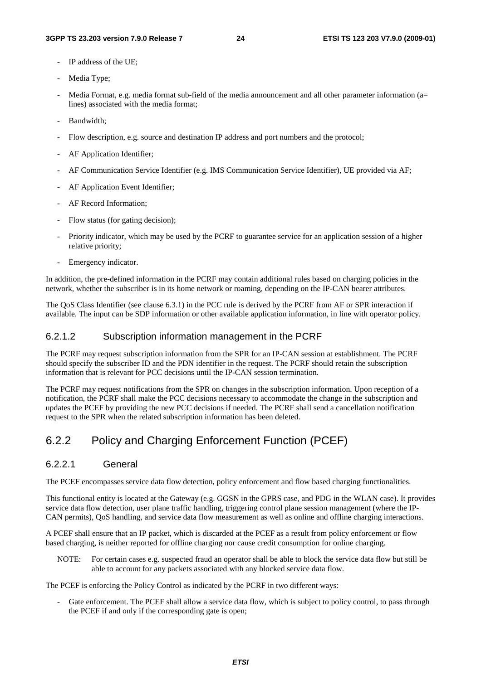- IP address of the UE:
- Media Type;
- Media Format, e.g. media format sub-field of the media announcement and all other parameter information (a= lines) associated with the media format;
- Bandwidth:
- Flow description, e.g. source and destination IP address and port numbers and the protocol;
- AF Application Identifier;
- AF Communication Service Identifier (e.g. IMS Communication Service Identifier), UE provided via AF;
- AF Application Event Identifier;
- AF Record Information;
- Flow status (for gating decision);
- Priority indicator, which may be used by the PCRF to guarantee service for an application session of a higher relative priority;
- Emergency indicator.

In addition, the pre-defined information in the PCRF may contain additional rules based on charging policies in the network, whether the subscriber is in its home network or roaming, depending on the IP-CAN bearer attributes.

The QoS Class Identifier (see clause 6.3.1) in the PCC rule is derived by the PCRF from AF or SPR interaction if available. The input can be SDP information or other available application information, in line with operator policy.

#### 6.2.1.2 Subscription information management in the PCRF

The PCRF may request subscription information from the SPR for an IP-CAN session at establishment. The PCRF should specify the subscriber ID and the PDN identifier in the request. The PCRF should retain the subscription information that is relevant for PCC decisions until the IP-CAN session termination.

The PCRF may request notifications from the SPR on changes in the subscription information. Upon reception of a notification, the PCRF shall make the PCC decisions necessary to accommodate the change in the subscription and updates the PCEF by providing the new PCC decisions if needed. The PCRF shall send a cancellation notification request to the SPR when the related subscription information has been deleted.

### 6.2.2 Policy and Charging Enforcement Function (PCEF)

#### 6.2.2.1 General

The PCEF encompasses service data flow detection, policy enforcement and flow based charging functionalities.

This functional entity is located at the Gateway (e.g. GGSN in the GPRS case, and PDG in the WLAN case). It provides service data flow detection, user plane traffic handling, triggering control plane session management (where the IP-CAN permits), QoS handling, and service data flow measurement as well as online and offline charging interactions.

A PCEF shall ensure that an IP packet, which is discarded at the PCEF as a result from policy enforcement or flow based charging, is neither reported for offline charging nor cause credit consumption for online charging.

NOTE: For certain cases e.g. suspected fraud an operator shall be able to block the service data flow but still be able to account for any packets associated with any blocked service data flow.

The PCEF is enforcing the Policy Control as indicated by the PCRF in two different ways:

Gate enforcement. The PCEF shall allow a service data flow, which is subject to policy control, to pass through the PCEF if and only if the corresponding gate is open;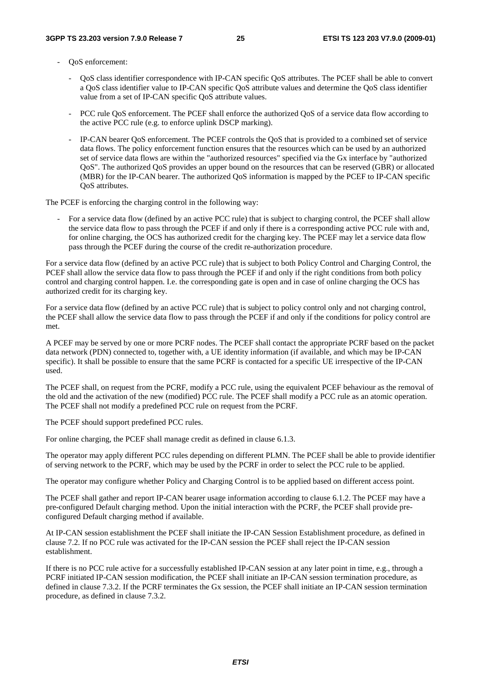- OoS enforcement:
	- QoS class identifier correspondence with IP-CAN specific QoS attributes. The PCEF shall be able to convert a QoS class identifier value to IP-CAN specific QoS attribute values and determine the QoS class identifier value from a set of IP-CAN specific QoS attribute values.
	- PCC rule QoS enforcement. The PCEF shall enforce the authorized QoS of a service data flow according to the active PCC rule (e.g. to enforce uplink DSCP marking).
	- IP-CAN bearer QoS enforcement. The PCEF controls the QoS that is provided to a combined set of service data flows. The policy enforcement function ensures that the resources which can be used by an authorized set of service data flows are within the "authorized resources" specified via the Gx interface by "authorized QoS". The authorized QoS provides an upper bound on the resources that can be reserved (GBR) or allocated (MBR) for the IP-CAN bearer. The authorized QoS information is mapped by the PCEF to IP-CAN specific QoS attributes.

The PCEF is enforcing the charging control in the following way:

- For a service data flow (defined by an active PCC rule) that is subject to charging control, the PCEF shall allow the service data flow to pass through the PCEF if and only if there is a corresponding active PCC rule with and, for online charging, the OCS has authorized credit for the charging key. The PCEF may let a service data flow pass through the PCEF during the course of the credit re-authorization procedure.

For a service data flow (defined by an active PCC rule) that is subject to both Policy Control and Charging Control, the PCEF shall allow the service data flow to pass through the PCEF if and only if the right conditions from both policy control and charging control happen. I.e. the corresponding gate is open and in case of online charging the OCS has authorized credit for its charging key.

For a service data flow (defined by an active PCC rule) that is subject to policy control only and not charging control, the PCEF shall allow the service data flow to pass through the PCEF if and only if the conditions for policy control are met.

A PCEF may be served by one or more PCRF nodes. The PCEF shall contact the appropriate PCRF based on the packet data network (PDN) connected to, together with, a UE identity information (if available, and which may be IP-CAN specific). It shall be possible to ensure that the same PCRF is contacted for a specific UE irrespective of the IP-CAN used.

The PCEF shall, on request from the PCRF, modify a PCC rule, using the equivalent PCEF behaviour as the removal of the old and the activation of the new (modified) PCC rule. The PCEF shall modify a PCC rule as an atomic operation. The PCEF shall not modify a predefined PCC rule on request from the PCRF.

The PCEF should support predefined PCC rules.

For online charging, the PCEF shall manage credit as defined in clause 6.1.3.

The operator may apply different PCC rules depending on different PLMN. The PCEF shall be able to provide identifier of serving network to the PCRF, which may be used by the PCRF in order to select the PCC rule to be applied.

The operator may configure whether Policy and Charging Control is to be applied based on different access point.

The PCEF shall gather and report IP-CAN bearer usage information according to clause 6.1.2. The PCEF may have a pre-configured Default charging method. Upon the initial interaction with the PCRF, the PCEF shall provide preconfigured Default charging method if available.

At IP-CAN session establishment the PCEF shall initiate the IP-CAN Session Establishment procedure, as defined in clause 7.2. If no PCC rule was activated for the IP-CAN session the PCEF shall reject the IP-CAN session establishment.

If there is no PCC rule active for a successfully established IP-CAN session at any later point in time, e.g., through a PCRF initiated IP-CAN session modification, the PCEF shall initiate an IP-CAN session termination procedure, as defined in clause 7.3.2. If the PCRF terminates the Gx session, the PCEF shall initiate an IP-CAN session termination procedure, as defined in clause 7.3.2.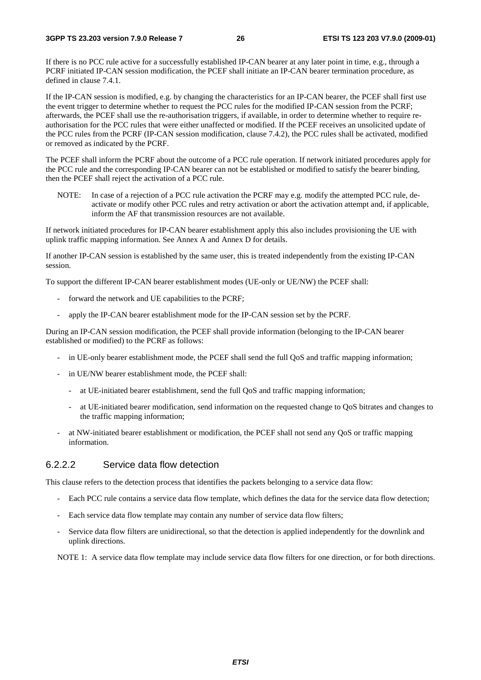If there is no PCC rule active for a successfully established IP-CAN bearer at any later point in time, e.g., through a PCRF initiated IP-CAN session modification, the PCEF shall initiate an IP-CAN bearer termination procedure, as defined in clause 7.4.1.

If the IP-CAN session is modified, e.g. by changing the characteristics for an IP-CAN bearer, the PCEF shall first use the event trigger to determine whether to request the PCC rules for the modified IP-CAN session from the PCRF; afterwards, the PCEF shall use the re-authorisation triggers, if available, in order to determine whether to require reauthorisation for the PCC rules that were either unaffected or modified. If the PCEF receives an unsolicited update of the PCC rules from the PCRF (IP-CAN session modification, clause 7.4.2), the PCC rules shall be activated, modified or removed as indicated by the PCRF.

The PCEF shall inform the PCRF about the outcome of a PCC rule operation. If network initiated procedures apply for the PCC rule and the corresponding IP-CAN bearer can not be established or modified to satisfy the bearer binding, then the PCEF shall reject the activation of a PCC rule.

NOTE: In case of a rejection of a PCC rule activation the PCRF may e.g. modify the attempted PCC rule, deactivate or modify other PCC rules and retry activation or abort the activation attempt and, if applicable, inform the AF that transmission resources are not available.

If network initiated procedures for IP-CAN bearer establishment apply this also includes provisioning the UE with uplink traffic mapping information. See Annex A and Annex D for details.

If another IP-CAN session is established by the same user, this is treated independently from the existing IP-CAN session.

To support the different IP-CAN bearer establishment modes (UE-only or UE/NW) the PCEF shall:

- forward the network and UE capabilities to the PCRF:
- apply the IP-CAN bearer establishment mode for the IP-CAN session set by the PCRF.

During an IP-CAN session modification, the PCEF shall provide information (belonging to the IP-CAN bearer established or modified) to the PCRF as follows:

- in UE-only bearer establishment mode, the PCEF shall send the full QoS and traffic mapping information;
- in UE/NW bearer establishment mode, the PCEF shall:
	- at UE-initiated bearer establishment, send the full QoS and traffic mapping information;
	- at UE-initiated bearer modification, send information on the requested change to QoS bitrates and changes to the traffic mapping information;
- at NW-initiated bearer establishment or modification, the PCEF shall not send any OoS or traffic mapping information.

### 6.2.2.2 Service data flow detection

This clause refers to the detection process that identifies the packets belonging to a service data flow:

- Each PCC rule contains a service data flow template, which defines the data for the service data flow detection;
- Each service data flow template may contain any number of service data flow filters;
- Service data flow filters are unidirectional, so that the detection is applied independently for the downlink and uplink directions.

NOTE 1: A service data flow template may include service data flow filters for one direction, or for both directions.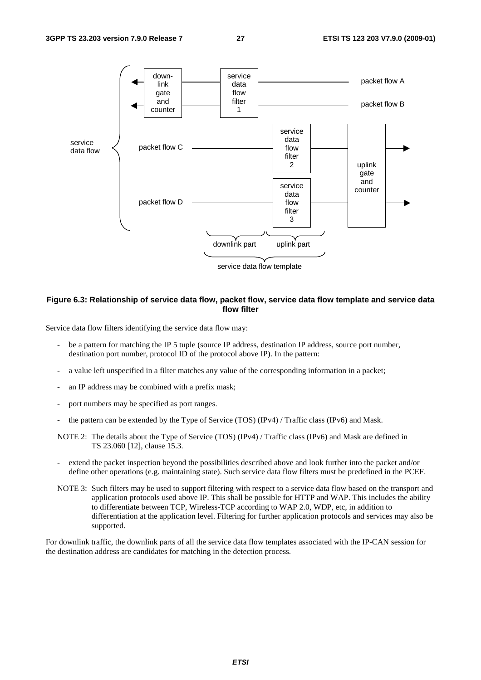

#### **Figure 6.3: Relationship of service data flow, packet flow, service data flow template and service data flow filter**

Service data flow filters identifying the service data flow may:

- be a pattern for matching the IP 5 tuple (source IP address, destination IP address, source port number, destination port number, protocol ID of the protocol above IP). In the pattern:
- a value left unspecified in a filter matches any value of the corresponding information in a packet;
- an IP address may be combined with a prefix mask;
- port numbers may be specified as port ranges.
- the pattern can be extended by the Type of Service (TOS) (IPv4) / Traffic class (IPv6) and Mask.
- NOTE 2: The details about the Type of Service (TOS) (IPv4) / Traffic class (IPv6) and Mask are defined in TS 23.060 [12], clause 15.3.
- extend the packet inspection beyond the possibilities described above and look further into the packet and/or define other operations (e.g. maintaining state). Such service data flow filters must be predefined in the PCEF.
- NOTE 3: Such filters may be used to support filtering with respect to a service data flow based on the transport and application protocols used above IP. This shall be possible for HTTP and WAP. This includes the ability to differentiate between TCP, Wireless-TCP according to WAP 2.0, WDP, etc, in addition to differentiation at the application level. Filtering for further application protocols and services may also be supported.

For downlink traffic, the downlink parts of all the service data flow templates associated with the IP-CAN session for the destination address are candidates for matching in the detection process.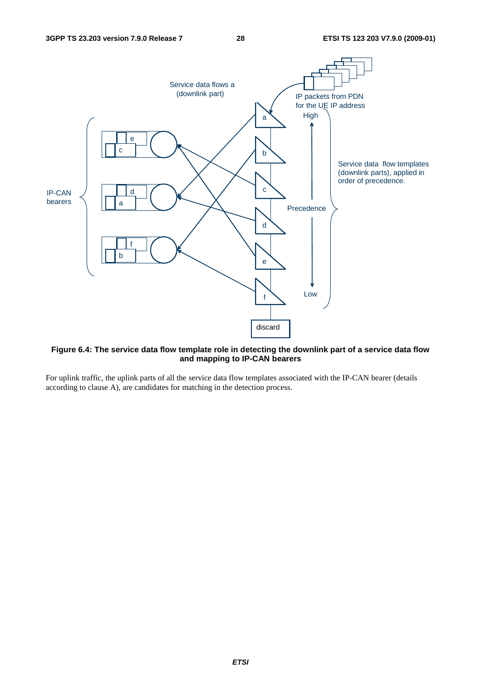

#### **Figure 6.4: The service data flow template role in detecting the downlink part of a service data flow and mapping to IP-CAN bearers**

For uplink traffic, the uplink parts of all the service data flow templates associated with the IP-CAN bearer (details according to clause A), are candidates for matching in the detection process.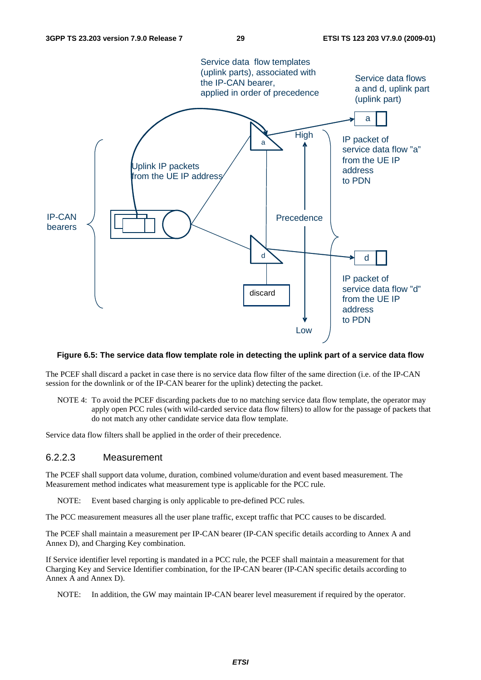

#### **Figure 6.5: The service data flow template role in detecting the uplink part of a service data flow**

The PCEF shall discard a packet in case there is no service data flow filter of the same direction (i.e. of the IP-CAN session for the downlink or of the IP-CAN bearer for the uplink) detecting the packet.

NOTE 4: To avoid the PCEF discarding packets due to no matching service data flow template, the operator may apply open PCC rules (with wild-carded service data flow filters) to allow for the passage of packets that do not match any other candidate service data flow template.

Service data flow filters shall be applied in the order of their precedence.

### 6.2.2.3 Measurement

The PCEF shall support data volume, duration, combined volume/duration and event based measurement. The Measurement method indicates what measurement type is applicable for the PCC rule.

NOTE: Event based charging is only applicable to pre-defined PCC rules.

The PCC measurement measures all the user plane traffic, except traffic that PCC causes to be discarded.

The PCEF shall maintain a measurement per IP-CAN bearer (IP-CAN specific details according to Annex A and Annex D), and Charging Key combination.

If Service identifier level reporting is mandated in a PCC rule, the PCEF shall maintain a measurement for that Charging Key and Service Identifier combination, for the IP-CAN bearer (IP-CAN specific details according to Annex A and Annex D).

NOTE: In addition, the GW may maintain IP-CAN bearer level measurement if required by the operator.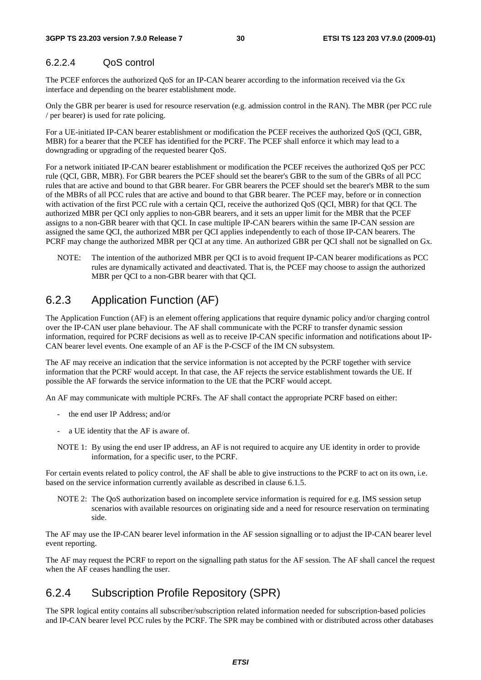### 6.2.2.4 QoS control

The PCEF enforces the authorized QoS for an IP-CAN bearer according to the information received via the Gx interface and depending on the bearer establishment mode.

Only the GBR per bearer is used for resource reservation (e.g. admission control in the RAN). The MBR (per PCC rule / per bearer) is used for rate policing.

For a UE-initiated IP-CAN bearer establishment or modification the PCEF receives the authorized QoS (QCI, GBR, MBR) for a bearer that the PCEF has identified for the PCRF. The PCEF shall enforce it which may lead to a downgrading or upgrading of the requested bearer QoS.

For a network initiated IP-CAN bearer establishment or modification the PCEF receives the authorized QoS per PCC rule (QCI, GBR, MBR). For GBR bearers the PCEF should set the bearer's GBR to the sum of the GBRs of all PCC rules that are active and bound to that GBR bearer. For GBR bearers the PCEF should set the bearer's MBR to the sum of the MBRs of all PCC rules that are active and bound to that GBR bearer. The PCEF may, before or in connection with activation of the first PCC rule with a certain QCI, receive the authorized QoS (QCI, MBR) for that QCI. The authorized MBR per QCI only applies to non-GBR bearers, and it sets an upper limit for the MBR that the PCEF assigns to a non-GBR bearer with that QCI. In case multiple IP-CAN bearers within the same IP-CAN session are assigned the same QCI, the authorized MBR per QCI applies independently to each of those IP-CAN bearers. The PCRF may change the authorized MBR per QCI at any time. An authorized GBR per QCI shall not be signalled on Gx.

NOTE: The intention of the authorized MBR per QCI is to avoid frequent IP-CAN bearer modifications as PCC rules are dynamically activated and deactivated. That is, the PCEF may choose to assign the authorized MBR per QCI to a non-GBR bearer with that QCI.

# 6.2.3 Application Function (AF)

The Application Function (AF) is an element offering applications that require dynamic policy and/or charging control over the IP-CAN user plane behaviour. The AF shall communicate with the PCRF to transfer dynamic session information, required for PCRF decisions as well as to receive IP-CAN specific information and notifications about IP-CAN bearer level events. One example of an AF is the P-CSCF of the IM CN subsystem.

The AF may receive an indication that the service information is not accepted by the PCRF together with service information that the PCRF would accept. In that case, the AF rejects the service establishment towards the UE. If possible the AF forwards the service information to the UE that the PCRF would accept.

An AF may communicate with multiple PCRFs. The AF shall contact the appropriate PCRF based on either:

- the end user IP Address; and/or
- a UE identity that the AF is aware of.
- NOTE 1: By using the end user IP address, an AF is not required to acquire any UE identity in order to provide information, for a specific user, to the PCRF.

For certain events related to policy control, the AF shall be able to give instructions to the PCRF to act on its own, i.e. based on the service information currently available as described in clause 6.1.5.

NOTE 2: The QoS authorization based on incomplete service information is required for e.g. IMS session setup scenarios with available resources on originating side and a need for resource reservation on terminating side.

The AF may use the IP-CAN bearer level information in the AF session signalling or to adjust the IP-CAN bearer level event reporting.

The AF may request the PCRF to report on the signalling path status for the AF session. The AF shall cancel the request when the AF ceases handling the user.

# 6.2.4 Subscription Profile Repository (SPR)

The SPR logical entity contains all subscriber/subscription related information needed for subscription-based policies and IP-CAN bearer level PCC rules by the PCRF. The SPR may be combined with or distributed across other databases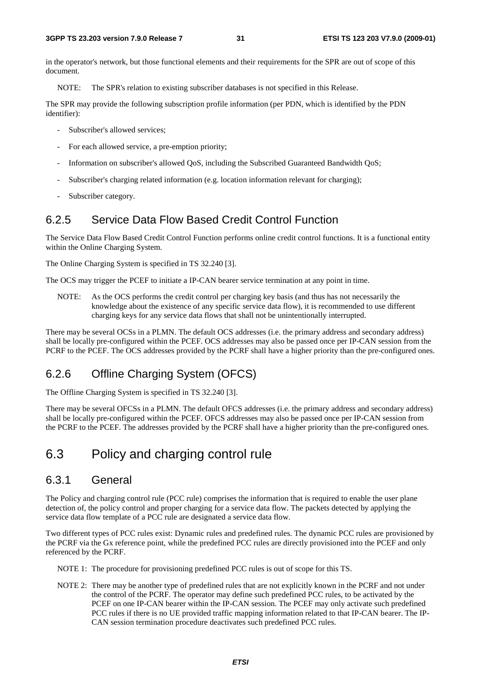in the operator's network, but those functional elements and their requirements for the SPR are out of scope of this document.

NOTE: The SPR's relation to existing subscriber databases is not specified in this Release.

The SPR may provide the following subscription profile information (per PDN, which is identified by the PDN identifier):

- Subscriber's allowed services:
- For each allowed service, a pre-emption priority;
- Information on subscriber's allowed QoS, including the Subscribed Guaranteed Bandwidth QoS;
- Subscriber's charging related information (e.g. location information relevant for charging);
- Subscriber category.

### 6.2.5 Service Data Flow Based Credit Control Function

The Service Data Flow Based Credit Control Function performs online credit control functions. It is a functional entity within the Online Charging System.

The Online Charging System is specified in TS 32.240 [3].

The OCS may trigger the PCEF to initiate a IP-CAN bearer service termination at any point in time.

NOTE: As the OCS performs the credit control per charging key basis (and thus has not necessarily the knowledge about the existence of any specific service data flow), it is recommended to use different charging keys for any service data flows that shall not be unintentionally interrupted.

There may be several OCSs in a PLMN. The default OCS addresses (i.e. the primary address and secondary address) shall be locally pre-configured within the PCEF. OCS addresses may also be passed once per IP-CAN session from the PCRF to the PCEF. The OCS addresses provided by the PCRF shall have a higher priority than the pre-configured ones.

### 6.2.6 Offline Charging System (OFCS)

The Offline Charging System is specified in TS 32.240 [3].

There may be several OFCSs in a PLMN. The default OFCS addresses (i.e. the primary address and secondary address) shall be locally pre-configured within the PCEF. OFCS addresses may also be passed once per IP-CAN session from the PCRF to the PCEF. The addresses provided by the PCRF shall have a higher priority than the pre-configured ones.

# 6.3 Policy and charging control rule

### 6.3.1 General

The Policy and charging control rule (PCC rule) comprises the information that is required to enable the user plane detection of, the policy control and proper charging for a service data flow. The packets detected by applying the service data flow template of a PCC rule are designated a service data flow.

Two different types of PCC rules exist: Dynamic rules and predefined rules. The dynamic PCC rules are provisioned by the PCRF via the Gx reference point, while the predefined PCC rules are directly provisioned into the PCEF and only referenced by the PCRF.

NOTE 1: The procedure for provisioning predefined PCC rules is out of scope for this TS.

NOTE 2: There may be another type of predefined rules that are not explicitly known in the PCRF and not under the control of the PCRF. The operator may define such predefined PCC rules, to be activated by the PCEF on one IP-CAN bearer within the IP-CAN session. The PCEF may only activate such predefined PCC rules if there is no UE provided traffic mapping information related to that IP-CAN bearer. The IP-CAN session termination procedure deactivates such predefined PCC rules.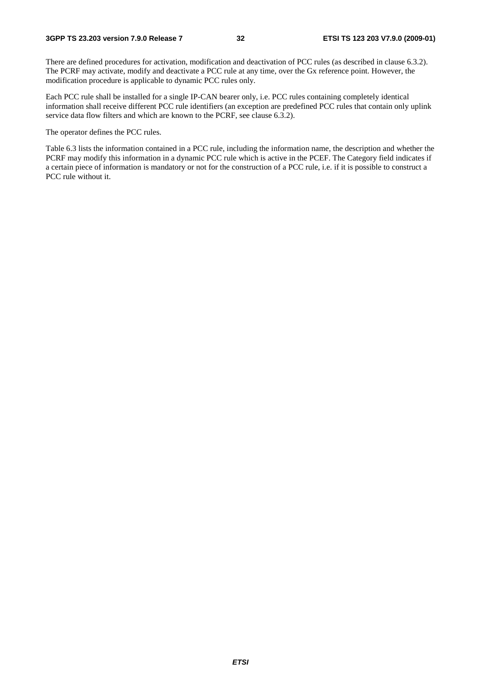There are defined procedures for activation, modification and deactivation of PCC rules (as described in clause 6.3.2). The PCRF may activate, modify and deactivate a PCC rule at any time, over the Gx reference point. However, the modification procedure is applicable to dynamic PCC rules only.

Each PCC rule shall be installed for a single IP-CAN bearer only, i.e. PCC rules containing completely identical information shall receive different PCC rule identifiers (an exception are predefined PCC rules that contain only uplink service data flow filters and which are known to the PCRF, see clause 6.3.2).

The operator defines the PCC rules.

Table 6.3 lists the information contained in a PCC rule, including the information name, the description and whether the PCRF may modify this information in a dynamic PCC rule which is active in the PCEF. The Category field indicates if a certain piece of information is mandatory or not for the construction of a PCC rule, i.e. if it is possible to construct a PCC rule without it.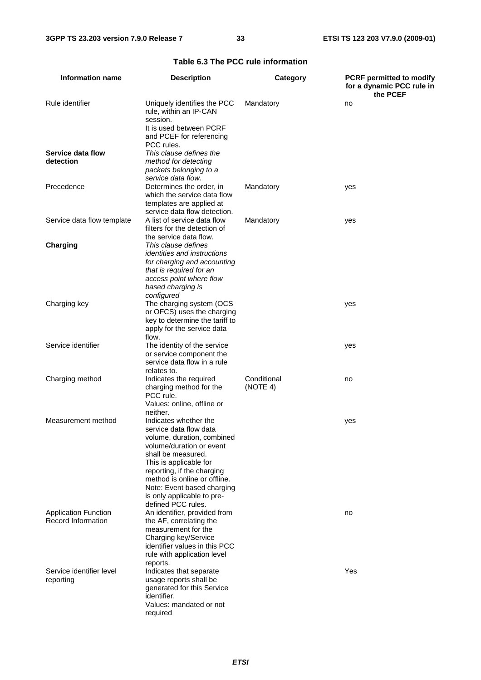| <b>Information name</b>                           | <b>Description</b>                                                                                                                                                                                                                                                                                        | Category                | <b>PCRF</b> permitted to modify<br>for a dynamic PCC rule in<br>the PCEF |
|---------------------------------------------------|-----------------------------------------------------------------------------------------------------------------------------------------------------------------------------------------------------------------------------------------------------------------------------------------------------------|-------------------------|--------------------------------------------------------------------------|
| Rule identifier                                   | Uniquely identifies the PCC<br>rule, within an IP-CAN<br>session.<br>It is used between PCRF<br>and PCEF for referencing<br>PCC rules.                                                                                                                                                                    | Mandatory               | no                                                                       |
| Service data flow<br>detection                    | This clause defines the<br>method for detecting<br>packets belonging to a<br>service data flow.                                                                                                                                                                                                           |                         |                                                                          |
| Precedence                                        | Determines the order, in<br>which the service data flow<br>templates are applied at<br>service data flow detection.                                                                                                                                                                                       | Mandatory               | yes                                                                      |
| Service data flow template                        | A list of service data flow<br>filters for the detection of<br>the service data flow.                                                                                                                                                                                                                     | Mandatory               | yes                                                                      |
| <b>Charging</b>                                   | This clause defines<br><i>identities and instructions</i><br>for charging and accounting<br>that is required for an<br>access point where flow<br>based charging is<br>configured                                                                                                                         |                         |                                                                          |
| Charging key                                      | The charging system (OCS<br>or OFCS) uses the charging<br>key to determine the tariff to<br>apply for the service data<br>flow.                                                                                                                                                                           |                         | yes                                                                      |
| Service identifier                                | The identity of the service<br>or service component the<br>service data flow in a rule<br>relates to.                                                                                                                                                                                                     |                         | yes                                                                      |
| Charging method                                   | Indicates the required<br>charging method for the<br>PCC rule.<br>Values: online, offline or<br>neither.                                                                                                                                                                                                  | Conditional<br>(NOTE 4) | no                                                                       |
| Measurement method                                | Indicates whether the<br>service data flow data<br>volume, duration, combined<br>volume/duration or event<br>shall be measured.<br>This is applicable for<br>reporting, if the charging<br>method is online or offline.<br>Note: Event based charging<br>is only applicable to pre-<br>defined PCC rules. |                         | yes                                                                      |
| <b>Application Function</b><br>Record Information | An identifier, provided from<br>the AF, correlating the<br>measurement for the<br>Charging key/Service<br>identifier values in this PCC<br>rule with application level<br>reports.                                                                                                                        |                         | no                                                                       |
| Service identifier level<br>reporting             | Indicates that separate<br>usage reports shall be<br>generated for this Service<br>identifier.<br>Values: mandated or not<br>required                                                                                                                                                                     |                         | Yes                                                                      |

### **Table 6.3 The PCC rule information**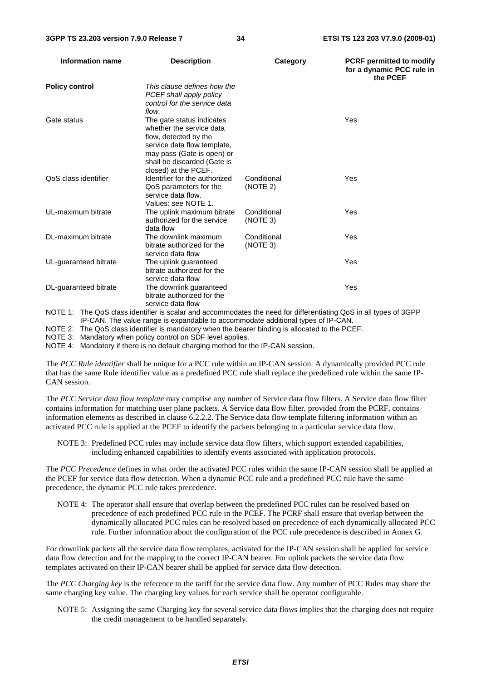| Information name      | <b>Description</b>                                                                                                                                                                                 | Category                | <b>PCRF</b> permitted to modify<br>for a dynamic PCC rule in<br>the PCEF |
|-----------------------|----------------------------------------------------------------------------------------------------------------------------------------------------------------------------------------------------|-------------------------|--------------------------------------------------------------------------|
| <b>Policy control</b> | This clause defines how the<br>PCEF shall apply policy<br>control for the service data<br>flow.                                                                                                    |                         |                                                                          |
| Gate status           | The gate status indicates<br>whether the service data<br>flow, detected by the<br>service data flow template,<br>may pass (Gate is open) or<br>shall be discarded (Gate is<br>closed) at the PCEF. |                         | Yes                                                                      |
| QoS class identifier  | Identifier for the authorized<br>QoS parameters for the<br>service data flow.<br>Values: see NOTE 1.                                                                                               | Conditional<br>(NOTE 2) | Yes                                                                      |
| UL-maximum bitrate    | The uplink maximum bitrate<br>authorized for the service<br>data flow                                                                                                                              | Conditional<br>(NOTE 3) | Yes                                                                      |
| DL-maximum bitrate    | The downlink maximum<br>bitrate authorized for the<br>service data flow                                                                                                                            | Conditional<br>(NOTE 3) | Yes                                                                      |
| UL-guaranteed bitrate | The uplink guaranteed<br>bitrate authorized for the<br>service data flow                                                                                                                           |                         | Yes                                                                      |
| DL-guaranteed bitrate | The downlink guaranteed<br>bitrate authorized for the<br>service data flow                                                                                                                         |                         | Yes                                                                      |
|                       | NOTE 1: The QoS class identifier is scalar and accommodates the need for differentiating QoS in all types of 3GPP                                                                                  |                         |                                                                          |

IP-CAN. The value range is expandable to accommodate additional types of IP-CAN.

NOTE 2: The QoS class identifier is mandatory when the bearer binding is allocated to the PCEF.

NOTE 3: Mandatory when policy control on SDF level applies.

NOTE 4: Mandatory if there is no default charging method for the IP-CAN session.

The *PCC Rule identifier* shall be unique for a PCC rule within an IP-CAN session. A dynamically provided PCC rule that has the same Rule identifier value as a predefined PCC rule shall replace the predefined rule within the same IP-CAN session.

The *PCC Service data flow template* may comprise any number of Service data flow filters. A Service data flow filter contains information for matching user plane packets. A Service data flow filter, provided from the PCRF, contains information elements as described in clause 6.2.2.2. The Service data flow template filtering information within an activated PCC rule is applied at the PCEF to identify the packets belonging to a particular service data flow.

NOTE 3: Predefined PCC rules may include service data flow filters, which support extended capabilities, including enhanced capabilities to identify events associated with application protocols.

The *PCC Precedence* defines in what order the activated PCC rules within the same IP-CAN session shall be applied at the PCEF for service data flow detection. When a dynamic PCC rule and a predefined PCC rule have the same precedence, the dynamic PCC rule takes precedence.

NOTE 4: The operator shall ensure that overlap between the predefined PCC rules can be resolved based on precedence of each predefined PCC rule in the PCEF. The PCRF shall ensure that overlap between the dynamically allocated PCC rules can be resolved based on precedence of each dynamically allocated PCC rule. Further information about the configuration of the PCC rule precedence is described in Annex G.

For downlink packets all the service data flow templates, activated for the IP-CAN session shall be applied for service data flow detection and for the mapping to the correct IP-CAN bearer. For uplink packets the service data flow templates activated on their IP-CAN bearer shall be applied for service data flow detection.

The *PCC Charging key* is the reference to the tariff for the service data flow. Any number of PCC Rules may share the same charging key value. The charging key values for each service shall be operator configurable.

NOTE 5: Assigning the same Charging key for several service data flows implies that the charging does not require the credit management to be handled separately.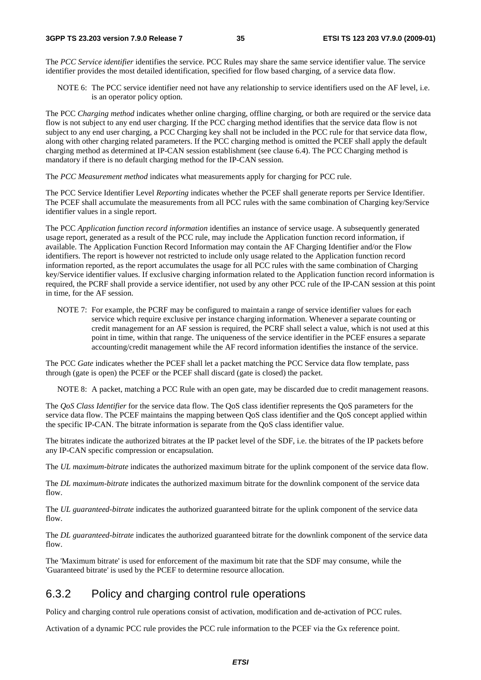The *PCC Service identifier* identifies the service. PCC Rules may share the same service identifier value. The service identifier provides the most detailed identification, specified for flow based charging, of a service data flow.

NOTE 6: The PCC service identifier need not have any relationship to service identifiers used on the AF level, i.e. is an operator policy option.

The PCC *Charging method* indicates whether online charging, offline charging, or both are required or the service data flow is not subject to any end user charging. If the PCC charging method identifies that the service data flow is not subject to any end user charging, a PCC Charging key shall not be included in the PCC rule for that service data flow, along with other charging related parameters. If the PCC charging method is omitted the PCEF shall apply the default charging method as determined at IP-CAN session establishment (see clause 6.4). The PCC Charging method is mandatory if there is no default charging method for the IP-CAN session.

The *PCC Measurement method* indicates what measurements apply for charging for PCC rule.

The PCC Service Identifier Level *Reporting* indicates whether the PCEF shall generate reports per Service Identifier. The PCEF shall accumulate the measurements from all PCC rules with the same combination of Charging key/Service identifier values in a single report.

The PCC *Application function record information* identifies an instance of service usage. A subsequently generated usage report, generated as a result of the PCC rule, may include the Application function record information, if available. The Application Function Record Information may contain the AF Charging Identifier and/or the Flow identifiers. The report is however not restricted to include only usage related to the Application function record information reported, as the report accumulates the usage for all PCC rules with the same combination of Charging key/Service identifier values. If exclusive charging information related to the Application function record information is required, the PCRF shall provide a service identifier, not used by any other PCC rule of the IP-CAN session at this point in time, for the AF session.

NOTE 7: For example, the PCRF may be configured to maintain a range of service identifier values for each service which require exclusive per instance charging information. Whenever a separate counting or credit management for an AF session is required, the PCRF shall select a value, which is not used at this point in time, within that range. The uniqueness of the service identifier in the PCEF ensures a separate accounting/credit management while the AF record information identifies the instance of the service.

The PCC *Gate* indicates whether the PCEF shall let a packet matching the PCC Service data flow template, pass through (gate is open) the PCEF or the PCEF shall discard (gate is closed) the packet.

NOTE 8: A packet, matching a PCC Rule with an open gate, may be discarded due to credit management reasons.

The *QoS Class Identifier* for the service data flow. The QoS class identifier represents the QoS parameters for the service data flow. The PCEF maintains the mapping between QoS class identifier and the QoS concept applied within the specific IP-CAN. The bitrate information is separate from the QoS class identifier value.

The bitrates indicate the authorized bitrates at the IP packet level of the SDF, i.e. the bitrates of the IP packets before any IP-CAN specific compression or encapsulation.

The *UL maximum-bitrate* indicates the authorized maximum bitrate for the uplink component of the service data flow.

The *DL maximum-bitrate* indicates the authorized maximum bitrate for the downlink component of the service data flow

The *UL guaranteed-bitrate* indicates the authorized guaranteed bitrate for the uplink component of the service data flow.

The *DL guaranteed-bitrate* indicates the authorized guaranteed bitrate for the downlink component of the service data flow.

The 'Maximum bitrate' is used for enforcement of the maximum bit rate that the SDF may consume, while the 'Guaranteed bitrate' is used by the PCEF to determine resource allocation.

### 6.3.2 Policy and charging control rule operations

Policy and charging control rule operations consist of activation, modification and de-activation of PCC rules.

Activation of a dynamic PCC rule provides the PCC rule information to the PCEF via the Gx reference point.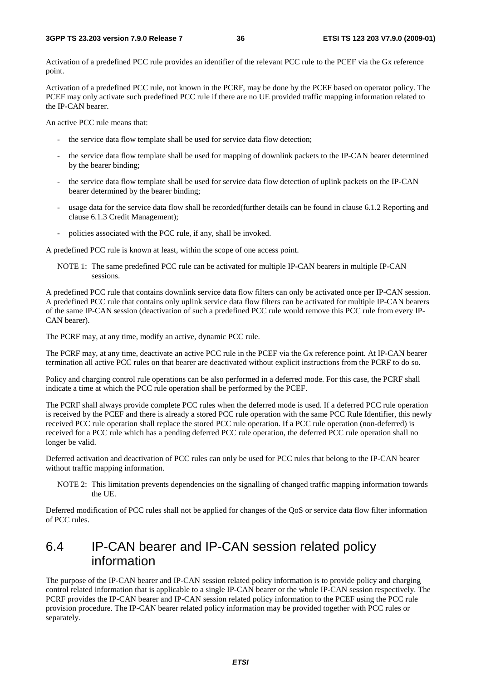Activation of a predefined PCC rule provides an identifier of the relevant PCC rule to the PCEF via the Gx reference point.

Activation of a predefined PCC rule, not known in the PCRF, may be done by the PCEF based on operator policy. The PCEF may only activate such predefined PCC rule if there are no UE provided traffic mapping information related to the IP-CAN bearer.

An active PCC rule means that:

- the service data flow template shall be used for service data flow detection;
- the service data flow template shall be used for mapping of downlink packets to the IP-CAN bearer determined by the bearer binding;
- the service data flow template shall be used for service data flow detection of uplink packets on the IP-CAN bearer determined by the bearer binding;
- usage data for the service data flow shall be recorded(further details can be found in clause 6.1.2 Reporting and clause 6.1.3 Credit Management);
- policies associated with the PCC rule, if any, shall be invoked.

A predefined PCC rule is known at least, within the scope of one access point.

NOTE 1: The same predefined PCC rule can be activated for multiple IP-CAN bearers in multiple IP-CAN sessions.

A predefined PCC rule that contains downlink service data flow filters can only be activated once per IP-CAN session. A predefined PCC rule that contains only uplink service data flow filters can be activated for multiple IP-CAN bearers of the same IP-CAN session (deactivation of such a predefined PCC rule would remove this PCC rule from every IP-CAN bearer).

The PCRF may, at any time, modify an active, dynamic PCC rule.

The PCRF may, at any time, deactivate an active PCC rule in the PCEF via the Gx reference point. At IP-CAN bearer termination all active PCC rules on that bearer are deactivated without explicit instructions from the PCRF to do so.

Policy and charging control rule operations can be also performed in a deferred mode. For this case, the PCRF shall indicate a time at which the PCC rule operation shall be performed by the PCEF.

The PCRF shall always provide complete PCC rules when the deferred mode is used. If a deferred PCC rule operation is received by the PCEF and there is already a stored PCC rule operation with the same PCC Rule Identifier, this newly received PCC rule operation shall replace the stored PCC rule operation. If a PCC rule operation (non-deferred) is received for a PCC rule which has a pending deferred PCC rule operation, the deferred PCC rule operation shall no longer be valid.

Deferred activation and deactivation of PCC rules can only be used for PCC rules that belong to the IP-CAN bearer without traffic mapping information.

NOTE 2: This limitation prevents dependencies on the signalling of changed traffic mapping information towards the UE.

Deferred modification of PCC rules shall not be applied for changes of the QoS or service data flow filter information of PCC rules.

## 6.4 IP-CAN bearer and IP-CAN session related policy information

The purpose of the IP-CAN bearer and IP-CAN session related policy information is to provide policy and charging control related information that is applicable to a single IP-CAN bearer or the whole IP-CAN session respectively. The PCRF provides the IP-CAN bearer and IP-CAN session related policy information to the PCEF using the PCC rule provision procedure. The IP-CAN bearer related policy information may be provided together with PCC rules or separately.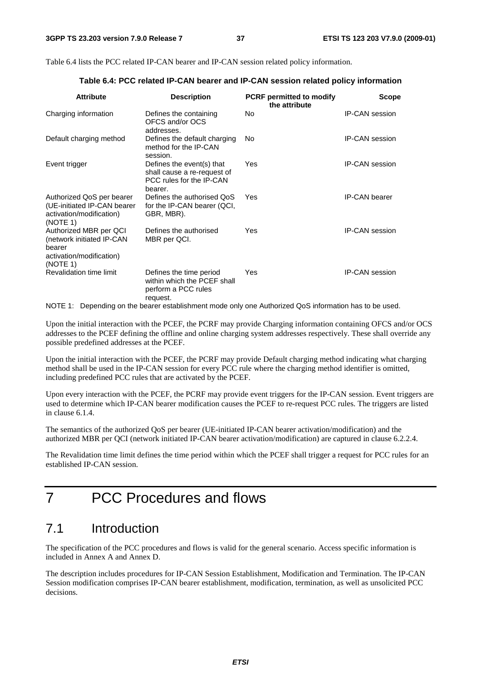Table 6.4 lists the PCC related IP-CAN bearer and IP-CAN session related policy information.

| <b>Attribute</b>                                                                                      | <b>Description</b>                                                                              | <b>PCRF</b> permitted to modify<br>the attribute | <b>Scope</b>          |
|-------------------------------------------------------------------------------------------------------|-------------------------------------------------------------------------------------------------|--------------------------------------------------|-----------------------|
| Charging information                                                                                  | Defines the containing<br>OFCS and/or OCS<br>addresses.                                         | No                                               | <b>IP-CAN</b> session |
| Default charging method                                                                               | Defines the default charging<br>method for the IP-CAN<br>session.                               | No.                                              | <b>IP-CAN</b> session |
| Event trigger                                                                                         | Defines the event(s) that<br>shall cause a re-request of<br>PCC rules for the IP-CAN<br>bearer. | Yes                                              | <b>IP-CAN session</b> |
| Authorized QoS per bearer<br>(UE-initiated IP-CAN bearer<br>activation/modification)<br>(NOTE 1)      | Defines the authorised QoS<br>for the IP-CAN bearer (QCI,<br>GBR, MBR).                         | Yes                                              | <b>IP-CAN</b> bearer  |
| Authorized MBR per QCI<br>(network initiated IP-CAN<br>bearer<br>activation/modification)<br>(NOTE 1) | Defines the authorised<br>MBR per QCI.                                                          | Yes                                              | <b>IP-CAN</b> session |
| Revalidation time limit                                                                               | Defines the time period<br>within which the PCEF shall<br>perform a PCC rules<br>request.       | Yes                                              | <b>IP-CAN</b> session |

**Table 6.4: PCC related IP-CAN bearer and IP-CAN session related policy information** 

NOTE 1: Depending on the bearer establishment mode only one Authorized QoS information has to be used.

Upon the initial interaction with the PCEF, the PCRF may provide Charging information containing OFCS and/or OCS addresses to the PCEF defining the offline and online charging system addresses respectively. These shall override any possible predefined addresses at the PCEF.

Upon the initial interaction with the PCEF, the PCRF may provide Default charging method indicating what charging method shall be used in the IP-CAN session for every PCC rule where the charging method identifier is omitted, including predefined PCC rules that are activated by the PCEF.

Upon every interaction with the PCEF, the PCRF may provide event triggers for the IP-CAN session. Event triggers are used to determine which IP-CAN bearer modification causes the PCEF to re-request PCC rules. The triggers are listed in clause 6.1.4.

The semantics of the authorized QoS per bearer (UE-initiated IP-CAN bearer activation/modification) and the authorized MBR per QCI (network initiated IP-CAN bearer activation/modification) are captured in clause 6.2.2.4.

The Revalidation time limit defines the time period within which the PCEF shall trigger a request for PCC rules for an established IP-CAN session.

7 PCC Procedures and flows

# 7.1 Introduction

The specification of the PCC procedures and flows is valid for the general scenario. Access specific information is included in Annex A and Annex D.

The description includes procedures for IP-CAN Session Establishment, Modification and Termination. The IP-CAN Session modification comprises IP-CAN bearer establishment, modification, termination, as well as unsolicited PCC decisions.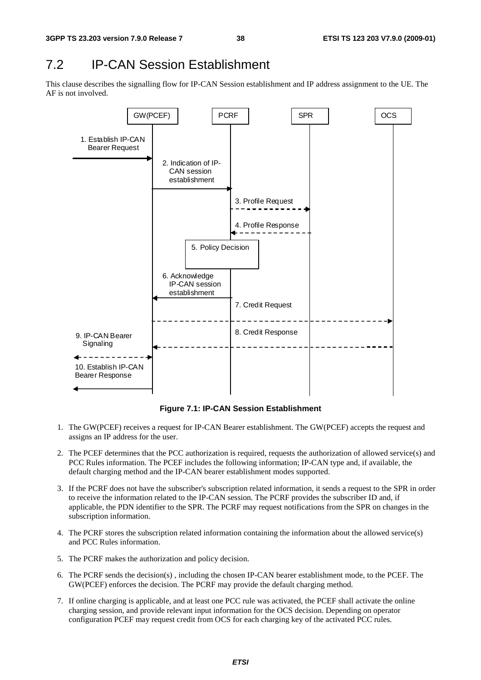# 7.2 IP-CAN Session Establishment

This clause describes the signalling flow for IP-CAN Session establishment and IP address assignment to the UE. The AF is not involved.



**Figure 7.1: IP-CAN Session Establishment** 

- 1. The GW(PCEF) receives a request for IP-CAN Bearer establishment. The GW(PCEF) accepts the request and assigns an IP address for the user.
- 2. The PCEF determines that the PCC authorization is required, requests the authorization of allowed service(s) and PCC Rules information. The PCEF includes the following information; IP-CAN type and, if available, the default charging method and the IP-CAN bearer establishment modes supported.
- 3. If the PCRF does not have the subscriber's subscription related information, it sends a request to the SPR in order to receive the information related to the IP-CAN session. The PCRF provides the subscriber ID and, if applicable, the PDN identifier to the SPR. The PCRF may request notifications from the SPR on changes in the subscription information.
- 4. The PCRF stores the subscription related information containing the information about the allowed service(s) and PCC Rules information.
- 5. The PCRF makes the authorization and policy decision.
- 6. The PCRF sends the decision(s) , including the chosen IP-CAN bearer establishment mode, to the PCEF. The GW(PCEF) enforces the decision. The PCRF may provide the default charging method.
- 7. If online charging is applicable, and at least one PCC rule was activated, the PCEF shall activate the online charging session, and provide relevant input information for the OCS decision. Depending on operator configuration PCEF may request credit from OCS for each charging key of the activated PCC rules.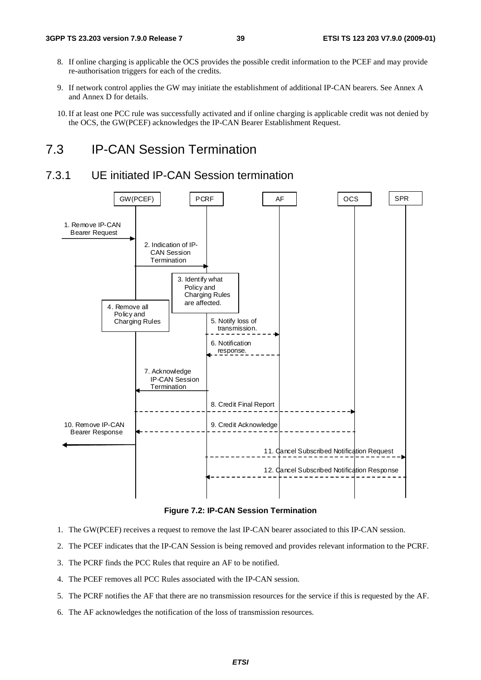- 8. If online charging is applicable the OCS provides the possible credit information to the PCEF and may provide re-authorisation triggers for each of the credits.
- 9. If network control applies the GW may initiate the establishment of additional IP-CAN bearers. See Annex A and Annex D for details.
- 10. If at least one PCC rule was successfully activated and if online charging is applicable credit was not denied by the OCS, the GW(PCEF) acknowledges the IP-CAN Bearer Establishment Request.

## 7.3 IP-CAN Session Termination

### 7.3.1 UE initiated IP-CAN Session termination



**Figure 7.2: IP-CAN Session Termination** 

- 1. The GW(PCEF) receives a request to remove the last IP-CAN bearer associated to this IP-CAN session.
- 2. The PCEF indicates that the IP-CAN Session is being removed and provides relevant information to the PCRF.
- 3. The PCRF finds the PCC Rules that require an AF to be notified.
- 4. The PCEF removes all PCC Rules associated with the IP-CAN session.
- 5. The PCRF notifies the AF that there are no transmission resources for the service if this is requested by the AF.
- 6. The AF acknowledges the notification of the loss of transmission resources.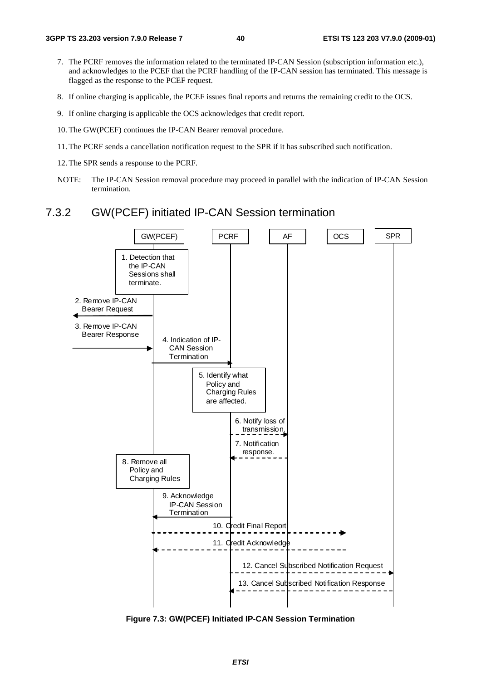- 7. The PCRF removes the information related to the terminated IP-CAN Session (subscription information etc.), and acknowledges to the PCEF that the PCRF handling of the IP-CAN session has terminated. This message is flagged as the response to the PCEF request.
- 8. If online charging is applicable, the PCEF issues final reports and returns the remaining credit to the OCS.
- 9. If online charging is applicable the OCS acknowledges that credit report.
- 10. The GW(PCEF) continues the IP-CAN Bearer removal procedure.
- 11. The PCRF sends a cancellation notification request to the SPR if it has subscribed such notification.
- 12. The SPR sends a response to the PCRF.
- NOTE: The IP-CAN Session removal procedure may proceed in parallel with the indication of IP-CAN Session termination.

### 7.3.2 GW(PCEF) initiated IP-CAN Session termination



**Figure 7.3: GW(PCEF) Initiated IP-CAN Session Termination**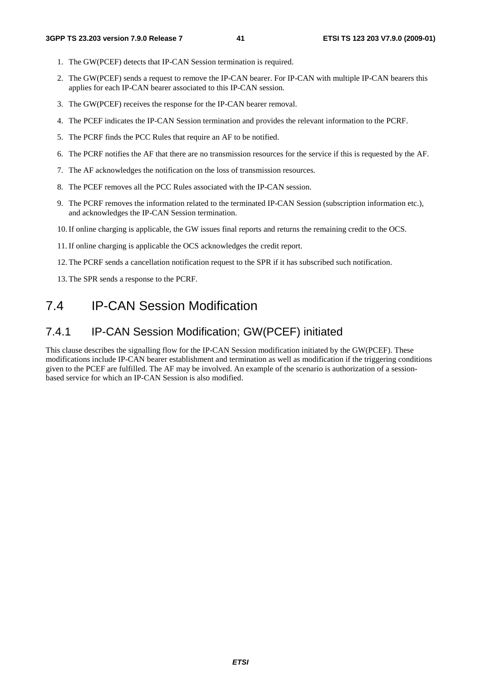- 1. The GW(PCEF) detects that IP-CAN Session termination is required.
- 2. The GW(PCEF) sends a request to remove the IP-CAN bearer. For IP-CAN with multiple IP-CAN bearers this applies for each IP-CAN bearer associated to this IP-CAN session.
- 3. The GW(PCEF) receives the response for the IP-CAN bearer removal.
- 4. The PCEF indicates the IP-CAN Session termination and provides the relevant information to the PCRF.
- 5. The PCRF finds the PCC Rules that require an AF to be notified.
- 6. The PCRF notifies the AF that there are no transmission resources for the service if this is requested by the AF.
- 7. The AF acknowledges the notification on the loss of transmission resources.
- 8. The PCEF removes all the PCC Rules associated with the IP-CAN session.
- 9. The PCRF removes the information related to the terminated IP-CAN Session (subscription information etc.), and acknowledges the IP-CAN Session termination.
- 10. If online charging is applicable, the GW issues final reports and returns the remaining credit to the OCS.
- 11. If online charging is applicable the OCS acknowledges the credit report.
- 12. The PCRF sends a cancellation notification request to the SPR if it has subscribed such notification.
- 13. The SPR sends a response to the PCRF.

## 7.4 IP-CAN Session Modification

### 7.4.1 IP-CAN Session Modification; GW(PCEF) initiated

This clause describes the signalling flow for the IP-CAN Session modification initiated by the GW(PCEF). These modifications include IP-CAN bearer establishment and termination as well as modification if the triggering conditions given to the PCEF are fulfilled. The AF may be involved. An example of the scenario is authorization of a sessionbased service for which an IP-CAN Session is also modified.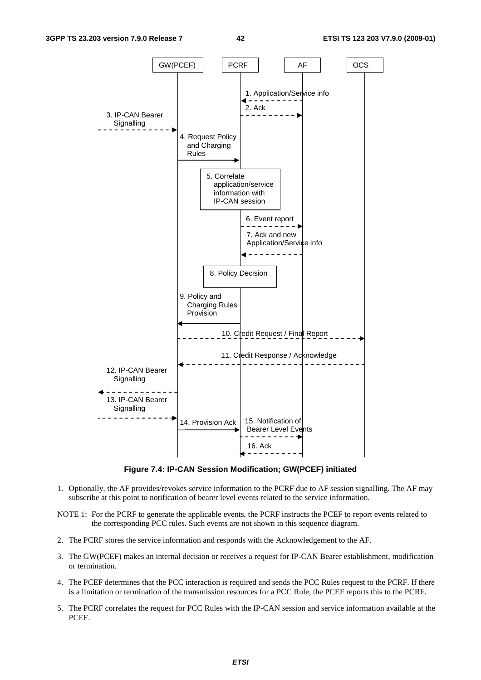

**Figure 7.4: IP-CAN Session Modification; GW(PCEF) initiated** 

- 1. Optionally, the AF provides/revokes service information to the PCRF due to AF session signalling. The AF may subscribe at this point to notification of bearer level events related to the service information.
- NOTE 1: For the PCRF to generate the applicable events, the PCRF instructs the PCEF to report events related to the corresponding PCC rules. Such events are not shown in this sequence diagram.
- 2. The PCRF stores the service information and responds with the Acknowledgement to the AF.
- 3. The GW(PCEF) makes an internal decision or receives a request for IP-CAN Bearer establishment, modification or termination.
- 4. The PCEF determines that the PCC interaction is required and sends the PCC Rules request to the PCRF. If there is a limitation or termination of the transmission resources for a PCC Rule, the PCEF reports this to the PCRF.
- 5. The PCRF correlates the request for PCC Rules with the IP-CAN session and service information available at the PCEF.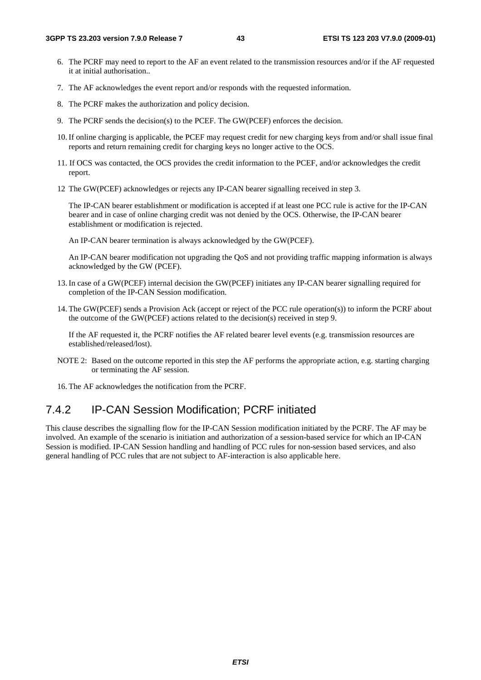- 6. The PCRF may need to report to the AF an event related to the transmission resources and/or if the AF requested it at initial authorisation..
- 7. The AF acknowledges the event report and/or responds with the requested information.
- 8. The PCRF makes the authorization and policy decision.
- 9. The PCRF sends the decision(s) to the PCEF. The GW(PCEF) enforces the decision.
- 10. If online charging is applicable, the PCEF may request credit for new charging keys from and/or shall issue final reports and return remaining credit for charging keys no longer active to the OCS.
- 11. If OCS was contacted, the OCS provides the credit information to the PCEF, and/or acknowledges the credit report.
- 12 The GW(PCEF) acknowledges or rejects any IP-CAN bearer signalling received in step 3.

 The IP-CAN bearer establishment or modification is accepted if at least one PCC rule is active for the IP-CAN bearer and in case of online charging credit was not denied by the OCS. Otherwise, the IP-CAN bearer establishment or modification is rejected.

An IP-CAN bearer termination is always acknowledged by the GW(PCEF).

 An IP-CAN bearer modification not upgrading the QoS and not providing traffic mapping information is always acknowledged by the GW (PCEF).

- 13. In case of a GW(PCEF) internal decision the GW(PCEF) initiates any IP-CAN bearer signalling required for completion of the IP-CAN Session modification.
- 14. The GW(PCEF) sends a Provision Ack (accept or reject of the PCC rule operation(s)) to inform the PCRF about the outcome of the GW(PCEF) actions related to the decision(s) received in step 9.

 If the AF requested it, the PCRF notifies the AF related bearer level events (e.g. transmission resources are established/released/lost).

- NOTE 2: Based on the outcome reported in this step the AF performs the appropriate action, e.g. starting charging or terminating the AF session.
- 16. The AF acknowledges the notification from the PCRF.

### 7.4.2 IP-CAN Session Modification; PCRF initiated

This clause describes the signalling flow for the IP-CAN Session modification initiated by the PCRF. The AF may be involved. An example of the scenario is initiation and authorization of a session-based service for which an IP-CAN Session is modified. IP-CAN Session handling and handling of PCC rules for non-session based services, and also general handling of PCC rules that are not subject to AF-interaction is also applicable here.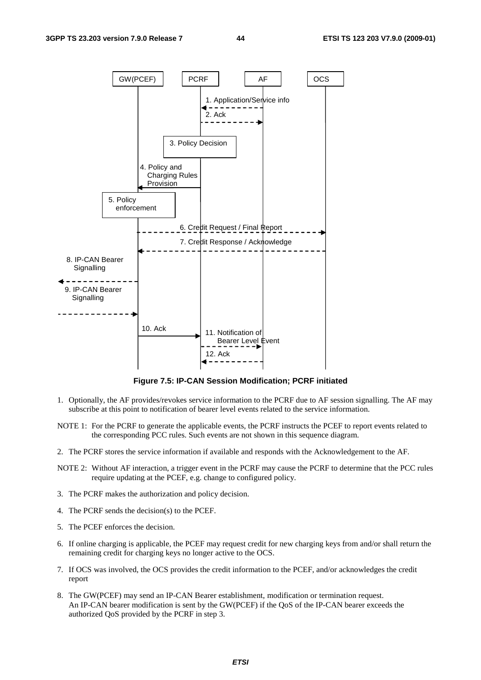

**Figure 7.5: IP-CAN Session Modification; PCRF initiated** 

- 1. Optionally, the AF provides/revokes service information to the PCRF due to AF session signalling. The AF may subscribe at this point to notification of bearer level events related to the service information.
- NOTE 1: For the PCRF to generate the applicable events, the PCRF instructs the PCEF to report events related to the corresponding PCC rules. Such events are not shown in this sequence diagram.
- 2. The PCRF stores the service information if available and responds with the Acknowledgement to the AF.
- NOTE 2: Without AF interaction, a trigger event in the PCRF may cause the PCRF to determine that the PCC rules require updating at the PCEF, e.g. change to configured policy.
- 3. The PCRF makes the authorization and policy decision.
- 4. The PCRF sends the decision(s) to the PCEF.
- 5. The PCEF enforces the decision.
- 6. If online charging is applicable, the PCEF may request credit for new charging keys from and/or shall return the remaining credit for charging keys no longer active to the OCS.
- 7. If OCS was involved, the OCS provides the credit information to the PCEF, and/or acknowledges the credit report
- 8. The GW(PCEF) may send an IP-CAN Bearer establishment, modification or termination request. An IP-CAN bearer modification is sent by the GW(PCEF) if the QoS of the IP-CAN bearer exceeds the authorized QoS provided by the PCRF in step 3.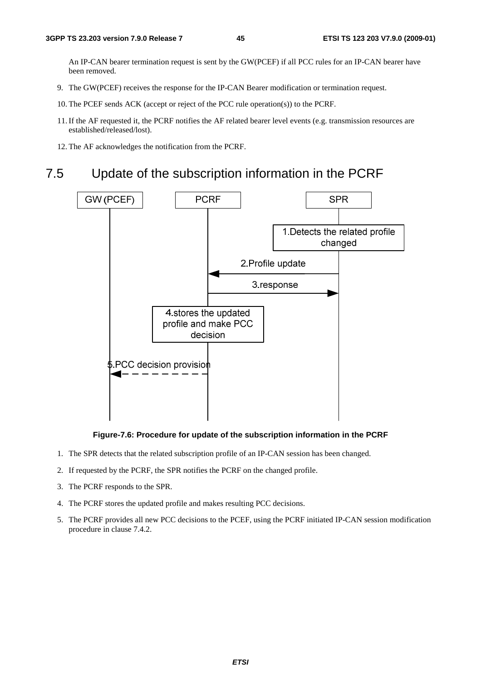An IP-CAN bearer termination request is sent by the GW(PCEF) if all PCC rules for an IP-CAN bearer have been removed.

- 9. The GW(PCEF) receives the response for the IP-CAN Bearer modification or termination request.
- 10. The PCEF sends ACK (accept or reject of the PCC rule operation(s)) to the PCRF.
- 11. If the AF requested it, the PCRF notifies the AF related bearer level events (e.g. transmission resources are established/released/lost).
- 12. The AF acknowledges the notification from the PCRF.

# 7.5 Update of the subscription information in the PCRF



#### **Figure-7.6: Procedure for update of the subscription information in the PCRF**

- 1. The SPR detects that the related subscription profile of an IP-CAN session has been changed.
- 2. If requested by the PCRF, the SPR notifies the PCRF on the changed profile.
- 3. The PCRF responds to the SPR.
- 4. The PCRF stores the updated profile and makes resulting PCC decisions.
- 5. The PCRF provides all new PCC decisions to the PCEF, using the PCRF initiated IP-CAN session modification procedure in clause 7.4.2.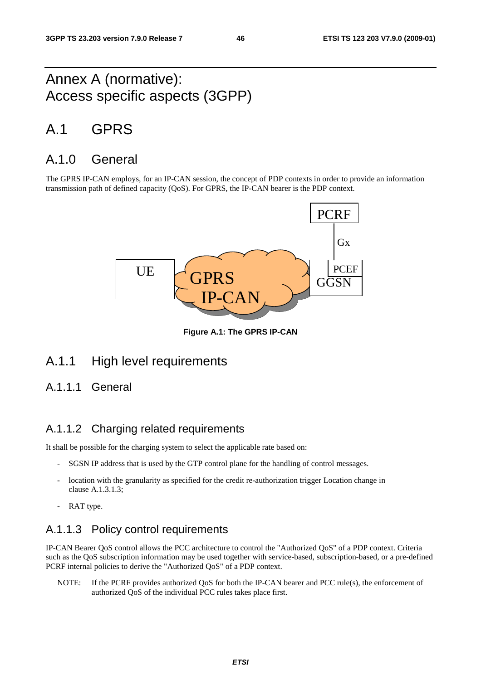# Annex A (normative): Access specific aspects (3GPP)

# A.1 GPRS

## A.1.0 General

The GPRS IP-CAN employs, for an IP-CAN session, the concept of PDP contexts in order to provide an information transmission path of defined capacity (QoS). For GPRS, the IP-CAN bearer is the PDP context.



**Figure A.1: The GPRS IP-CAN** 

## A.1.1 High level requirements

### A.1.1.1 General

### A.1.1.2 Charging related requirements

It shall be possible for the charging system to select the applicable rate based on:

- SGSN IP address that is used by the GTP control plane for the handling of control messages.
- location with the granularity as specified for the credit re-authorization trigger Location change in clause A.1.3.1.3;
- RAT type.

## A.1.1.3 Policy control requirements

IP-CAN Bearer QoS control allows the PCC architecture to control the "Authorized QoS" of a PDP context. Criteria such as the QoS subscription information may be used together with service-based, subscription-based, or a pre-defined PCRF internal policies to derive the "Authorized QoS" of a PDP context.

NOTE: If the PCRF provides authorized QoS for both the IP-CAN bearer and PCC rule(s), the enforcement of authorized QoS of the individual PCC rules takes place first.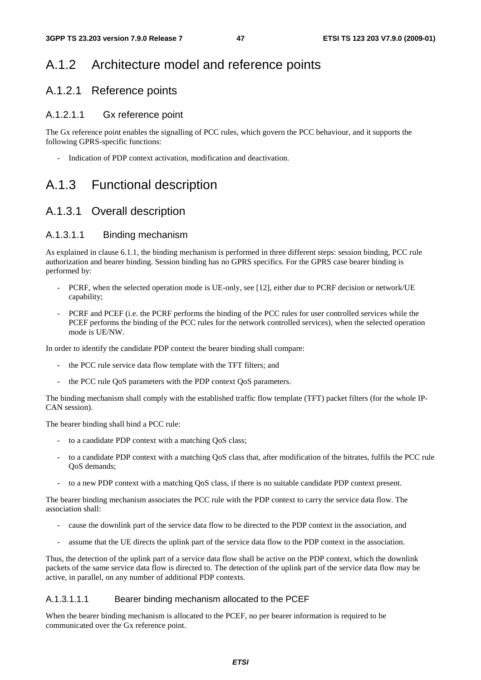# A.1.2 Architecture model and reference points

### A.1.2.1 Reference points

### A.1.2.1.1 Gx reference point

The Gx reference point enables the signalling of PCC rules, which govern the PCC behaviour, and it supports the following GPRS-specific functions:

- Indication of PDP context activation, modification and deactivation.

# A.1.3 Functional description

## A.1.3.1 Overall description

### A.1.3.1.1 Binding mechanism

As explained in clause 6.1.1, the binding mechanism is performed in three different steps: session binding, PCC rule authorization and bearer binding. Session binding has no GPRS specifics. For the GPRS case bearer binding is performed by:

- PCRF, when the selected operation mode is UE-only, see [12], either due to PCRF decision or network/UE capability;
- PCRF and PCEF (i.e. the PCRF performs the binding of the PCC rules for user controlled services while the PCEF performs the binding of the PCC rules for the network controlled services), when the selected operation mode is UE/NW.

In order to identify the candidate PDP context the bearer binding shall compare:

- the PCC rule service data flow template with the TFT filters; and
- the PCC rule QoS parameters with the PDP context QoS parameters.

The binding mechanism shall comply with the established traffic flow template (TFT) packet filters (for the whole IP-CAN session).

The bearer binding shall bind a PCC rule:

- to a candidate PDP context with a matching QoS class;
- to a candidate PDP context with a matching QoS class that, after modification of the bitrates, fulfils the PCC rule QoS demands;
- to a new PDP context with a matching QoS class, if there is no suitable candidate PDP context present.

The bearer binding mechanism associates the PCC rule with the PDP context to carry the service data flow. The association shall:

- cause the downlink part of the service data flow to be directed to the PDP context in the association, and
- assume that the UE directs the uplink part of the service data flow to the PDP context in the association.

Thus, the detection of the uplink part of a service data flow shall be active on the PDP context, which the downlink packets of the same service data flow is directed to. The detection of the uplink part of the service data flow may be active, in parallel, on any number of additional PDP contexts.

#### A.1.3.1.1.1 Bearer binding mechanism allocated to the PCEF

When the bearer binding mechanism is allocated to the PCEF, no per bearer information is required to be communicated over the Gx reference point.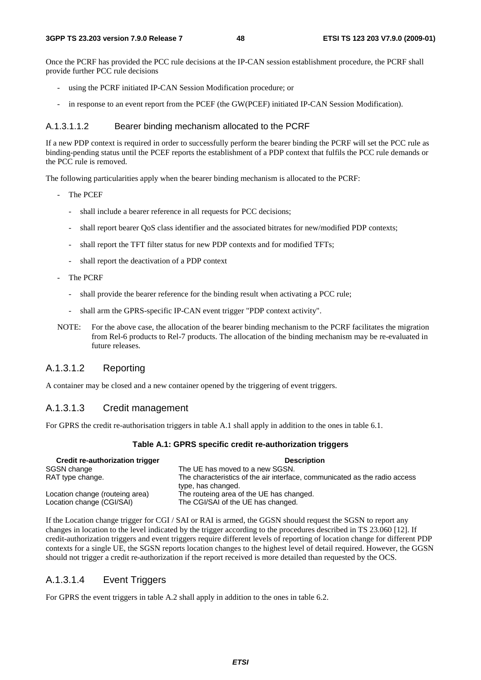Once the PCRF has provided the PCC rule decisions at the IP-CAN session establishment procedure, the PCRF shall provide further PCC rule decisions

- using the PCRF initiated IP-CAN Session Modification procedure; or
- in response to an event report from the PCEF (the GW(PCEF) initiated IP-CAN Session Modification).

#### A.1.3.1.1.2 Bearer binding mechanism allocated to the PCRF

If a new PDP context is required in order to successfully perform the bearer binding the PCRF will set the PCC rule as binding-pending status until the PCEF reports the establishment of a PDP context that fulfils the PCC rule demands or the PCC rule is removed.

The following particularities apply when the bearer binding mechanism is allocated to the PCRF:

- The PCEF
	- shall include a bearer reference in all requests for PCC decisions:
	- shall report bearer QoS class identifier and the associated bitrates for new/modified PDP contexts;
	- shall report the TFT filter status for new PDP contexts and for modified TFTs;
	- shall report the deactivation of a PDP context
- The PCRF
	- shall provide the bearer reference for the binding result when activating a PCC rule;
	- shall arm the GPRS-specific IP-CAN event trigger "PDP context activity".
- NOTE: For the above case, the allocation of the bearer binding mechanism to the PCRF facilitates the migration from Rel-6 products to Rel-7 products. The allocation of the binding mechanism may be re-evaluated in future releases.

### A.1.3.1.2 Reporting

A container may be closed and a new container opened by the triggering of event triggers.

#### A.1.3.1.3 Credit management

For GPRS the credit re-authorisation triggers in table A.1 shall apply in addition to the ones in table 6.1.

#### **Table A.1: GPRS specific credit re-authorization triggers**

| Credit re-authorization trigger | <b>Description</b>                                                                               |
|---------------------------------|--------------------------------------------------------------------------------------------------|
| SGSN change                     | The UE has moved to a new SGSN.                                                                  |
| RAT type change.                | The characteristics of the air interface, communicated as the radio access<br>type, has changed. |
| Location change (routeing area) | The routeing area of the UE has changed.                                                         |
| Location change (CGI/SAI)       | The CGI/SAI of the UE has changed.                                                               |

If the Location change trigger for CGI / SAI or RAI is armed, the GGSN should request the SGSN to report any changes in location to the level indicated by the trigger according to the procedures described in TS 23.060 [12]. If credit-authorization triggers and event triggers require different levels of reporting of location change for different PDP contexts for a single UE, the SGSN reports location changes to the highest level of detail required. However, the GGSN should not trigger a credit re-authorization if the report received is more detailed than requested by the OCS.

#### A.1.3.1.4 Event Triggers

For GPRS the event triggers in table A.2 shall apply in addition to the ones in table 6.2.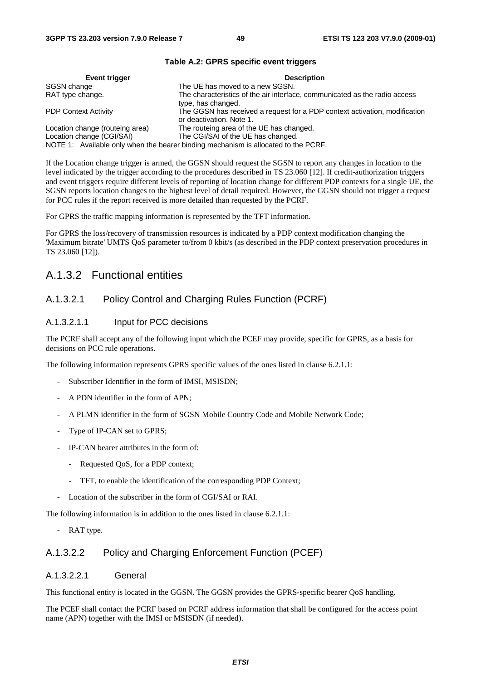| Event trigger                                                                      | <b>Description</b>                                                                                     |  |  |  |  |
|------------------------------------------------------------------------------------|--------------------------------------------------------------------------------------------------------|--|--|--|--|
| SGSN change                                                                        | The UE has moved to a new SGSN.                                                                        |  |  |  |  |
| RAT type change.                                                                   | The characteristics of the air interface, communicated as the radio access<br>type, has changed.       |  |  |  |  |
| <b>PDP Context Activity</b>                                                        | The GGSN has received a request for a PDP context activation, modification<br>or deactivation. Note 1. |  |  |  |  |
| Location change (routeing area)                                                    | The routeing area of the UE has changed.                                                               |  |  |  |  |
| Location change (CGI/SAI)                                                          | The CGI/SAI of the UE has changed.                                                                     |  |  |  |  |
| NOTE 1: Available only when the bearer binding mechanism is allocated to the PCRF. |                                                                                                        |  |  |  |  |

#### **Table A.2: GPRS specific event triggers**

If the Location change trigger is armed, the GGSN should request the SGSN to report any changes in location to the level indicated by the trigger according to the procedures described in TS 23.060 [12]. If credit-authorization triggers and event triggers require different levels of reporting of location change for different PDP contexts for a single UE, the SGSN reports location changes to the highest level of detail required. However, the GGSN should not trigger a request for PCC rules if the report received is more detailed than requested by the PCRF.

For GPRS the traffic mapping information is represented by the TFT information.

For GPRS the loss/recovery of transmission resources is indicated by a PDP context modification changing the 'Maximum bitrate' UMTS QoS parameter to/from 0 kbit/s (as described in the PDP context preservation procedures in TS 23.060 [12]).

### A.1.3.2 Functional entities

### A.1.3.2.1 Policy Control and Charging Rules Function (PCRF)

#### A.1.3.2.1.1 Input for PCC decisions

The PCRF shall accept any of the following input which the PCEF may provide, specific for GPRS, as a basis for decisions on PCC rule operations.

The following information represents GPRS specific values of the ones listed in clause 6.2.1.1:

- Subscriber Identifier in the form of IMSI, MSISDN;
- A PDN identifier in the form of APN;
- A PLMN identifier in the form of SGSN Mobile Country Code and Mobile Network Code;
- Type of IP-CAN set to GPRS;
- IP-CAN bearer attributes in the form of:
	- Requested QoS, for a PDP context;
	- TFT, to enable the identification of the corresponding PDP Context;
- Location of the subscriber in the form of CGI/SAI or RAI.

The following information is in addition to the ones listed in clause 6.2.1.1:

- RAT type.

#### A.1.3.2.2 Policy and Charging Enforcement Function (PCEF)

#### A.1.3.2.2.1 General

This functional entity is located in the GGSN. The GGSN provides the GPRS-specific bearer QoS handling.

The PCEF shall contact the PCRF based on PCRF address information that shall be configured for the access point name (APN) together with the IMSI or MSISDN (if needed).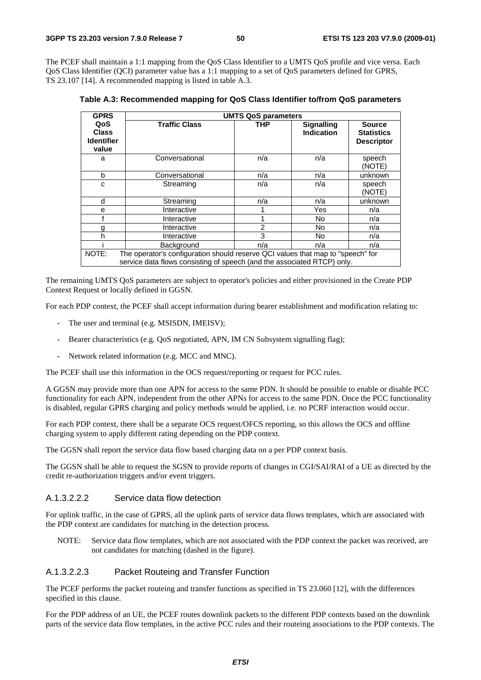The PCEF shall maintain a 1:1 mapping from the QoS Class Identifier to a UMTS QoS profile and vice versa. Each QoS Class Identifier (QCI) parameter value has a 1:1 mapping to a set of QoS parameters defined for GPRS, TS 23.107 [14]. A recommended mapping is listed in table A.3.

**Table A.3: Recommended mapping for QoS Class Identifier to/from QoS parameters** 

| <b>GPRS</b>                                                                                                                                                         | <b>UMTS QoS parameters</b> |            |                                        |                                                         |  |  |
|---------------------------------------------------------------------------------------------------------------------------------------------------------------------|----------------------------|------------|----------------------------------------|---------------------------------------------------------|--|--|
| QoS<br><b>Class</b><br><b>Identifier</b><br>value                                                                                                                   | <b>Traffic Class</b>       | <b>THP</b> | <b>Signalling</b><br><b>Indication</b> | <b>Source</b><br><b>Statistics</b><br><b>Descriptor</b> |  |  |
| a                                                                                                                                                                   | Conversational             | n/a        | n/a                                    | speech<br>(NOTE)                                        |  |  |
| b                                                                                                                                                                   | Conversational             | n/a        | n/a                                    | unknown                                                 |  |  |
| C                                                                                                                                                                   | Streaming                  | n/a        | n/a                                    | speech<br>(NOTE)                                        |  |  |
| d                                                                                                                                                                   | Streaming                  | n/a        | n/a                                    | unknown                                                 |  |  |
| е                                                                                                                                                                   | Interactive                |            | Yes                                    | n/a                                                     |  |  |
|                                                                                                                                                                     | Interactive                |            | <b>No</b>                              | n/a                                                     |  |  |
| g                                                                                                                                                                   | Interactive                | 2          | <b>No</b>                              | n/a                                                     |  |  |
| h                                                                                                                                                                   | Interactive                | 3          | <b>No</b>                              | n/a                                                     |  |  |
|                                                                                                                                                                     | Background                 | n/a        | n/a                                    | n/a                                                     |  |  |
| The operator's configuration should reserve QCI values that map to "speech" for<br>NOTE:<br>service data flows consisting of speech (and the associated RTCP) only. |                            |            |                                        |                                                         |  |  |

The remaining UMTS QoS parameters are subject to operator's policies and either provisioned in the Create PDP Context Request or locally defined in GGSN.

For each PDP context, the PCEF shall accept information during bearer establishment and modification relating to:

- The user and terminal (e.g. MSISDN, IMEISV);
- Bearer characteristics (e.g. QoS negotiated, APN, IM CN Subsystem signalling flag);
- Network related information (e.g. MCC and MNC).

The PCEF shall use this information in the OCS request/reporting or request for PCC rules.

A GGSN may provide more than one APN for access to the same PDN. It should be possible to enable or disable PCC functionality for each APN, independent from the other APNs for access to the same PDN. Once the PCC functionality is disabled, regular GPRS charging and policy methods would be applied, i.e. no PCRF interaction would occur.

For each PDP context, there shall be a separate OCS request/OFCS reporting, so this allows the OCS and offline charging system to apply different rating depending on the PDP context.

The GGSN shall report the service data flow based charging data on a per PDP context basis.

The GGSN shall be able to request the SGSN to provide reports of changes in CGI/SAI/RAI of a UE as directed by the credit re-authorization triggers and/or event triggers.

#### A.1.3.2.2.2 Service data flow detection

For uplink traffic, in the case of GPRS, all the uplink parts of service data flows templates, which are associated with the PDP context are candidates for matching in the detection process.

NOTE: Service data flow templates, which are not associated with the PDP context the packet was received, are not candidates for matching (dashed in the figure).

#### A.1.3.2.2.3 Packet Routeing and Transfer Function

The PCEF performs the packet routeing and transfer functions as specified in TS 23.060 [12], with the differences specified in this clause.

For the PDP address of an UE, the PCEF routes downlink packets to the different PDP contexts based on the downlink parts of the service data flow templates, in the active PCC rules and their routeing associations to the PDP contexts. The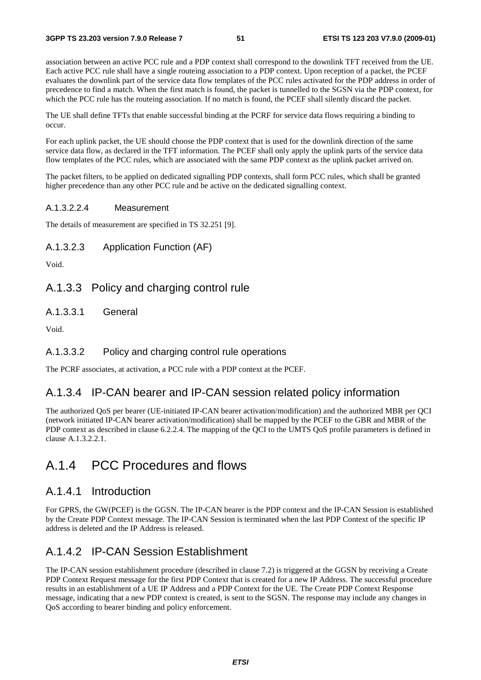association between an active PCC rule and a PDP context shall correspond to the downlink TFT received from the UE. Each active PCC rule shall have a single routeing association to a PDP context. Upon reception of a packet, the PCEF evaluates the downlink part of the service data flow templates of the PCC rules activated for the PDP address in order of precedence to find a match. When the first match is found, the packet is tunnelled to the SGSN via the PDP context, for which the PCC rule has the routeing association. If no match is found, the PCEF shall silently discard the packet.

The UE shall define TFTs that enable successful binding at the PCRF for service data flows requiring a binding to occur.

For each uplink packet, the UE should choose the PDP context that is used for the downlink direction of the same service data flow, as declared in the TFT information. The PCEF shall only apply the uplink parts of the service data flow templates of the PCC rules, which are associated with the same PDP context as the uplink packet arrived on.

The packet filters, to be applied on dedicated signalling PDP contexts, shall form PCC rules, which shall be granted higher precedence than any other PCC rule and be active on the dedicated signalling context.

#### A.1.3.2.2.4 Measurement

The details of measurement are specified in TS 32.251 [9].

A.1.3.2.3 Application Function (AF)

Void.

### A.1.3.3 Policy and charging control rule

A.1.3.3.1 General

Void.

#### A.1.3.3.2 Policy and charging control rule operations

The PCRF associates, at activation, a PCC rule with a PDP context at the PCEF.

### A.1.3.4 IP-CAN bearer and IP-CAN session related policy information

The authorized QoS per bearer (UE-initiated IP-CAN bearer activation/modification) and the authorized MBR per QCI (network initiated IP-CAN bearer activation/modification) shall be mapped by the PCEF to the GBR and MBR of the PDP context as described in clause 6.2.2.4. The mapping of the QCI to the UMTS QoS profile parameters is defined in clause A.1.3.2.2.1.

## A.1.4 PCC Procedures and flows

### A.1.4.1 Introduction

For GPRS, the GW(PCEF) is the GGSN. The IP-CAN bearer is the PDP context and the IP-CAN Session is established by the Create PDP Context message. The IP-CAN Session is terminated when the last PDP Context of the specific IP address is deleted and the IP Address is released.

## A.1.4.2 IP-CAN Session Establishment

The IP-CAN session establishment procedure (described in clause 7.2) is triggered at the GGSN by receiving a Create PDP Context Request message for the first PDP Context that is created for a new IP Address. The successful procedure results in an establishment of a UE IP Address and a PDP Context for the UE. The Create PDP Context Response message, indicating that a new PDP context is created, is sent to the SGSN. The response may include any changes in QoS according to bearer binding and policy enforcement.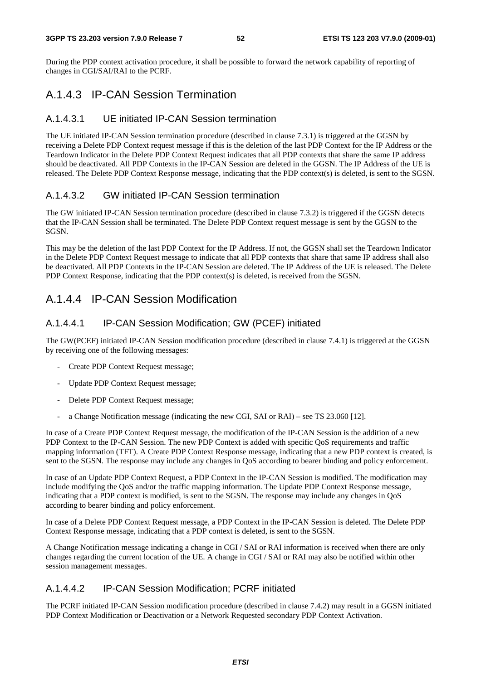During the PDP context activation procedure, it shall be possible to forward the network capability of reporting of changes in CGI/SAI/RAI to the PCRF.

## A.1.4.3 IP-CAN Session Termination

### A.1.4.3.1 UE initiated IP-CAN Session termination

The UE initiated IP-CAN Session termination procedure (described in clause 7.3.1) is triggered at the GGSN by receiving a Delete PDP Context request message if this is the deletion of the last PDP Context for the IP Address or the Teardown Indicator in the Delete PDP Context Request indicates that all PDP contexts that share the same IP address should be deactivated. All PDP Contexts in the IP-CAN Session are deleted in the GGSN. The IP Address of the UE is released. The Delete PDP Context Response message, indicating that the PDP context(s) is deleted, is sent to the SGSN.

### A.1.4.3.2 GW initiated IP-CAN Session termination

The GW initiated IP-CAN Session termination procedure (described in clause 7.3.2) is triggered if the GGSN detects that the IP-CAN Session shall be terminated. The Delete PDP Context request message is sent by the GGSN to the SGSN.

This may be the deletion of the last PDP Context for the IP Address. If not, the GGSN shall set the Teardown Indicator in the Delete PDP Context Request message to indicate that all PDP contexts that share that same IP address shall also be deactivated. All PDP Contexts in the IP-CAN Session are deleted. The IP Address of the UE is released. The Delete PDP Context Response, indicating that the PDP context(s) is deleted, is received from the SGSN.

## A.1.4.4 IP-CAN Session Modification

### A.1.4.4.1 IP-CAN Session Modification; GW (PCEF) initiated

The GW(PCEF) initiated IP-CAN Session modification procedure (described in clause 7.4.1) is triggered at the GGSN by receiving one of the following messages:

- Create PDP Context Request message;
- Update PDP Context Request message;
- Delete PDP Context Request message;
- a Change Notification message (indicating the new CGI, SAI or RAI) see TS 23.060 [12].

In case of a Create PDP Context Request message, the modification of the IP-CAN Session is the addition of a new PDP Context to the IP-CAN Session. The new PDP Context is added with specific QoS requirements and traffic mapping information (TFT). A Create PDP Context Response message, indicating that a new PDP context is created, is sent to the SGSN. The response may include any changes in QoS according to bearer binding and policy enforcement.

In case of an Update PDP Context Request, a PDP Context in the IP-CAN Session is modified. The modification may include modifying the QoS and/or the traffic mapping information. The Update PDP Context Response message, indicating that a PDP context is modified, is sent to the SGSN. The response may include any changes in QoS according to bearer binding and policy enforcement.

In case of a Delete PDP Context Request message, a PDP Context in the IP-CAN Session is deleted. The Delete PDP Context Response message, indicating that a PDP context is deleted, is sent to the SGSN.

A Change Notification message indicating a change in CGI / SAI or RAI information is received when there are only changes regarding the current location of the UE. A change in CGI / SAI or RAI may also be notified within other session management messages.

### A.1.4.4.2 IP-CAN Session Modification; PCRF initiated

The PCRF initiated IP-CAN Session modification procedure (described in clause 7.4.2) may result in a GGSN initiated PDP Context Modification or Deactivation or a Network Requested secondary PDP Context Activation.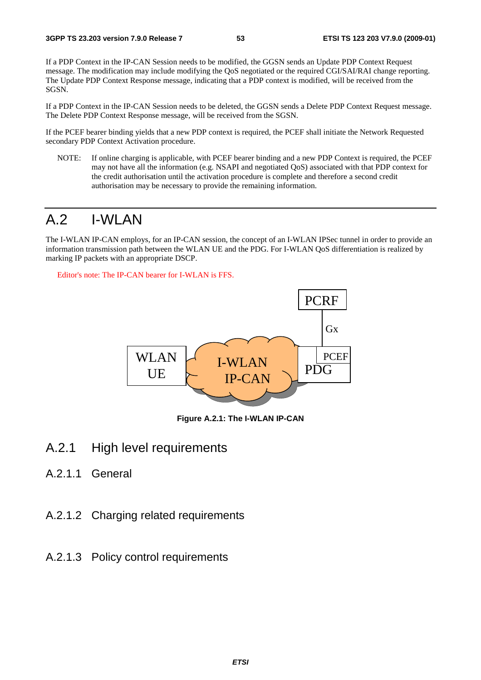If a PDP Context in the IP-CAN Session needs to be modified, the GGSN sends an Update PDP Context Request message. The modification may include modifying the QoS negotiated or the required CGI/SAI/RAI change reporting. The Update PDP Context Response message, indicating that a PDP context is modified, will be received from the SGSN.

If a PDP Context in the IP-CAN Session needs to be deleted, the GGSN sends a Delete PDP Context Request message. The Delete PDP Context Response message, will be received from the SGSN.

If the PCEF bearer binding yields that a new PDP context is required, the PCEF shall initiate the Network Requested secondary PDP Context Activation procedure.

NOTE: If online charging is applicable, with PCEF bearer binding and a new PDP Context is required, the PCEF may not have all the information (e.g. NSAPI and negotiated QoS) associated with that PDP context for the credit authorisation until the activation procedure is complete and therefore a second credit authorisation may be necessary to provide the remaining information.

# A.2 I-WLAN

The I-WLAN IP-CAN employs, for an IP-CAN session, the concept of an I-WLAN IPSec tunnel in order to provide an information transmission path between the WLAN UE and the PDG. For I-WLAN QoS differentiation is realized by marking IP packets with an appropriate DSCP.

Editor's note: The IP-CAN bearer for I-WLAN is FFS.



**Figure A.2.1: The I-WLAN IP-CAN** 

- A.2.1 High level requirements
- A.2.1.1 General
- A.2.1.2 Charging related requirements
- A.2.1.3 Policy control requirements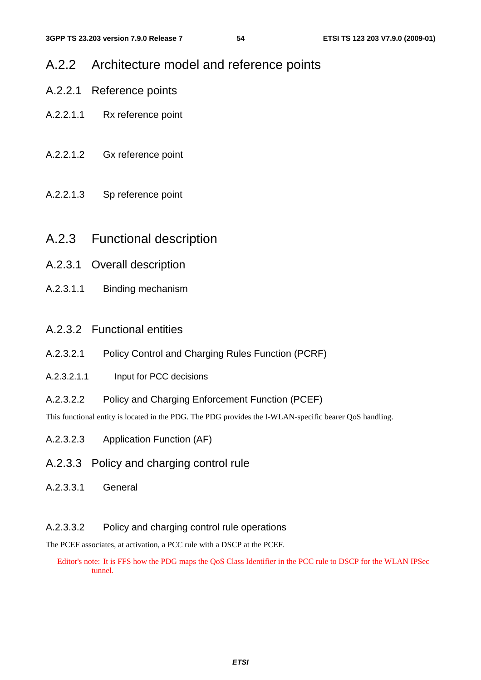## A.2.2 Architecture model and reference points

- A.2.2.1 Reference points
- A.2.2.1.1 Rx reference point
- A.2.2.1.2 Gx reference point
- A.2.2.1.3 Sp reference point
- A.2.3 Functional description
- A.2.3.1 Overall description
- A.2.3.1.1 Binding mechanism

### A.2.3.2 Functional entities

- A.2.3.2.1 Policy Control and Charging Rules Function (PCRF)
- A.2.3.2.1.1 Input for PCC decisions
- A.2.3.2.2 Policy and Charging Enforcement Function (PCEF)

This functional entity is located in the PDG. The PDG provides the I-WLAN-specific bearer QoS handling.

- A.2.3.2.3 Application Function (AF)
- A.2.3.3 Policy and charging control rule
- A.2.3.3.1 General

### A.2.3.3.2 Policy and charging control rule operations

The PCEF associates, at activation, a PCC rule with a DSCP at the PCEF.

Editor's note: It is FFS how the PDG maps the QoS Class Identifier in the PCC rule to DSCP for the WLAN IPSec tunnel.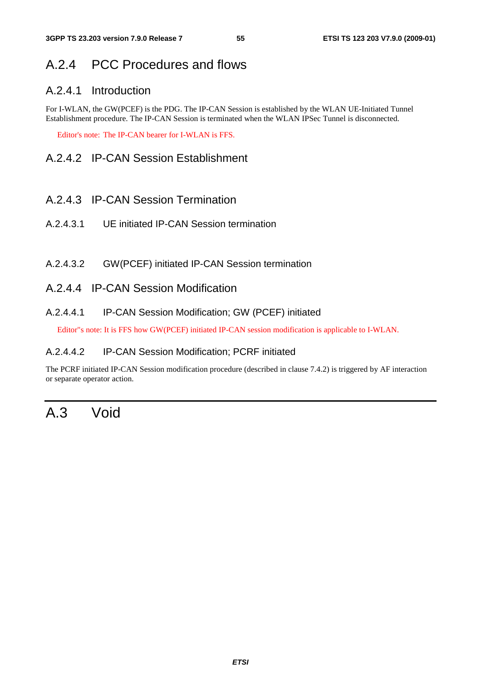# A.2.4 PCC Procedures and flows

### A.2.4.1 Introduction

For I-WLAN, the GW(PCEF) is the PDG. The IP-CAN Session is established by the WLAN UE-Initiated Tunnel Establishment procedure. The IP-CAN Session is terminated when the WLAN IPSec Tunnel is disconnected.

Editor's note: The IP-CAN bearer for I-WLAN is FFS.

## A.2.4.2 IP-CAN Session Establishment

- A.2.4.3 IP-CAN Session Termination
- A.2.4.3.1 UE initiated IP-CAN Session termination
- A.2.4.3.2 GW(PCEF) initiated IP-CAN Session termination
- A.2.4.4 IP-CAN Session Modification

### A.2.4.4.1 IP-CAN Session Modification; GW (PCEF) initiated

Editor"s note: It is FFS how GW(PCEF) initiated IP-CAN session modification is applicable to I-WLAN.

#### A.2.4.4.2 IP-CAN Session Modification; PCRF initiated

The PCRF initiated IP-CAN Session modification procedure (described in clause 7.4.2) is triggered by AF interaction or separate operator action.

# A.3 Void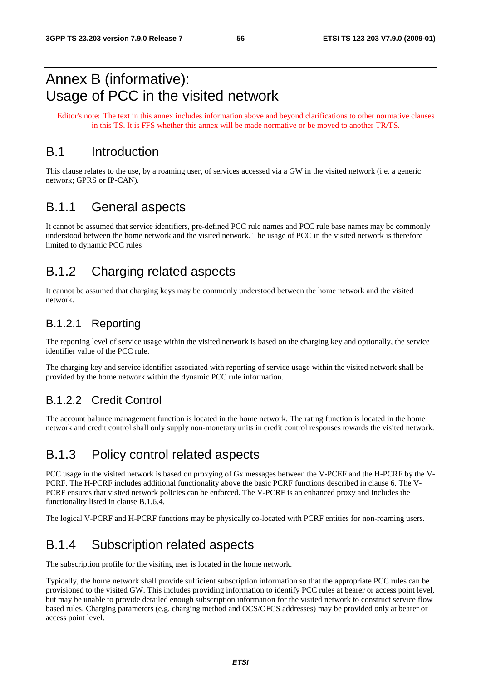# Annex B (informative): Usage of PCC in the visited network

Editor's note: The text in this annex includes information above and beyond clarifications to other normative clauses in this TS. It is FFS whether this annex will be made normative or be moved to another TR/TS.

## B.1 Introduction

This clause relates to the use, by a roaming user, of services accessed via a GW in the visited network (i.e. a generic network; GPRS or IP-CAN).

## B.1.1 General aspects

It cannot be assumed that service identifiers, pre-defined PCC rule names and PCC rule base names may be commonly understood between the home network and the visited network. The usage of PCC in the visited network is therefore limited to dynamic PCC rules

# B.1.2 Charging related aspects

It cannot be assumed that charging keys may be commonly understood between the home network and the visited network.

### B.1.2.1 Reporting

The reporting level of service usage within the visited network is based on the charging key and optionally, the service identifier value of the PCC rule.

The charging key and service identifier associated with reporting of service usage within the visited network shall be provided by the home network within the dynamic PCC rule information.

## B.1.2.2 Credit Control

The account balance management function is located in the home network. The rating function is located in the home network and credit control shall only supply non-monetary units in credit control responses towards the visited network.

## B.1.3 Policy control related aspects

PCC usage in the visited network is based on proxying of Gx messages between the V-PCEF and the H-PCRF by the V-PCRF. The H-PCRF includes additional functionality above the basic PCRF functions described in clause 6. The V-PCRF ensures that visited network policies can be enforced. The V-PCRF is an enhanced proxy and includes the functionality listed in clause B.1.6.4.

The logical V-PCRF and H-PCRF functions may be physically co-located with PCRF entities for non-roaming users.

## B.1.4 Subscription related aspects

The subscription profile for the visiting user is located in the home network.

Typically, the home network shall provide sufficient subscription information so that the appropriate PCC rules can be provisioned to the visited GW. This includes providing information to identify PCC rules at bearer or access point level, but may be unable to provide detailed enough subscription information for the visited network to construct service flow based rules. Charging parameters (e.g. charging method and OCS/OFCS addresses) may be provided only at bearer or access point level.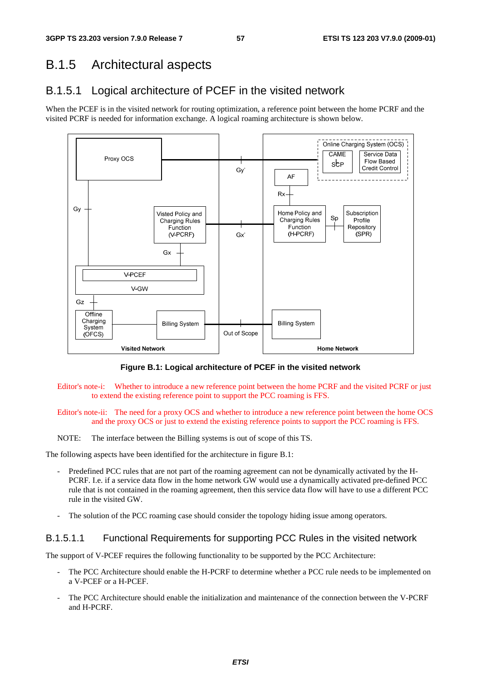# B.1.5 Architectural aspects

## B.1.5.1 Logical architecture of PCEF in the visited network

When the PCEF is in the visited network for routing optimization, a reference point between the home PCRF and the visited PCRF is needed for information exchange. A logical roaming architecture is shown below.



**Figure B.1: Logical architecture of PCEF in the visited network** 

- Editor's note-i: Whether to introduce a new reference point between the home PCRF and the visited PCRF or just to extend the existing reference point to support the PCC roaming is FFS.
- Editor's note-ii: The need for a proxy OCS and whether to introduce a new reference point between the home OCS and the proxy OCS or just to extend the existing reference points to support the PCC roaming is FFS.
- NOTE: The interface between the Billing systems is out of scope of this TS.

The following aspects have been identified for the architecture in figure B.1:

- Predefined PCC rules that are not part of the roaming agreement can not be dynamically activated by the H-PCRF. I.e. if a service data flow in the home network GW would use a dynamically activated pre-defined PCC rule that is not contained in the roaming agreement, then this service data flow will have to use a different PCC rule in the visited GW.
- The solution of the PCC roaming case should consider the topology hiding issue among operators.

### B.1.5.1.1 Functional Requirements for supporting PCC Rules in the visited network

The support of V-PCEF requires the following functionality to be supported by the PCC Architecture:

- The PCC Architecture should enable the H-PCRF to determine whether a PCC rule needs to be implemented on a V-PCEF or a H-PCEF.
- The PCC Architecture should enable the initialization and maintenance of the connection between the V-PCRF and H-PCRF.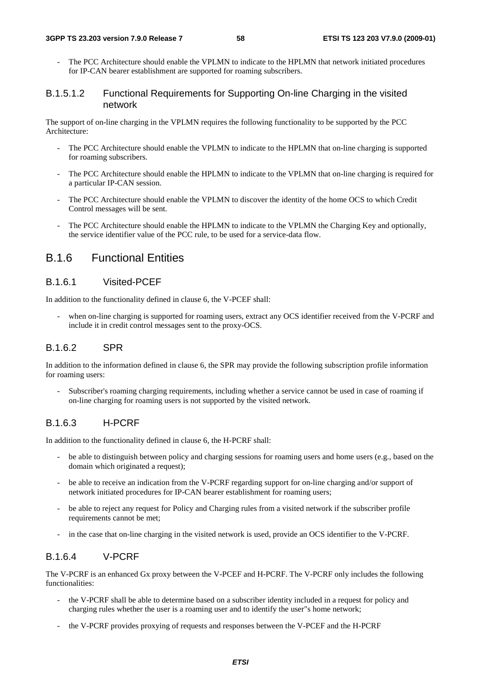The PCC Architecture should enable the VPLMN to indicate to the HPLMN that network initiated procedures for IP-CAN bearer establishment are supported for roaming subscribers.

#### B.1.5.1.2 Functional Requirements for Supporting On-line Charging in the visited network

The support of on-line charging in the VPLMN requires the following functionality to be supported by the PCC Architecture:

- The PCC Architecture should enable the VPLMN to indicate to the HPLMN that on-line charging is supported for roaming subscribers.
- The PCC Architecture should enable the HPLMN to indicate to the VPLMN that on-line charging is required for a particular IP-CAN session.
- The PCC Architecture should enable the VPLMN to discover the identity of the home OCS to which Credit Control messages will be sent.
- The PCC Architecture should enable the HPLMN to indicate to the VPLMN the Charging Key and optionally, the service identifier value of the PCC rule, to be used for a service-data flow.

### B.1.6 Functional Entities

#### B.1.6.1 Visited-PCEF

In addition to the functionality defined in clause 6, the V-PCEF shall:

when on-line charging is supported for roaming users, extract any OCS identifier received from the V-PCRF and include it in credit control messages sent to the proxy-OCS.

### B.1.6.2 SPR

In addition to the information defined in clause 6, the SPR may provide the following subscription profile information for roaming users:

- Subscriber's roaming charging requirements, including whether a service cannot be used in case of roaming if on-line charging for roaming users is not supported by the visited network.

#### B.1.6.3 H-PCRF

In addition to the functionality defined in clause 6, the H-PCRF shall:

- be able to distinguish between policy and charging sessions for roaming users and home users (e.g., based on the domain which originated a request);
- be able to receive an indication from the V-PCRF regarding support for on-line charging and/or support of network initiated procedures for IP-CAN bearer establishment for roaming users;
- be able to reject any request for Policy and Charging rules from a visited network if the subscriber profile requirements cannot be met;
- in the case that on-line charging in the visited network is used, provide an OCS identifier to the V-PCRF.

### B.1.6.4 V-PCRF

The V-PCRF is an enhanced Gx proxy between the V-PCEF and H-PCRF. The V-PCRF only includes the following functionalities:

- the V-PCRF shall be able to determine based on a subscriber identity included in a request for policy and charging rules whether the user is a roaming user and to identify the user"s home network;
- the V-PCRF provides proxying of requests and responses between the V-PCEF and the H-PCRF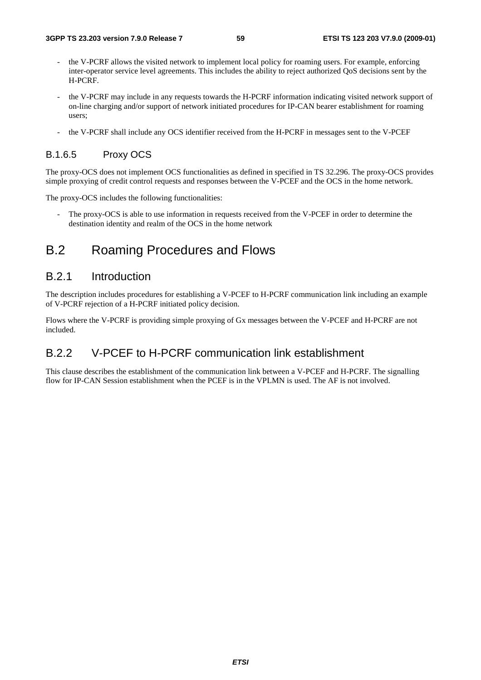- the V-PCRF allows the visited network to implement local policy for roaming users. For example, enforcing inter-operator service level agreements. This includes the ability to reject authorized QoS decisions sent by the H-PCRF.
- the V-PCRF may include in any requests towards the H-PCRF information indicating visited network support of on-line charging and/or support of network initiated procedures for IP-CAN bearer establishment for roaming users;
- the V-PCRF shall include any OCS identifier received from the H-PCRF in messages sent to the V-PCEF

#### B.1.6.5 Proxy OCS

The proxy-OCS does not implement OCS functionalities as defined in specified in TS 32.296. The proxy-OCS provides simple proxying of credit control requests and responses between the V-PCEF and the OCS in the home network.

The proxy-OCS includes the following functionalities:

The proxy-OCS is able to use information in requests received from the V-PCEF in order to determine the destination identity and realm of the OCS in the home network

## B.2 Roaming Procedures and Flows

### B.2.1 Introduction

The description includes procedures for establishing a V-PCEF to H-PCRF communication link including an example of V-PCRF rejection of a H-PCRF initiated policy decision.

Flows where the V-PCRF is providing simple proxying of Gx messages between the V-PCEF and H-PCRF are not included.

## B.2.2 V-PCEF to H-PCRF communication link establishment

This clause describes the establishment of the communication link between a V-PCEF and H-PCRF. The signalling flow for IP-CAN Session establishment when the PCEF is in the VPLMN is used. The AF is not involved.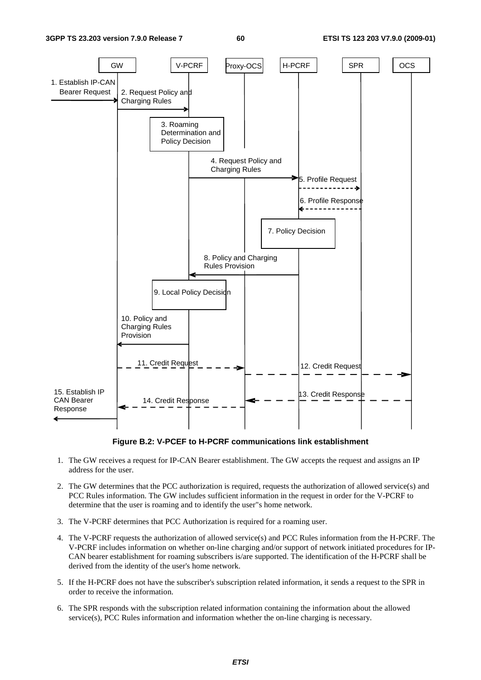

**Figure B.2: V-PCEF to H-PCRF communications link establishment** 

- 1. The GW receives a request for IP-CAN Bearer establishment. The GW accepts the request and assigns an IP address for the user.
- 2. The GW determines that the PCC authorization is required, requests the authorization of allowed service(s) and PCC Rules information. The GW includes sufficient information in the request in order for the V-PCRF to determine that the user is roaming and to identify the user"s home network.
- 3. The V-PCRF determines that PCC Authorization is required for a roaming user.
- 4. The V-PCRF requests the authorization of allowed service(s) and PCC Rules information from the H-PCRF. The V-PCRF includes information on whether on-line charging and/or support of network initiated procedures for IP-CAN bearer establishment for roaming subscribers is/are supported. The identification of the H-PCRF shall be derived from the identity of the user's home network.
- 5. If the H-PCRF does not have the subscriber's subscription related information, it sends a request to the SPR in order to receive the information.
- 6. The SPR responds with the subscription related information containing the information about the allowed service(s), PCC Rules information and information whether the on-line charging is necessary.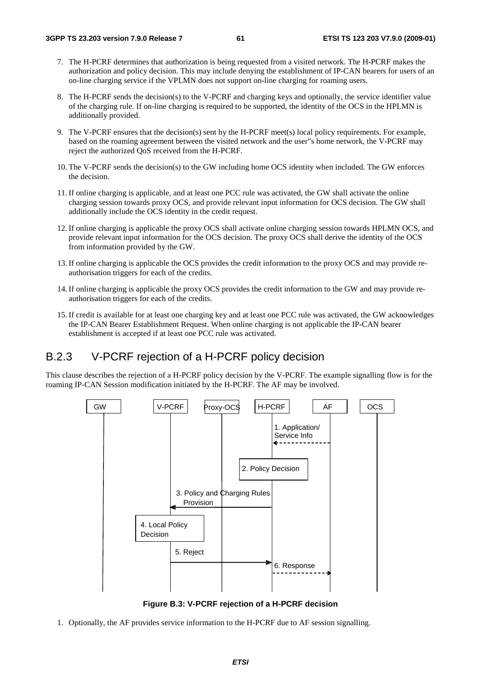- 7. The H-PCRF determines that authorization is being requested from a visited network. The H-PCRF makes the authorization and policy decision. This may include denying the establishment of IP-CAN bearers for users of an on-line charging service if the VPLMN does not support on-line charging for roaming users.
- 8. The H-PCRF sends the decision(s) to the V-PCRF and charging keys and optionally, the service identifier value of the charging rule. If on-line charging is required to be supported, the identity of the OCS in the HPLMN is additionally provided.
- 9. The V-PCRF ensures that the decision(s) sent by the H-PCRF meet(s) local policy requirements. For example, based on the roaming agreement between the visited network and the user"s home network, the V-PCRF may reject the authorized QoS received from the H-PCRF.
- 10. The V-PCRF sends the decision(s) to the GW including home OCS identity when included. The GW enforces the decision.
- 11. If online charging is applicable, and at least one PCC rule was activated, the GW shall activate the online charging session towards proxy OCS, and provide relevant input information for OCS decision. The GW shall additionally include the OCS identity in the credit request.
- 12. If online charging is applicable the proxy OCS shall activate online charging session towards HPLMN OCS, and provide relevant input information for the OCS decision. The proxy OCS shall derive the identity of the OCS from information provided by the GW.
- 13. If online charging is applicable the OCS provides the credit information to the proxy OCS and may provide reauthorisation triggers for each of the credits.
- 14. If online charging is applicable the proxy OCS provides the credit information to the GW and may provide reauthorisation triggers for each of the credits.
- 15. If credit is available for at least one charging key and at least one PCC rule was activated, the GW acknowledges the IP-CAN Bearer Establishment Request. When online charging is not applicable the IP-CAN bearer establishment is accepted if at least one PCC rule was activated.

## B.2.3 V-PCRF rejection of a H-PCRF policy decision

This clause describes the rejection of a H-PCRF policy decision by the V-PCRF. The example signalling flow is for the roaming IP-CAN Session modification initiated by the H-PCRF. The AF may be involved.



**Figure B.3: V-PCRF rejection of a H-PCRF decision** 

1. Optionally, the AF provides service information to the H-PCRF due to AF session signalling.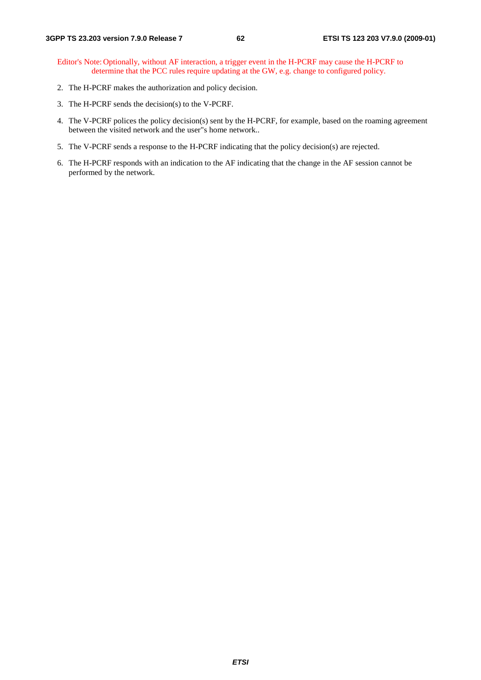- Editor's Note: Optionally, without AF interaction, a trigger event in the H-PCRF may cause the H-PCRF to determine that the PCC rules require updating at the GW, e.g. change to configured policy.
- 2. The H-PCRF makes the authorization and policy decision.
- 3. The H-PCRF sends the decision(s) to the V-PCRF.
- 4. The V-PCRF polices the policy decision(s) sent by the H-PCRF, for example, based on the roaming agreement between the visited network and the user"s home network..
- 5. The V-PCRF sends a response to the H-PCRF indicating that the policy decision(s) are rejected.
- 6. The H-PCRF responds with an indication to the AF indicating that the change in the AF session cannot be performed by the network.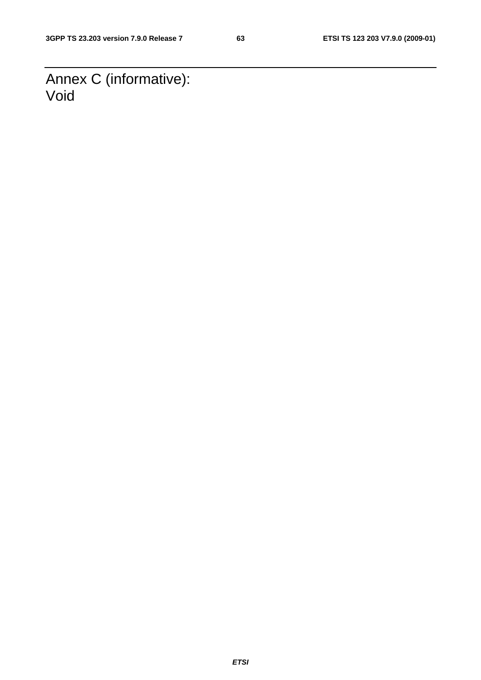Annex C (informative): Void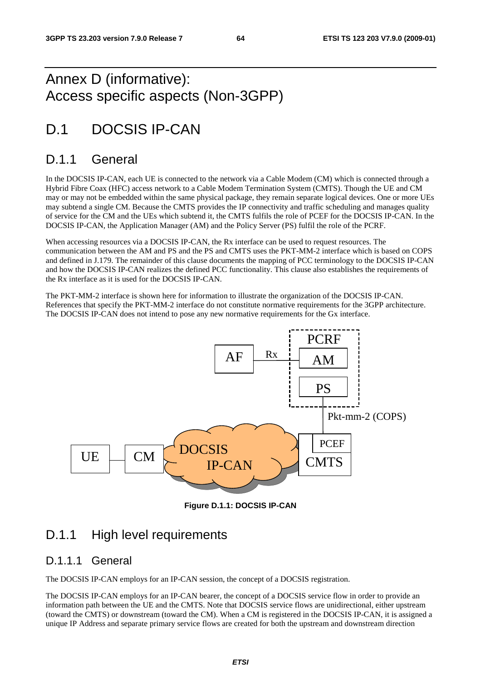# Annex D (informative): Access specific aspects (Non-3GPP)

# D.1 DOCSIS IP-CAN

## D.1.1 General

In the DOCSIS IP-CAN, each UE is connected to the network via a Cable Modem (CM) which is connected through a Hybrid Fibre Coax (HFC) access network to a Cable Modem Termination System (CMTS). Though the UE and CM may or may not be embedded within the same physical package, they remain separate logical devices. One or more UEs may subtend a single CM. Because the CMTS provides the IP connectivity and traffic scheduling and manages quality of service for the CM and the UEs which subtend it, the CMTS fulfils the role of PCEF for the DOCSIS IP-CAN. In the DOCSIS IP-CAN, the Application Manager (AM) and the Policy Server (PS) fulfil the role of the PCRF.

When accessing resources via a DOCSIS IP-CAN, the Rx interface can be used to request resources. The communication between the AM and PS and the PS and CMTS uses the PKT-MM-2 interface which is based on COPS and defined in J.179. The remainder of this clause documents the mapping of PCC terminology to the DOCSIS IP-CAN and how the DOCSIS IP-CAN realizes the defined PCC functionality. This clause also establishes the requirements of the Rx interface as it is used for the DOCSIS IP-CAN.

The PKT-MM-2 interface is shown here for information to illustrate the organization of the DOCSIS IP-CAN. References that specify the PKT-MM-2 interface do not constitute normative requirements for the 3GPP architecture. The DOCSIS IP-CAN does not intend to pose any new normative requirements for the Gx interface.



**Figure D.1.1: DOCSIS IP-CAN** 

## D.1.1 High level requirements

### D.1.1.1 General

The DOCSIS IP-CAN employs for an IP-CAN session, the concept of a DOCSIS registration.

The DOCSIS IP-CAN employs for an IP-CAN bearer, the concept of a DOCSIS service flow in order to provide an information path between the UE and the CMTS. Note that DOCSIS service flows are unidirectional, either upstream (toward the CMTS) or downstream (toward the CM). When a CM is registered in the DOCSIS IP-CAN, it is assigned a unique IP Address and separate primary service flows are created for both the upstream and downstream direction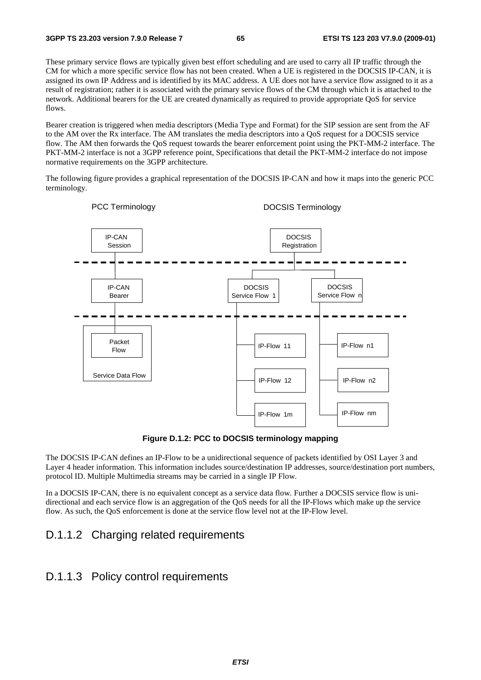These primary service flows are typically given best effort scheduling and are used to carry all IP traffic through the CM for which a more specific service flow has not been created. When a UE is registered in the DOCSIS IP-CAN, it is assigned its own IP Address and is identified by its MAC address. A UE does not have a service flow assigned to it as a result of registration; rather it is associated with the primary service flows of the CM through which it is attached to the network. Additional bearers for the UE are created dynamically as required to provide appropriate QoS for service flows.

Bearer creation is triggered when media descriptors (Media Type and Format) for the SIP session are sent from the AF to the AM over the Rx interface. The AM translates the media descriptors into a QoS request for a DOCSIS service flow. The AM then forwards the QoS request towards the bearer enforcement point using the PKT-MM-2 interface. The PKT-MM-2 interface is not a 3GPP reference point, Specifications that detail the PKT-MM-2 interface do not impose normative requirements on the 3GPP architecture.

The following figure provides a graphical representation of the DOCSIS IP-CAN and how it maps into the generic PCC terminology.



**Figure D.1.2: PCC to DOCSIS terminology mapping** 

The DOCSIS IP-CAN defines an IP-Flow to be a unidirectional sequence of packets identified by OSI Layer 3 and Layer 4 header information. This information includes source/destination IP addresses, source/destination port numbers, protocol ID. Multiple Multimedia streams may be carried in a single IP Flow.

In a DOCSIS IP-CAN, there is no equivalent concept as a service data flow. Further a DOCSIS service flow is unidirectional and each service flow is an aggregation of the QoS needs for all the IP-Flows which make up the service flow. As such, the QoS enforcement is done at the service flow level not at the IP-Flow level.

## D.1.1.2 Charging related requirements

### D.1.1.3 Policy control requirements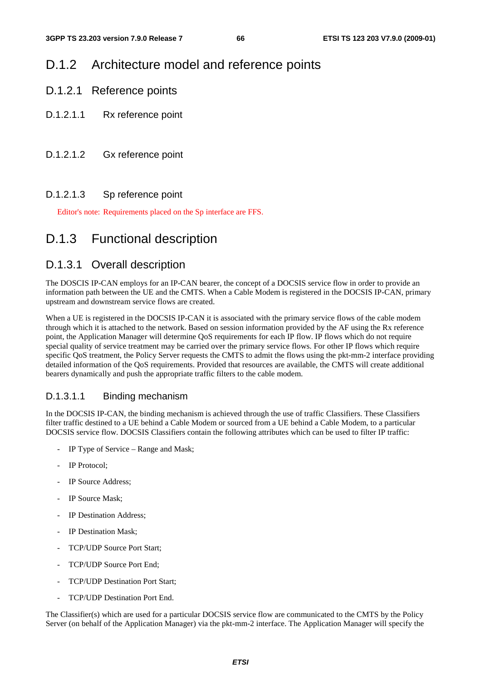## D.1.2 Architecture model and reference points

- D.1.2.1 Reference points
- D.1.2.1.1 Rx reference point
- D.1.2.1.2 Gx reference point

### D.1.2.1.3 Sp reference point

Editor's note: Requirements placed on the Sp interface are FFS.

## D.1.3 Functional description

### D.1.3.1 Overall description

The DOSCIS IP-CAN employs for an IP-CAN bearer, the concept of a DOCSIS service flow in order to provide an information path between the UE and the CMTS. When a Cable Modem is registered in the DOCSIS IP-CAN, primary upstream and downstream service flows are created.

When a UE is registered in the DOCSIS IP-CAN it is associated with the primary service flows of the cable modem through which it is attached to the network. Based on session information provided by the AF using the Rx reference point, the Application Manager will determine QoS requirements for each IP flow. IP flows which do not require special quality of service treatment may be carried over the primary service flows. For other IP flows which require specific QoS treatment, the Policy Server requests the CMTS to admit the flows using the pkt-mm-2 interface providing detailed information of the QoS requirements. Provided that resources are available, the CMTS will create additional bearers dynamically and push the appropriate traffic filters to the cable modem.

### D.1.3.1.1 Binding mechanism

In the DOCSIS IP-CAN, the binding mechanism is achieved through the use of traffic Classifiers. These Classifiers filter traffic destined to a UE behind a Cable Modem or sourced from a UE behind a Cable Modem, to a particular DOCSIS service flow. DOCSIS Classifiers contain the following attributes which can be used to filter IP traffic:

- IP Type of Service Range and Mask;
- IP Protocol;
- IP Source Address;
- IP Source Mask;
- IP Destination Address:
- IP Destination Mask:
- TCP/UDP Source Port Start;
- TCP/UDP Source Port End;
- TCP/UDP Destination Port Start:
- TCP/UDP Destination Port End.

The Classifier(s) which are used for a particular DOCSIS service flow are communicated to the CMTS by the Policy Server (on behalf of the Application Manager) via the pkt-mm-2 interface. The Application Manager will specify the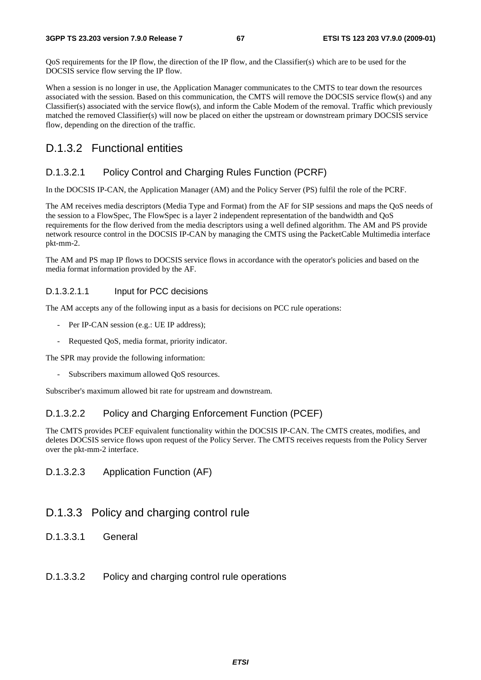QoS requirements for the IP flow, the direction of the IP flow, and the Classifier(s) which are to be used for the DOCSIS service flow serving the IP flow.

When a session is no longer in use, the Application Manager communicates to the CMTS to tear down the resources associated with the session. Based on this communication, the CMTS will remove the DOCSIS service flow(s) and any Classifier(s) associated with the service flow(s), and inform the Cable Modem of the removal. Traffic which previously matched the removed Classifier(s) will now be placed on either the upstream or downstream primary DOCSIS service flow, depending on the direction of the traffic.

### D.1.3.2 Functional entities

### D.1.3.2.1 Policy Control and Charging Rules Function (PCRF)

In the DOCSIS IP-CAN, the Application Manager (AM) and the Policy Server (PS) fulfil the role of the PCRF.

The AM receives media descriptors (Media Type and Format) from the AF for SIP sessions and maps the QoS needs of the session to a FlowSpec, The FlowSpec is a layer 2 independent representation of the bandwidth and QoS requirements for the flow derived from the media descriptors using a well defined algorithm. The AM and PS provide network resource control in the DOCSIS IP-CAN by managing the CMTS using the PacketCable Multimedia interface pkt-mm-2.

The AM and PS map IP flows to DOCSIS service flows in accordance with the operator's policies and based on the media format information provided by the AF.

#### D.1.3.2.1.1 Input for PCC decisions

The AM accepts any of the following input as a basis for decisions on PCC rule operations:

- Per IP-CAN session (e.g.: UE IP address);
- Requested OoS, media format, priority indicator.

The SPR may provide the following information:

Subscribers maximum allowed QoS resources.

Subscriber's maximum allowed bit rate for upstream and downstream.

### D.1.3.2.2 Policy and Charging Enforcement Function (PCEF)

The CMTS provides PCEF equivalent functionality within the DOCSIS IP-CAN. The CMTS creates, modifies, and deletes DOCSIS service flows upon request of the Policy Server. The CMTS receives requests from the Policy Server over the pkt-mm-2 interface.

### D.1.3.2.3 Application Function (AF)

### D.1.3.3 Policy and charging control rule

D.1.3.3.1 General

#### D.1.3.3.2 Policy and charging control rule operations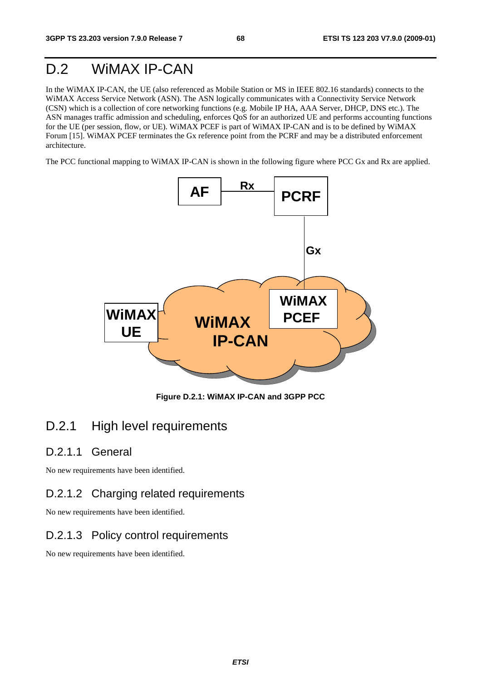# D.2 WiMAX IP-CAN

In the WiMAX IP-CAN, the UE (also referenced as Mobile Station or MS in IEEE 802.16 standards) connects to the WiMAX Access Service Network (ASN). The ASN logically communicates with a Connectivity Service Network (CSN) which is a collection of core networking functions (e.g. Mobile IP HA, AAA Server, DHCP, DNS etc.). The ASN manages traffic admission and scheduling, enforces QoS for an authorized UE and performs accounting functions for the UE (per session, flow, or UE). WiMAX PCEF is part of WiMAX IP-CAN and is to be defined by WiMAX Forum [15]. WiMAX PCEF terminates the Gx reference point from the PCRF and may be a distributed enforcement architecture.

The PCC functional mapping to WiMAX IP-CAN is shown in the following figure where PCC Gx and Rx are applied.



**Figure D.2.1: WiMAX IP-CAN and 3GPP PCC** 

## D.2.1 High level requirements

### D.2.1.1 General

No new requirements have been identified.

### D.2.1.2 Charging related requirements

No new requirements have been identified.

### D.2.1.3 Policy control requirements

No new requirements have been identified.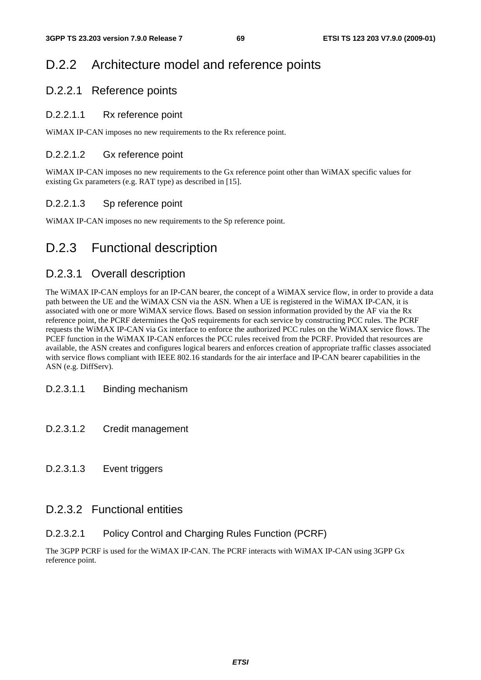# D.2.2 Architecture model and reference points

### D.2.2.1 Reference points

### D.2.2.1.1 Rx reference point

WiMAX IP-CAN imposes no new requirements to the Rx reference point.

### D.2.2.1.2 Gx reference point

WiMAX IP-CAN imposes no new requirements to the Gx reference point other than WiMAX specific values for existing Gx parameters (e.g. RAT type) as described in [15].

### D.2.2.1.3 Sp reference point

WiMAX IP-CAN imposes no new requirements to the Sp reference point.

# D.2.3 Functional description

### D.2.3.1 Overall description

The WiMAX IP-CAN employs for an IP-CAN bearer, the concept of a WiMAX service flow, in order to provide a data path between the UE and the WiMAX CSN via the ASN. When a UE is registered in the WiMAX IP-CAN, it is associated with one or more WiMAX service flows. Based on session information provided by the AF via the Rx reference point, the PCRF determines the QoS requirements for each service by constructing PCC rules. The PCRF requests the WiMAX IP-CAN via Gx interface to enforce the authorized PCC rules on the WiMAX service flows. The PCEF function in the WiMAX IP-CAN enforces the PCC rules received from the PCRF. Provided that resources are available, the ASN creates and configures logical bearers and enforces creation of appropriate traffic classes associated with service flows compliant with IEEE 802.16 standards for the air interface and IP-CAN bearer capabilities in the ASN (e.g. DiffServ).

### D.2.3.1.1 Binding mechanism

- D.2.3.1.2 Credit management
- D.2.3.1.3 Event triggers

### D.2.3.2 Functional entities

### D.2.3.2.1 Policy Control and Charging Rules Function (PCRF)

The 3GPP PCRF is used for the WiMAX IP-CAN. The PCRF interacts with WiMAX IP-CAN using 3GPP Gx reference point.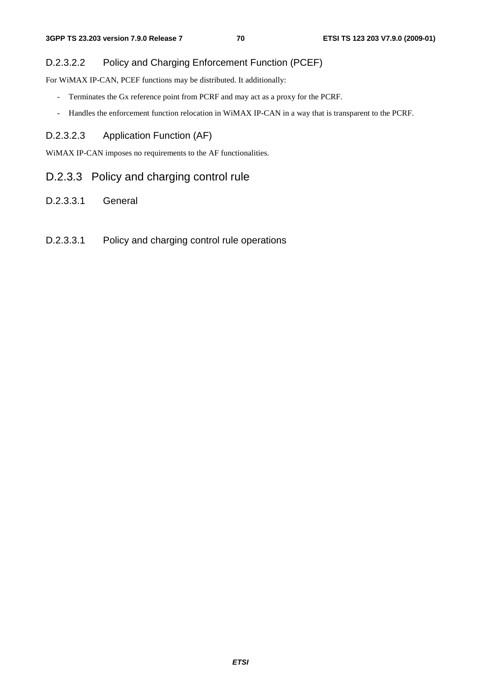### D.2.3.2.2 Policy and Charging Enforcement Function (PCEF)

For WiMAX IP-CAN, PCEF functions may be distributed. It additionally:

- Terminates the Gx reference point from PCRF and may act as a proxy for the PCRF.
- Handles the enforcement function relocation in WiMAX IP-CAN in a way that is transparent to the PCRF.

### D.2.3.2.3 Application Function (AF)

WiMAX IP-CAN imposes no requirements to the AF functionalities.

### D.2.3.3 Policy and charging control rule

- D.2.3.3.1 General
- D.2.3.3.1 Policy and charging control rule operations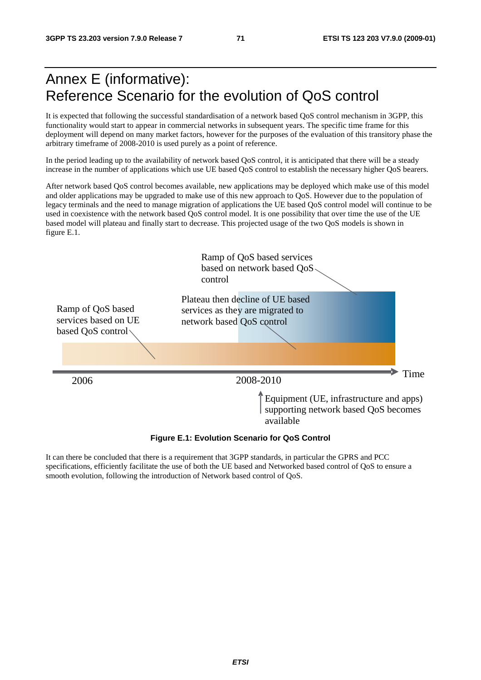# Annex E (informative): Reference Scenario for the evolution of QoS control

It is expected that following the successful standardisation of a network based QoS control mechanism in 3GPP, this functionality would start to appear in commercial networks in subsequent years. The specific time frame for this deployment will depend on many market factors, however for the purposes of the evaluation of this transitory phase the arbitrary timeframe of 2008-2010 is used purely as a point of reference.

In the period leading up to the availability of network based QoS control, it is anticipated that there will be a steady increase in the number of applications which use UE based QoS control to establish the necessary higher QoS bearers.

After network based QoS control becomes available, new applications may be deployed which make use of this model and older applications may be upgraded to make use of this new approach to QoS. However due to the population of legacy terminals and the need to manage migration of applications the UE based QoS control model will continue to be used in coexistence with the network based QoS control model. It is one possibility that over time the use of the UE based model will plateau and finally start to decrease. This projected usage of the two QoS models is shown in figure E.1.



**Figure E.1: Evolution Scenario for QoS Control** 

It can there be concluded that there is a requirement that 3GPP standards, in particular the GPRS and PCC specifications, efficiently facilitate the use of both the UE based and Networked based control of QoS to ensure a smooth evolution, following the introduction of Network based control of QoS.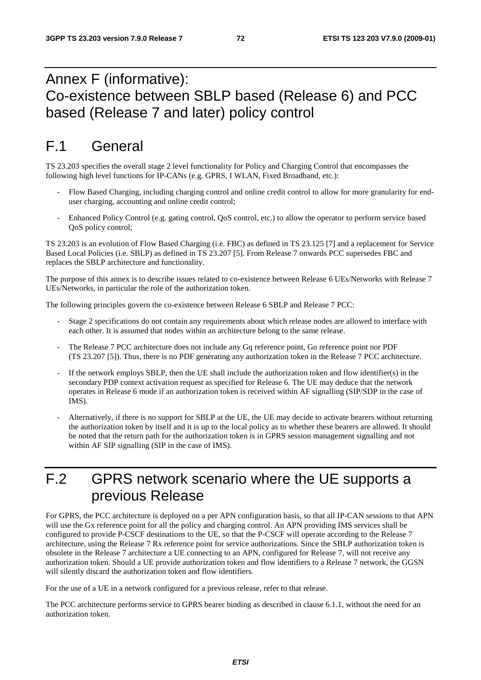#### Annex F (informative): Co-existence between SBLP based (Release 6) and PCC based (Release 7 and later) policy control

## F.1 General

TS 23.203 specifies the overall stage 2 level functionality for Policy and Charging Control that encompasses the following high level functions for IP-CANs (e.g. GPRS, I WLAN, Fixed Broadband, etc.):

- Flow Based Charging, including charging control and online credit control to allow for more granularity for enduser charging, accounting and online credit control;
- Enhanced Policy Control (e.g. gating control, QoS control, etc.) to allow the operator to perform service based QoS policy control;

TS 23.203 is an evolution of Flow Based Charging (i.e. FBC) as defined in TS 23.125 [7] and a replacement for Service Based Local Policies (i.e. SBLP) as defined in TS 23.207 [5]. From Release 7 onwards PCC supersedes FBC and replaces the SBLP architecture and functionality.

The purpose of this annex is to describe issues related to co-existence between Release 6 UEs/Networks with Release 7 UEs/Networks, in particular the role of the authorization token.

The following principles govern the co-existence between Release 6 SBLP and Release 7 PCC:

- Stage 2 specifications do not contain any requirements about which release nodes are allowed to interface with each other. It is assumed that nodes within an architecture belong to the same release.
- The Release 7 PCC architecture does not include any Gq reference point, Go reference point nor PDF (TS 23.207 [5]). Thus, there is no PDF generating any authorization token in the Release 7 PCC architecture.
- If the network employs SBLP, then the UE shall include the authorization token and flow identifier(s) in the secondary PDP context activation request as specified for Release 6. The UE may deduce that the network operates in Release 6 mode if an authorization token is received within AF signalling (SIP/SDP in the case of IMS).
- Alternatively, if there is no support for SBLP at the UE, the UE may decide to activate bearers without returning the authorization token by itself and it is up to the local policy as to whether these bearers are allowed. It should be noted that the return path for the authorization token is in GPRS session management signalling and not within AF SIP signalling (SIP in the case of IMS).

## F.2 GPRS network scenario where the UE supports a previous Release

For GPRS, the PCC architecture is deployed on a per APN configuration basis, so that all IP-CAN sessions to that APN will use the Gx reference point for all the policy and charging control. An APN providing IMS services shall be configured to provide P-CSCF destinations to the UE, so that the P-CSCF will operate according to the Release 7 architecture, using the Release 7 Rx reference point for service authorizations. Since the SBLP authorization token is obsolete in the Release 7 architecture a UE connecting to an APN, configured for Release 7, will not receive any authorization token. Should a UE provide authorization token and flow identifiers to a Release 7 network, the GGSN will silently discard the authorization token and flow identifiers.

For the use of a UE in a network configured for a previous release, refer to that release.

The PCC architecture performs service to GPRS bearer binding as described in clause 6.1.1, without the need for an authorization token.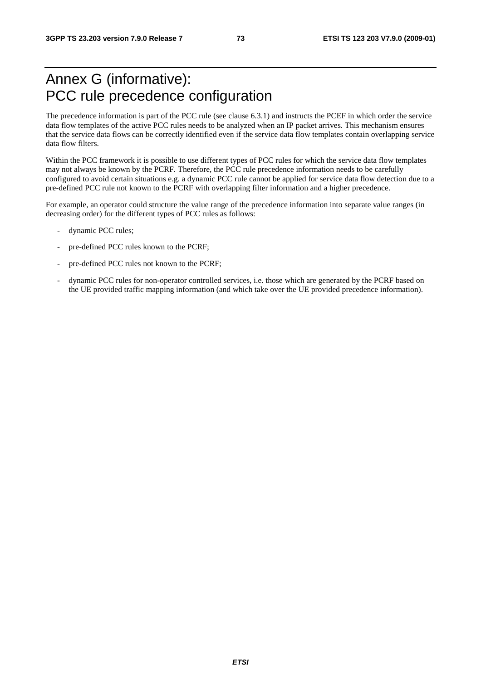#### Annex G (informative): PCC rule precedence configuration

The precedence information is part of the PCC rule (see clause 6.3.1) and instructs the PCEF in which order the service data flow templates of the active PCC rules needs to be analyzed when an IP packet arrives. This mechanism ensures that the service data flows can be correctly identified even if the service data flow templates contain overlapping service data flow filters.

Within the PCC framework it is possible to use different types of PCC rules for which the service data flow templates may not always be known by the PCRF. Therefore, the PCC rule precedence information needs to be carefully configured to avoid certain situations e.g. a dynamic PCC rule cannot be applied for service data flow detection due to a pre-defined PCC rule not known to the PCRF with overlapping filter information and a higher precedence.

For example, an operator could structure the value range of the precedence information into separate value ranges (in decreasing order) for the different types of PCC rules as follows:

- dynamic PCC rules;
- pre-defined PCC rules known to the PCRF;
- pre-defined PCC rules not known to the PCRF;
- dynamic PCC rules for non-operator controlled services, i.e. those which are generated by the PCRF based on the UE provided traffic mapping information (and which take over the UE provided precedence information).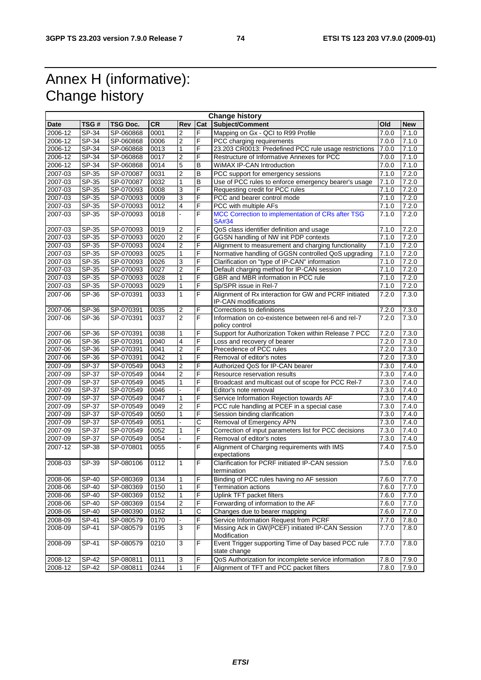### Annex H (informative): Change history

| <b>Change history</b> |                           |           |           |                         |                |                                                                               |       |                    |
|-----------------------|---------------------------|-----------|-----------|-------------------------|----------------|-------------------------------------------------------------------------------|-------|--------------------|
| <b>Date</b>           | TSG#                      | TSG Doc.  | <b>CR</b> | Rev                     | Cat            | Subject/Comment                                                               | Old   | <b>New</b>         |
| 2006-12               | SP-34                     | SP-060868 | 0001      | $\overline{2}$          | F              | Mapping on Gx - QCI to R99 Profile                                            | 7.0.0 | 7.1.0              |
| 2006-12               | SP-34                     | SP-060868 | 0006      | $\overline{2}$          | F              | PCC charging requirements                                                     | 7.0.0 | 7.1.0              |
| 2006-12               | SP-34                     | SP-060868 | 0013      | $\mathbf{1}$            | F              | 23.203 CR0013: Predefined PCC rule usage restrictions                         | 7.0.0 | 7.1.0              |
| 2006-12               | SP-34                     | SP-060868 | 0017      | $\overline{2}$          | F              | Restructure of Informative Annexes for PCC                                    | 7.0.0 | $\overline{7}.1.0$ |
| 2006-12               | SP-34                     | SP-060868 | 0014      | $\overline{5}$          | B              | <b>WiMAX IP-CAN Introduction</b>                                              | 7.0.0 | 7.1.0              |
| 2007-03               | SP-35                     | SP-070087 | 0031      | $\overline{2}$          | B              | PCC support for emergency sessions                                            | 7.1.0 | 7.2.0              |
| 2007-03               | SP-35                     | SP-070087 | 0032      | $\overline{1}$          | B              | Use of PCC rules to enforce emergency bearer's usage                          | 7.1.0 | 7.2.0              |
| 2007-03               | SP-35                     | SP-070093 | 0008      | 3                       | F              | Requesting credit for PCC rules                                               | 7.1.0 | 7.2.0              |
| 2007-03               | SP-35                     | SP-070093 | 0009      | 3                       | F              | PCC and bearer control mode                                                   | 7.1.0 | 7.2.0              |
| 2007-03               | SP-35                     | SP-070093 | 0012      | 4                       | F              | PCC with multiple AFs                                                         | 7.1.0 | 7.2.0              |
| 2007-03               | SP-35                     | SP-070093 | 0018      |                         | F              | MCC Correction to implementation of CRs after TSG<br><b>SA#34</b>             | 7.1.0 | 7.2.0              |
| 2007-03               | SP-35                     | SP-070093 | 0019      | $\overline{\mathbf{c}}$ | F              | QoS class identifier definition and usage                                     | 7.1.0 | 7.2.0              |
| 2007-03               | $SP-35$                   | SP-070093 | 0020      | $\overline{2}$          | F              | GGSN handling of NW init PDP contexts                                         | 7.1.0 | 7.2.0              |
| 2007-03               | SP-35                     | SP-070093 | 0024      | $\overline{2}$          | F              | Alignment to measurement and charging functionality                           | 7.1.0 | 7.2.0              |
| 2007-03               | SP-35                     | SP-070093 | 0025      | $\mathbf{1}$            | F              | Normative handling of GGSN controlled QoS upgrading                           | 7.1.0 | 7.2.0              |
| 2007-03               | SP-35                     | SP-070093 | 0026      | $\mathbf{3}$            | F              | Clarification on "type of IP-CAN" information                                 | 7.1.0 | 7.2.0              |
| 2007-03               | SP-35                     | SP-070093 | 0027      | $\overline{2}$          | F              | Default charging method for IP-CAN session                                    | 7.1.0 | 7.2.0              |
| 2007-03               | SP-35                     | SP-070093 | 0028      | $\mathbf{1}$            | F              | GBR and MBR information in PCC rule                                           | 7.1.0 | 7.2.0              |
| 2007-03               | SP-35                     | SP-070093 | 0029      | $\overline{1}$          | F              | Sp/SPR issue in Rel-7                                                         | 7.1.0 | 7.2.0              |
| 2007-06               | SP-36                     | SP-070391 | 0033      | $\mathbf{1}$            | F              | Alignment of Rx interaction for GW and PCRF initiated<br>IP-CAN modifications | 7.2.0 | 7.3.0              |
| 2007-06               | SP-36                     | SP-070391 | 0035      | $\overline{2}$          | F              | Corrections to definitions                                                    | 7.2.0 | 7.3.0              |
| 2007-06               | SP-36                     | SP-070391 | 0037      | $\overline{2}$          | F              | Information on co-existence between rel-6 and rel-7<br>policy control         | 7.2.0 | 7.3.0              |
| 2007-06               | SP-36                     | SP-070391 | 0038      | $\mathbf{1}$            | F              | Support for Authorization Token within Release 7 PCC                          | 7.2.0 | 7.3.0              |
| 2007-06               | SP-36                     | SP-070391 | 0040      | 4                       | F              | Loss and recovery of bearer                                                   | 7.2.0 | 7.3.0              |
| 2007-06               | SP-36                     | SP-070391 | 0041      | $\overline{2}$          | F              | Precedence of PCC rules                                                       | 7.2.0 | 7.3.0              |
| 2007-06               | SP-36                     | SP-070391 | 0042      | $\overline{1}$          | F              | Removal of editor's notes                                                     | 7.2.0 | 7.3.0              |
| 2007-09               | SP-37                     | SP-070549 | 0043      | $\overline{2}$          | F              | Authorized QoS for IP-CAN bearer                                              | 7.3.0 | 7.4.0              |
| 2007-09               | SP-37                     | SP-070549 | 0044      | $\overline{\mathbf{2}}$ | F              | Resource reservation results                                                  | 7.3.0 | 7.4.0              |
| 2007-09               | SP-37                     | SP-070549 | 0045      | $\mathbf{1}$            | F              | Broadcast and multicast out of scope for PCC Rel-7                            | 7.3.0 | 7.4.0              |
| 2007-09               | SP-37                     | SP-070549 | 0046      | $\blacksquare$          | F              | Editor's note removal                                                         | 7.3.0 | 7.4.0              |
| 2007-09               | <b>SP-37</b>              | SP-070549 | 0047      | $\mathbf{1}$            | F              | Service Information Rejection towards AF                                      | 7.3.0 | 7.4.0              |
| 2007-09               | SP-37                     | SP-070549 | 0049      | $\overline{2}$          | F              | PCC rule handling at PCEF in a special case                                   | 7.3.0 | 7.4.0              |
| 2007-09               | SP-37                     | SP-070549 | 0050      | $\mathbf{1}$            | F              | Session binding clarification                                                 | 7.3.0 | 7.4.0              |
| 2007-09               | SP-37                     | SP-070549 | 0051      | $\overline{a}$          | $\overline{C}$ | Removal of Emergency APN                                                      | 7.3.0 | 7.4.0              |
| 2007-09               | SP-37                     | SP-070549 | 0052      | $\mathbf{1}$            | F              | Correction of input parameters list for PCC decisions                         | 7.3.0 | 7.4.0              |
| 2007-09               | SP-37                     | SP-070549 | 0054      | ä,                      | F              | Removal of editor's notes                                                     | 7.3.0 | 7.4.0              |
| 2007-12               | SP-38                     | SP-070801 | 0055      | $\overline{a}$          | F              | Alignment of Charging requirements with IMS<br>expectations                   | 7.4.0 | 7.5.0              |
| 2008-03               | SP-39                     | SP-080106 | 0112      | $\mathbf{1}$            | F              | Clarification for PCRF initiated IP-CAN session<br>termination                | 7.5.0 | 7.6.0              |
| 2008-06               | SP-40                     | SP-080369 | 0134      | $\mathbf{1}$            | F              | Binding of PCC rules having no AF session                                     | 7.6.0 | 7.7.0              |
| 2008-06               | SP-40                     | SP-080369 | 0150      | $\mathbf{1}$            | F              | <b>Termination actions</b>                                                    | 7.6.0 | 7.7.0              |
| 2008-06               | SP-40                     | SP-080369 | 0152      | $\mathbf{1}$            | F              | Uplink TFT packet filters                                                     | 7.6.0 | 7.7.0              |
| 2008-06               | $\overline{\text{SP-4}}0$ | SP-080369 | 0154      | $\overline{2}$          | F              | Forwarding of information to the AF                                           | 7.6.0 | 7.7.0              |
| 2008-06               | SP-40                     | SP-080390 | 0162      | $\mathbf{1}$            | C              | Changes due to bearer mapping                                                 | 7.6.0 | 7.7.0              |
| 2008-09               | $\overline{SP}-41$        | SP-080579 | 0170      |                         | F              | Service Information Request from PCRF                                         | 7.7.0 | 7.8.0              |
| 2008-09               | SP-41                     | SP-080579 | 0195      | $\overline{3}$          | F              | Missing Ack in GW(PCEF) initiated IP-CAN Session<br>Modification              | 7.7.0 | 7.8.0              |
| 2008-09               | $\overline{\text{SP-41}}$ | SP-080579 | 0210      | $\mathbf{3}$            | F              | Event Trigger supporting Time of Day based PCC rule<br>state change           | 7.7.0 | 7.8.0              |
| $2008 - 12$           | SP-42                     | SP-080811 | 0111      | $\overline{3}$          | F              | QoS Authorization for incomplete service information                          | 7.8.0 | 7.9.0              |
| 2008-12               | SP-42                     | SP-080811 | 0244      | $\overline{1}$          | F              | Alignment of TFT and PCC packet filters                                       | 7.8.0 | 7.9.0              |